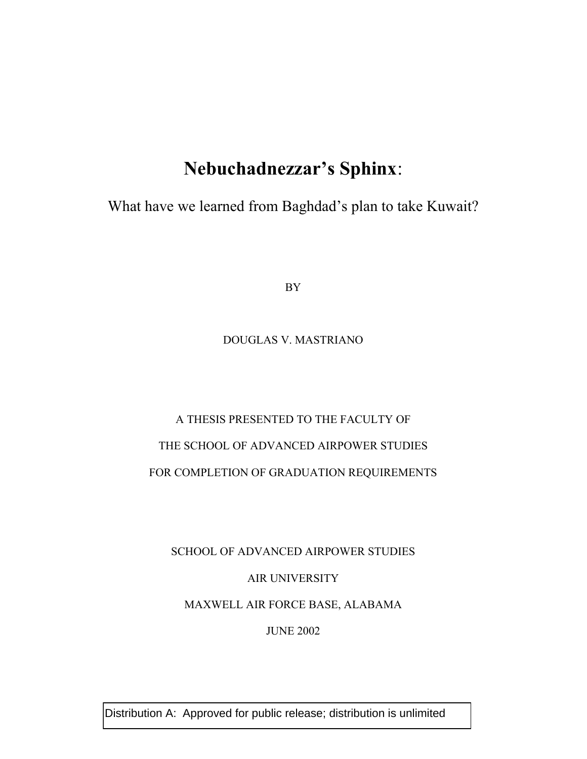## **Nebuchadnezzar's Sphinx**:

What have we learned from Baghdad's plan to take Kuwait?

BY

### DOUGLAS V. MASTRIANO

# A THESIS PRESENTED TO THE FACULTY OF THE SCHOOL OF ADVANCED AIRPOWER STUDIES FOR COMPLETION OF GRADUATION REQUIREMENTS

SCHOOL OF ADVANCED AIRPOWER STUDIES AIR UNIVERSITY MAXWELL AIR FORCE BASE, ALABAMA JUNE 2002

Distribution A: Approved for public release; distribution is unlimited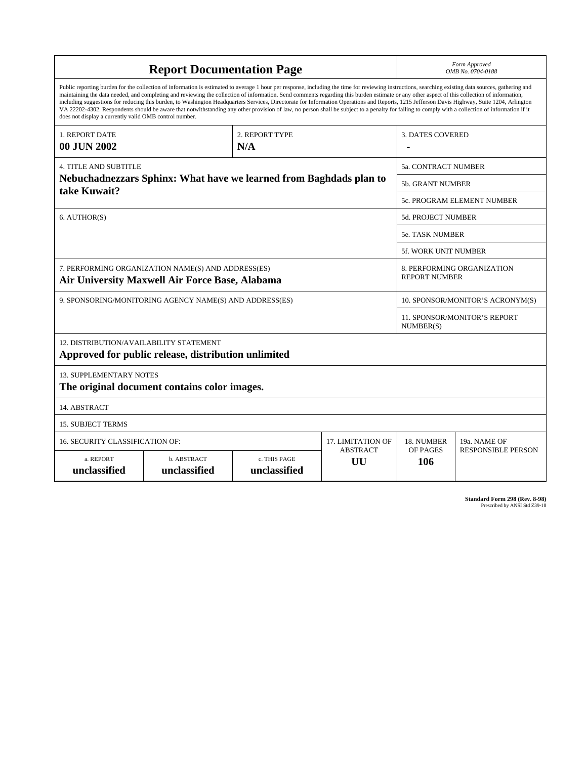| <b>Report Documentation Page</b>                                                                                                                                                                                                                                                                                                                                                                                                                                                                                                                                                                                                                                                                                                                                                                                                                                   |                             |                              |                       | Form Approved<br>OMB No. 0704-0188                 |                                                  |  |  |
|--------------------------------------------------------------------------------------------------------------------------------------------------------------------------------------------------------------------------------------------------------------------------------------------------------------------------------------------------------------------------------------------------------------------------------------------------------------------------------------------------------------------------------------------------------------------------------------------------------------------------------------------------------------------------------------------------------------------------------------------------------------------------------------------------------------------------------------------------------------------|-----------------------------|------------------------------|-----------------------|----------------------------------------------------|--------------------------------------------------|--|--|
| Public reporting burden for the collection of information is estimated to average 1 hour per response, including the time for reviewing instructions, searching existing data sources, gathering and<br>maintaining the data needed, and completing and reviewing the collection of information. Send comments regarding this burden estimate or any other aspect of this collection of information,<br>including suggestions for reducing this burden, to Washington Headquarters Services, Directorate for Information Operations and Reports, 1215 Jefferson Davis Highway, Suite 1204, Arlington<br>VA 22202-4302. Respondents should be aware that notwithstanding any other provision of law, no person shall be subject to a penalty for failing to comply with a collection of information if it<br>does not display a currently valid OMB control number. |                             |                              |                       |                                                    |                                                  |  |  |
| 1. REPORT DATE<br>00 JUN 2002                                                                                                                                                                                                                                                                                                                                                                                                                                                                                                                                                                                                                                                                                                                                                                                                                                      |                             | 2. REPORT TYPE<br>N/A        |                       | <b>3. DATES COVERED</b>                            |                                                  |  |  |
| <b>4. TITLE AND SUBTITLE</b>                                                                                                                                                                                                                                                                                                                                                                                                                                                                                                                                                                                                                                                                                                                                                                                                                                       |                             | <b>5a. CONTRACT NUMBER</b>   |                       |                                                    |                                                  |  |  |
| Nebuchadnezzars Sphinx: What have we learned from Baghdads plan to<br>take Kuwait?                                                                                                                                                                                                                                                                                                                                                                                                                                                                                                                                                                                                                                                                                                                                                                                 |                             |                              |                       |                                                    | 5b. GRANT NUMBER                                 |  |  |
|                                                                                                                                                                                                                                                                                                                                                                                                                                                                                                                                                                                                                                                                                                                                                                                                                                                                    |                             |                              |                       |                                                    | 5c. PROGRAM ELEMENT NUMBER                       |  |  |
| 6. AUTHOR(S)                                                                                                                                                                                                                                                                                                                                                                                                                                                                                                                                                                                                                                                                                                                                                                                                                                                       |                             |                              | 5d. PROJECT NUMBER    |                                                    |                                                  |  |  |
|                                                                                                                                                                                                                                                                                                                                                                                                                                                                                                                                                                                                                                                                                                                                                                                                                                                                    |                             |                              |                       | <b>5e. TASK NUMBER</b>                             |                                                  |  |  |
|                                                                                                                                                                                                                                                                                                                                                                                                                                                                                                                                                                                                                                                                                                                                                                                                                                                                    |                             |                              |                       |                                                    | <b>5f. WORK UNIT NUMBER</b>                      |  |  |
| 7. PERFORMING ORGANIZATION NAME(S) AND ADDRESS(ES)<br>Air University Maxwell Air Force Base, Alabama                                                                                                                                                                                                                                                                                                                                                                                                                                                                                                                                                                                                                                                                                                                                                               |                             |                              |                       | 8. PERFORMING ORGANIZATION<br><b>REPORT NUMBER</b> |                                                  |  |  |
| 9. SPONSORING/MONITORING AGENCY NAME(S) AND ADDRESS(ES)                                                                                                                                                                                                                                                                                                                                                                                                                                                                                                                                                                                                                                                                                                                                                                                                            |                             |                              |                       | 10. SPONSOR/MONITOR'S ACRONYM(S)                   |                                                  |  |  |
|                                                                                                                                                                                                                                                                                                                                                                                                                                                                                                                                                                                                                                                                                                                                                                                                                                                                    |                             |                              |                       |                                                    | <b>11. SPONSOR/MONITOR'S REPORT</b><br>NUMBER(S) |  |  |
| 12. DISTRIBUTION/AVAILABILITY STATEMENT<br>Approved for public release, distribution unlimited                                                                                                                                                                                                                                                                                                                                                                                                                                                                                                                                                                                                                                                                                                                                                                     |                             |                              |                       |                                                    |                                                  |  |  |
| <b>13. SUPPLEMENTARY NOTES</b><br>The original document contains color images.                                                                                                                                                                                                                                                                                                                                                                                                                                                                                                                                                                                                                                                                                                                                                                                     |                             |                              |                       |                                                    |                                                  |  |  |
| 14. ABSTRACT                                                                                                                                                                                                                                                                                                                                                                                                                                                                                                                                                                                                                                                                                                                                                                                                                                                       |                             |                              |                       |                                                    |                                                  |  |  |
| <b>15. SUBJECT TERMS</b>                                                                                                                                                                                                                                                                                                                                                                                                                                                                                                                                                                                                                                                                                                                                                                                                                                           |                             |                              |                       |                                                    |                                                  |  |  |
| 16. SECURITY CLASSIFICATION OF:                                                                                                                                                                                                                                                                                                                                                                                                                                                                                                                                                                                                                                                                                                                                                                                                                                    | <b>17. LIMITATION OF</b>    | 18. NUMBER                   | 19a. NAME OF          |                                                    |                                                  |  |  |
| a. REPORT<br>unclassified                                                                                                                                                                                                                                                                                                                                                                                                                                                                                                                                                                                                                                                                                                                                                                                                                                          | b. ABSTRACT<br>unclassified | c. THIS PAGE<br>unclassified | <b>ABSTRACT</b><br>UU | OF PAGES<br>106                                    | <b>RESPONSIBLE PERSON</b>                        |  |  |

**Standard Form 298 (Rev. 8-98)**<br>Prescribed by ANSI Std Z39-18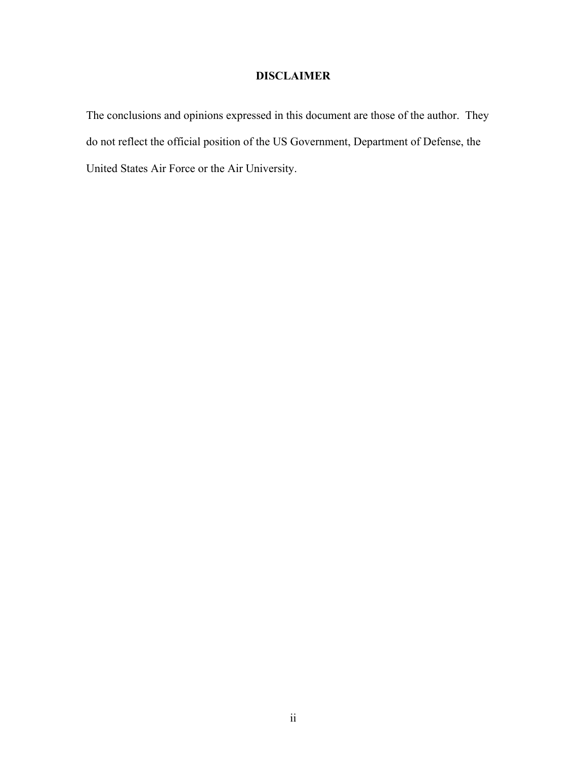### **DISCLAIMER**

The conclusions and opinions expressed in this document are those of the author. They do not reflect the official position of the US Government, Department of Defense, the United States Air Force or the Air University.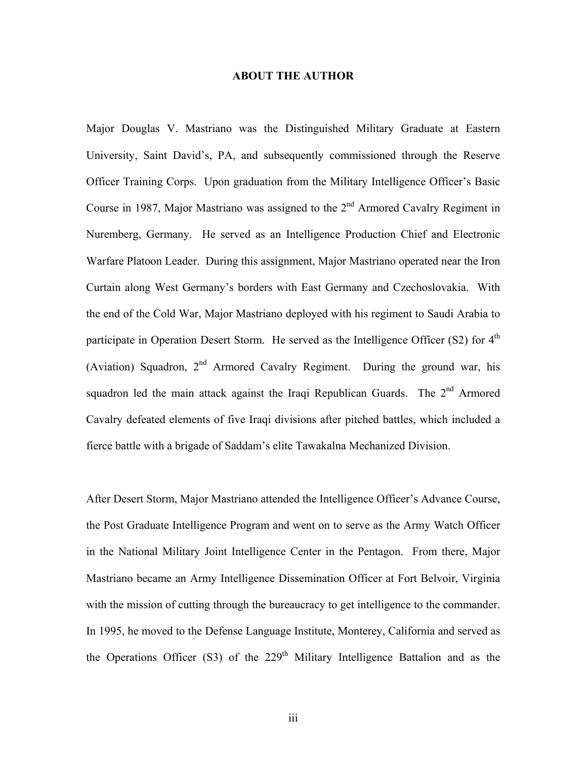### **ABOUT THE AUTHOR**

Major Douglas V. Mastriano was the Distinguished Military Graduate at Eastern University, Saint David's, PA, and subsequently commissioned through the Reserve Officer Training Corps. Upon graduation from the Military Intelligence Officer's Basic Course in 1987, Major Mastriano was assigned to the  $2<sup>nd</sup>$  Armored Cavalry Regiment in Nuremberg, Germany. He served as an Intelligence Production Chief and Electronic Warfare Platoon Leader. During this assignment, Major Mastriano operated near the Iron Curtain along West Germany's borders with East Germany and Czechoslovakia. With the end of the Cold War, Major Mastriano deployed with his regiment to Saudi Arabia to participate in Operation Desert Storm. He served as the Intelligence Officer (S2) for  $4<sup>th</sup>$ (Aviation) Squadron,  $2^{nd}$  Armored Cavalry Regiment. During the ground war, his squadron led the main attack against the Iraqi Republican Guards. The 2<sup>nd</sup> Armored Cavalry defeated elements of five Iraqi divisions after pitched battles, which included a fierce battle with a brigade of Saddam's elite Tawakalna Mechanized Division.

After Desert Storm, Major Mastriano attended the Intelligence Officer's Advance Course, the Post Graduate Intelligence Program and went on to serve as the Army Watch Officer in the National Military Joint Intelligence Center in the Pentagon. From there, Major Mastriano became an Army Intelligence Dissemination Officer at Fort Belvoir, Virginia with the mission of cutting through the bureaucracy to get intelligence to the commander. In 1995, he moved to the Defense Language Institute, Monterey, California and served as the Operations Officer (S3) of the  $229<sup>th</sup>$  Military Intelligence Battalion and as the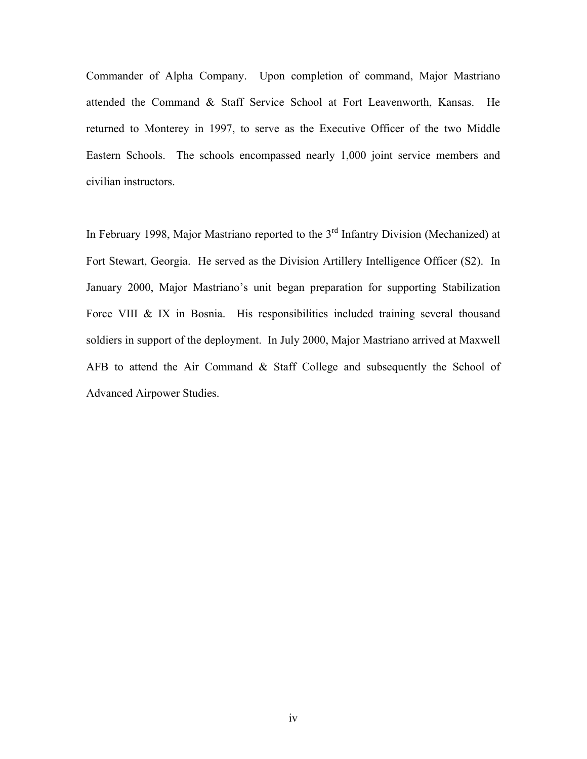Commander of Alpha Company. Upon completion of command, Major Mastriano attended the Command & Staff Service School at Fort Leavenworth, Kansas. He returned to Monterey in 1997, to serve as the Executive Officer of the two Middle Eastern Schools. The schools encompassed nearly 1,000 joint service members and civilian instructors.

In February 1998, Major Mastriano reported to the  $3<sup>rd</sup>$  Infantry Division (Mechanized) at Fort Stewart, Georgia. He served as the Division Artillery Intelligence Officer (S2). In January 2000, Major Mastriano's unit began preparation for supporting Stabilization Force VIII & IX in Bosnia. His responsibilities included training several thousand soldiers in support of the deployment. In July 2000, Major Mastriano arrived at Maxwell AFB to attend the Air Command  $&$  Staff College and subsequently the School of Advanced Airpower Studies.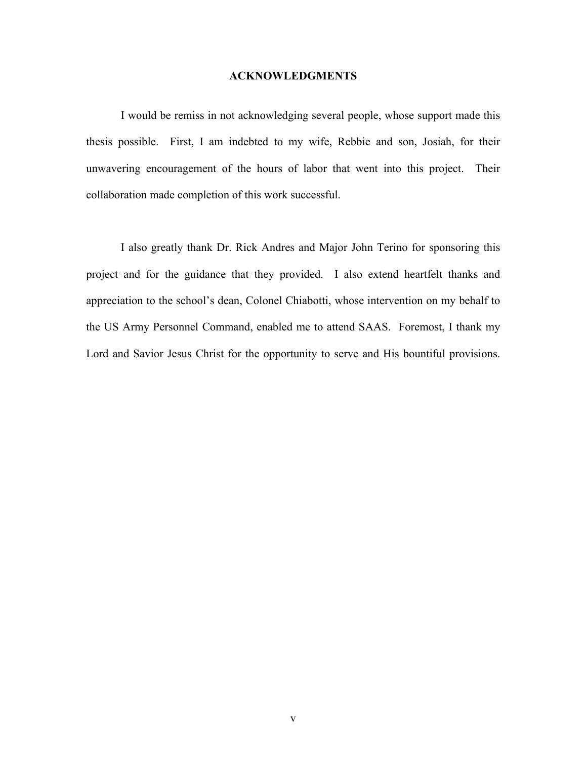#### **ACKNOWLEDGMENTS**

I would be remiss in not acknowledging several people, whose support made this thesis possible. First, I am indebted to my wife, Rebbie and son, Josiah, for their unwavering encouragement of the hours of labor that went into this project. Their collaboration made completion of this work successful.

I also greatly thank Dr. Rick Andres and Major John Terino for sponsoring this project and for the guidance that they provided. I also extend heartfelt thanks and appreciation to the school's dean, Colonel Chiabotti, whose intervention on my behalf to the US Army Personnel Command, enabled me to attend SAAS. Foremost, I thank my Lord and Savior Jesus Christ for the opportunity to serve and His bountiful provisions.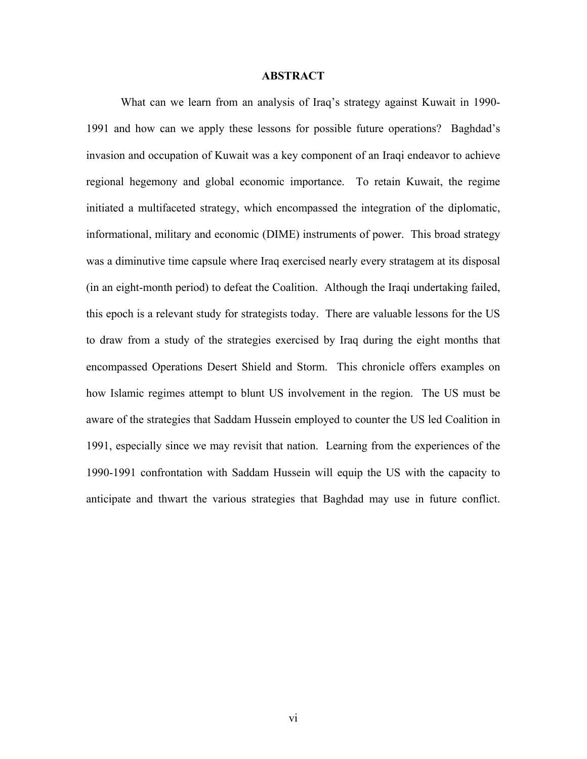### **ABSTRACT**

What can we learn from an analysis of Iraq's strategy against Kuwait in 1990- 1991 and how can we apply these lessons for possible future operations? Baghdad's invasion and occupation of Kuwait was a key component of an Iraqi endeavor to achieve regional hegemony and global economic importance. To retain Kuwait, the regime initiated a multifaceted strategy, which encompassed the integration of the diplomatic, informational, military and economic (DIME) instruments of power. This broad strategy was a diminutive time capsule where Iraq exercised nearly every stratagem at its disposal (in an eight-month period) to defeat the Coalition. Although the Iraqi undertaking failed, this epoch is a relevant study for strategists today. There are valuable lessons for the US to draw from a study of the strategies exercised by Iraq during the eight months that encompassed Operations Desert Shield and Storm. This chronicle offers examples on how Islamic regimes attempt to blunt US involvement in the region. The US must be aware of the strategies that Saddam Hussein employed to counter the US led Coalition in 1991, especially since we may revisit that nation. Learning from the experiences of the 1990-1991 confrontation with Saddam Hussein will equip the US with the capacity to anticipate and thwart the various strategies that Baghdad may use in future conflict.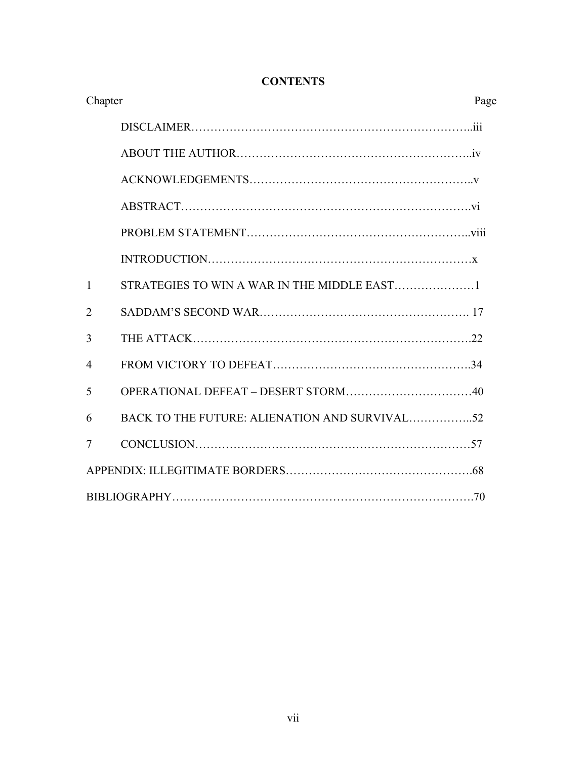| Chapter        |  |  |
|----------------|--|--|
|                |  |  |
|                |  |  |
|                |  |  |
|                |  |  |
|                |  |  |
|                |  |  |
| $\mathbf{1}$   |  |  |
| $\overline{2}$ |  |  |
| 3              |  |  |
| $\overline{4}$ |  |  |
| 5              |  |  |
| 6              |  |  |
| 7              |  |  |
|                |  |  |
|                |  |  |

### **CONTENTS**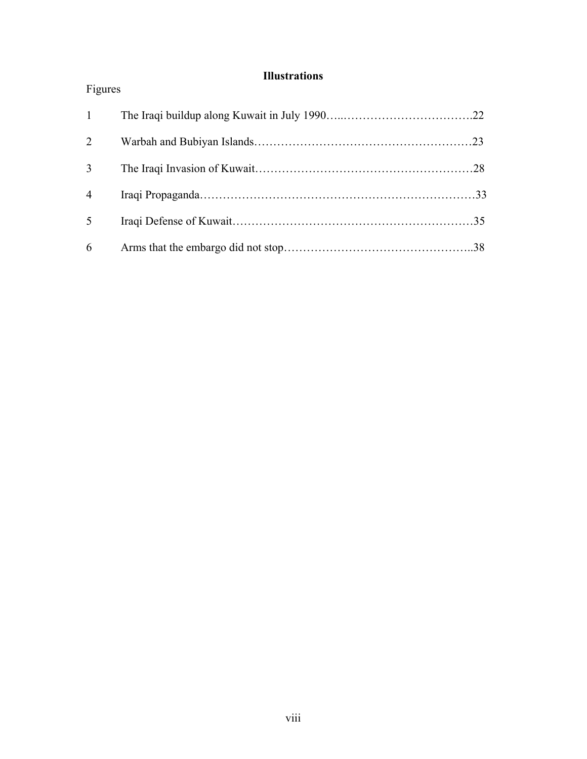### **Illustrations**

| Figures        |  |
|----------------|--|
| $\mathbf{1}$   |  |
| 2              |  |
| 3              |  |
| $\overline{4}$ |  |
| 5              |  |
| 6              |  |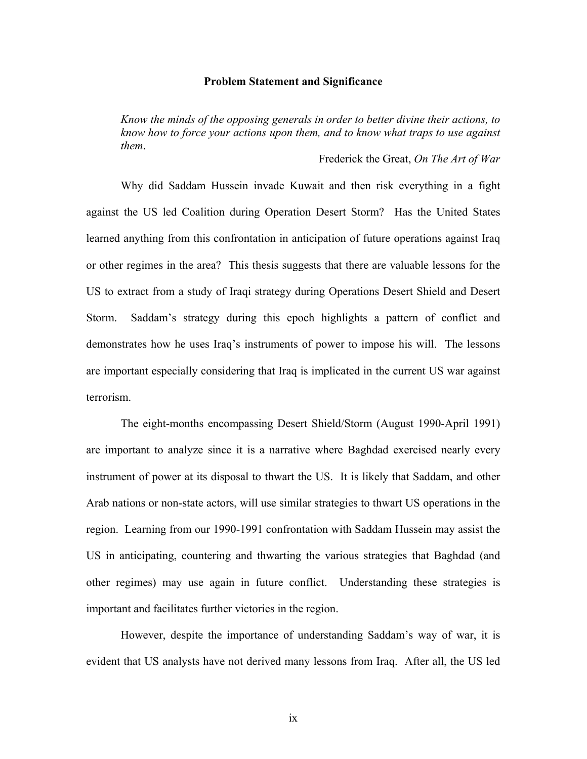#### **Problem Statement and Significance**

*Know the minds of the opposing generals in order to better divine their actions, to know how to force your actions upon them, and to know what traps to use against them*.

Frederick the Great, *On The Art of War*

Why did Saddam Hussein invade Kuwait and then risk everything in a fight against the US led Coalition during Operation Desert Storm? Has the United States learned anything from this confrontation in anticipation of future operations against Iraq or other regimes in the area? This thesis suggests that there are valuable lessons for the US to extract from a study of Iraqi strategy during Operations Desert Shield and Desert Storm. Saddam's strategy during this epoch highlights a pattern of conflict and demonstrates how he uses Iraq's instruments of power to impose his will. The lessons are important especially considering that Iraq is implicated in the current US war against terrorism.

The eight-months encompassing Desert Shield/Storm (August 1990-April 1991) are important to analyze since it is a narrative where Baghdad exercised nearly every instrument of power at its disposal to thwart the US. It is likely that Saddam, and other Arab nations or non-state actors, will use similar strategies to thwart US operations in the region. Learning from our 1990-1991 confrontation with Saddam Hussein may assist the US in anticipating, countering and thwarting the various strategies that Baghdad (and other regimes) may use again in future conflict. Understanding these strategies is important and facilitates further victories in the region.

However, despite the importance of understanding Saddam's way of war, it is evident that US analysts have not derived many lessons from Iraq. After all, the US led

ix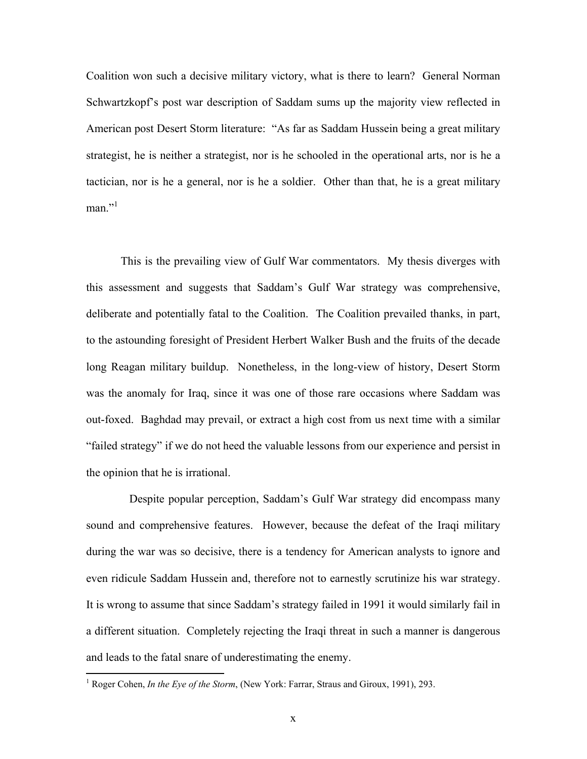Coalition won such a decisive military victory, what is there to learn? General Norman Schwartzkopf's post war description of Saddam sums up the majority view reflected in American post Desert Storm literature: "As far as Saddam Hussein being a great military strategist, he is neither a strategist, nor is he schooled in the operational arts, nor is he a tactician, nor is he a general, nor is he a soldier. Other than that, he is a great military man." $1$ 

This is the prevailing view of Gulf War commentators. My thesis diverges with this assessment and suggests that Saddam's Gulf War strategy was comprehensive, deliberate and potentially fatal to the Coalition. The Coalition prevailed thanks, in part, to the astounding foresight of President Herbert Walker Bush and the fruits of the decade long Reagan military buildup. Nonetheless, in the long-view of history, Desert Storm was the anomaly for Iraq, since it was one of those rare occasions where Saddam was out-foxed. Baghdad may prevail, or extract a high cost from us next time with a similar "failed strategy" if we do not heed the valuable lessons from our experience and persist in the opinion that he is irrational.

 Despite popular perception, Saddam's Gulf War strategy did encompass many sound and comprehensive features. However, because the defeat of the Iraqi military during the war was so decisive, there is a tendency for American analysts to ignore and even ridicule Saddam Hussein and, therefore not to earnestly scrutinize his war strategy. It is wrong to assume that since Saddam's strategy failed in 1991 it would similarly fail in a different situation. Completely rejecting the Iraqi threat in such a manner is dangerous and leads to the fatal snare of underestimating the enemy.

<sup>&</sup>lt;sup>1</sup> Roger Cohen, *In the Eye of the Storm*, (New York: Farrar, Straus and Giroux, 1991), 293.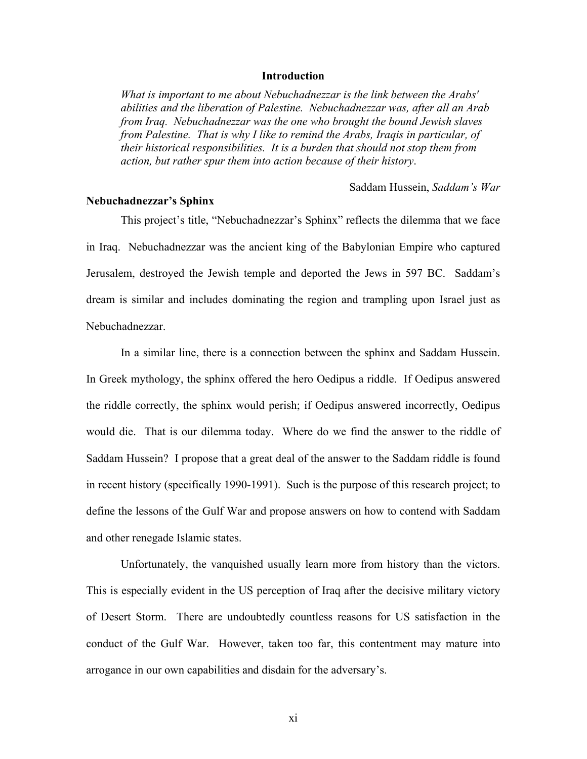### **Introduction**

*What is important to me about Nebuchadnezzar is the link between the Arabs' abilities and the liberation of Palestine. Nebuchadnezzar was, after all an Arab from Iraq. Nebuchadnezzar was the one who brought the bound Jewish slaves from Palestine. That is why I like to remind the Arabs, Iraqis in particular, of their historical responsibilities. It is a burden that should not stop them from action, but rather spur them into action because of their history*.

Saddam Hussein, *Saddam's War* 

### **Nebuchadnezzar's Sphinx**

This project's title, "Nebuchadnezzar's Sphinx" reflects the dilemma that we face in Iraq. Nebuchadnezzar was the ancient king of the Babylonian Empire who captured Jerusalem, destroyed the Jewish temple and deported the Jews in 597 BC. Saddam's dream is similar and includes dominating the region and trampling upon Israel just as Nebuchadnezzar.

In a similar line, there is a connection between the sphinx and Saddam Hussein. In Greek mythology, the sphinx offered the hero Oedipus a riddle. If Oedipus answered the riddle correctly, the sphinx would perish; if Oedipus answered incorrectly, Oedipus would die. That is our dilemma today. Where do we find the answer to the riddle of Saddam Hussein? I propose that a great deal of the answer to the Saddam riddle is found in recent history (specifically 1990-1991). Such is the purpose of this research project; to define the lessons of the Gulf War and propose answers on how to contend with Saddam and other renegade Islamic states.

Unfortunately, the vanquished usually learn more from history than the victors. This is especially evident in the US perception of Iraq after the decisive military victory of Desert Storm. There are undoubtedly countless reasons for US satisfaction in the conduct of the Gulf War. However, taken too far, this contentment may mature into arrogance in our own capabilities and disdain for the adversary's.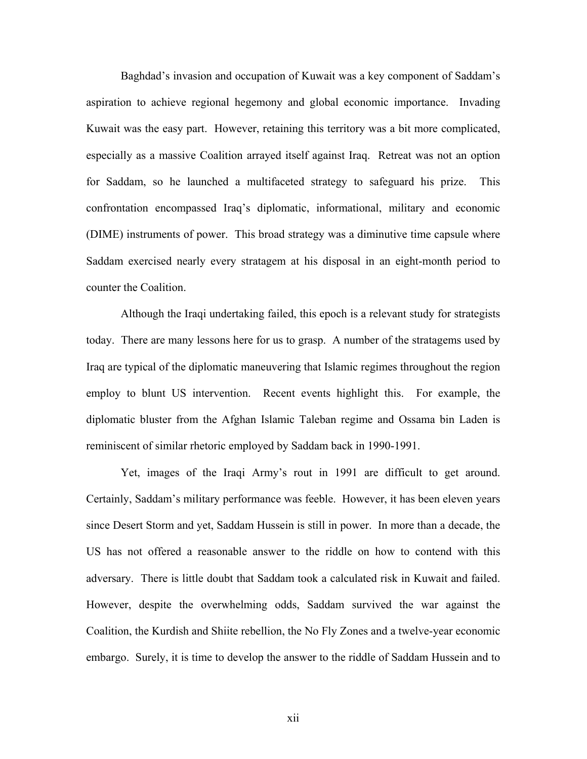Baghdad's invasion and occupation of Kuwait was a key component of Saddam's aspiration to achieve regional hegemony and global economic importance. Invading Kuwait was the easy part. However, retaining this territory was a bit more complicated, especially as a massive Coalition arrayed itself against Iraq. Retreat was not an option for Saddam, so he launched a multifaceted strategy to safeguard his prize. This confrontation encompassed Iraq's diplomatic, informational, military and economic (DIME) instruments of power. This broad strategy was a diminutive time capsule where Saddam exercised nearly every stratagem at his disposal in an eight-month period to counter the Coalition.

Although the Iraqi undertaking failed, this epoch is a relevant study for strategists today. There are many lessons here for us to grasp. A number of the stratagems used by Iraq are typical of the diplomatic maneuvering that Islamic regimes throughout the region employ to blunt US intervention. Recent events highlight this. For example, the diplomatic bluster from the Afghan Islamic Taleban regime and Ossama bin Laden is reminiscent of similar rhetoric employed by Saddam back in 1990-1991.

Yet, images of the Iraqi Army's rout in 1991 are difficult to get around. Certainly, Saddam's military performance was feeble. However, it has been eleven years since Desert Storm and yet, Saddam Hussein is still in power. In more than a decade, the US has not offered a reasonable answer to the riddle on how to contend with this adversary. There is little doubt that Saddam took a calculated risk in Kuwait and failed. However, despite the overwhelming odds, Saddam survived the war against the Coalition, the Kurdish and Shiite rebellion, the No Fly Zones and a twelve-year economic embargo. Surely, it is time to develop the answer to the riddle of Saddam Hussein and to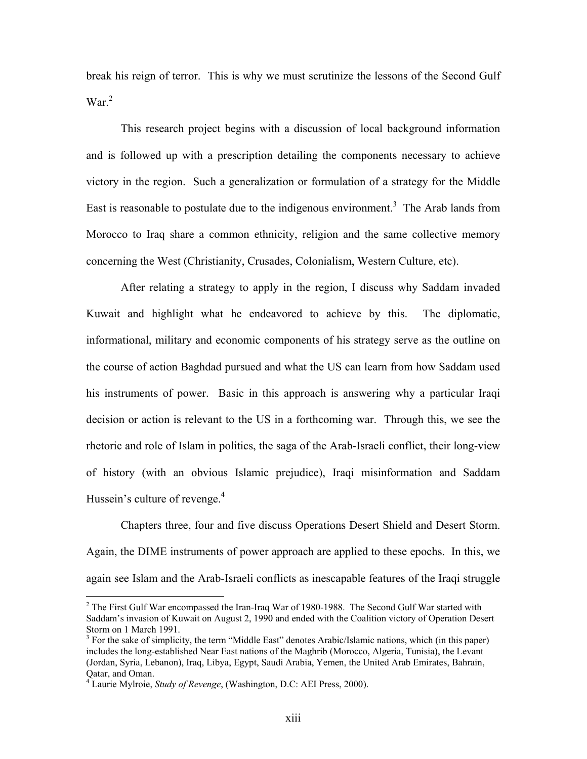break his reign of terror. This is why we must scrutinize the lessons of the Second Gulf War.<sup>2</sup>

This research project begins with a discussion of local background information and is followed up with a prescription detailing the components necessary to achieve victory in the region. Such a generalization or formulation of a strategy for the Middle East is reasonable to postulate due to the indigenous environment.<sup>3</sup> The Arab lands from Morocco to Iraq share a common ethnicity, religion and the same collective memory concerning the West (Christianity, Crusades, Colonialism, Western Culture, etc).

After relating a strategy to apply in the region, I discuss why Saddam invaded Kuwait and highlight what he endeavored to achieve by this. The diplomatic, informational, military and economic components of his strategy serve as the outline on the course of action Baghdad pursued and what the US can learn from how Saddam used his instruments of power. Basic in this approach is answering why a particular Iraqi decision or action is relevant to the US in a forthcoming war. Through this, we see the rhetoric and role of Islam in politics, the saga of the Arab-Israeli conflict, their long-view of history (with an obvious Islamic prejudice), Iraqi misinformation and Saddam Hussein's culture of revenge. $4$ 

Chapters three, four and five discuss Operations Desert Shield and Desert Storm. Again, the DIME instruments of power approach are applied to these epochs. In this, we again see Islam and the Arab-Israeli conflicts as inescapable features of the Iraqi struggle

 $2^2$  The First Gulf War encompassed the Iran-Iraq War of 1980-1988. The Second Gulf War started with Saddam's invasion of Kuwait on August 2, 1990 and ended with the Coalition victory of Operation Desert Storm on 1 March 1991.

<sup>&</sup>lt;sup>3</sup> For the sake of simplicity, the term "Middle East" denotes Arabic/Islamic nations, which (in this paper) includes the long-established Near East nations of the Maghrib (Morocco, Algeria, Tunisia), the Levant (Jordan, Syria, Lebanon), Iraq, Libya, Egypt, Saudi Arabia, Yemen, the United Arab Emirates, Bahrain, Qatar, and Oman. 4

Laurie Mylroie, *Study of Revenge*, (Washington, D.C: AEI Press, 2000).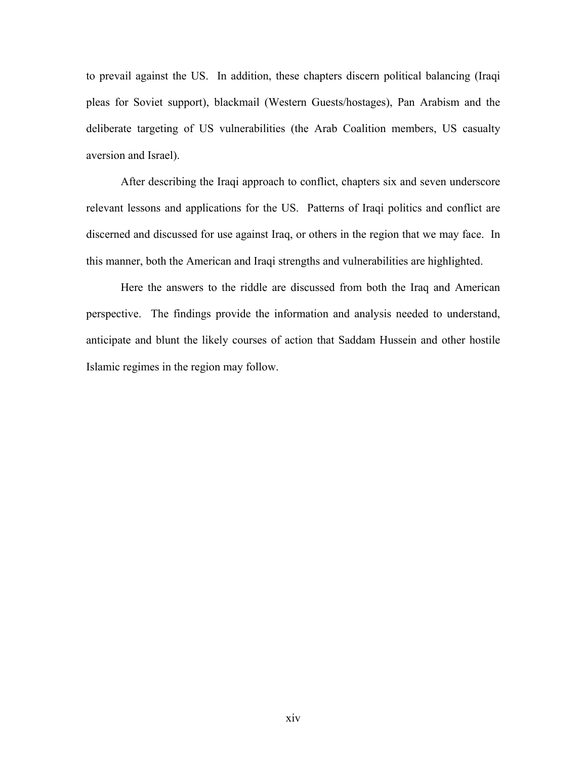to prevail against the US. In addition, these chapters discern political balancing (Iraqi pleas for Soviet support), blackmail (Western Guests/hostages), Pan Arabism and the deliberate targeting of US vulnerabilities (the Arab Coalition members, US casualty aversion and Israel).

After describing the Iraqi approach to conflict, chapters six and seven underscore relevant lessons and applications for the US. Patterns of Iraqi politics and conflict are discerned and discussed for use against Iraq, or others in the region that we may face. In this manner, both the American and Iraqi strengths and vulnerabilities are highlighted.

Here the answers to the riddle are discussed from both the Iraq and American perspective. The findings provide the information and analysis needed to understand, anticipate and blunt the likely courses of action that Saddam Hussein and other hostile Islamic regimes in the region may follow.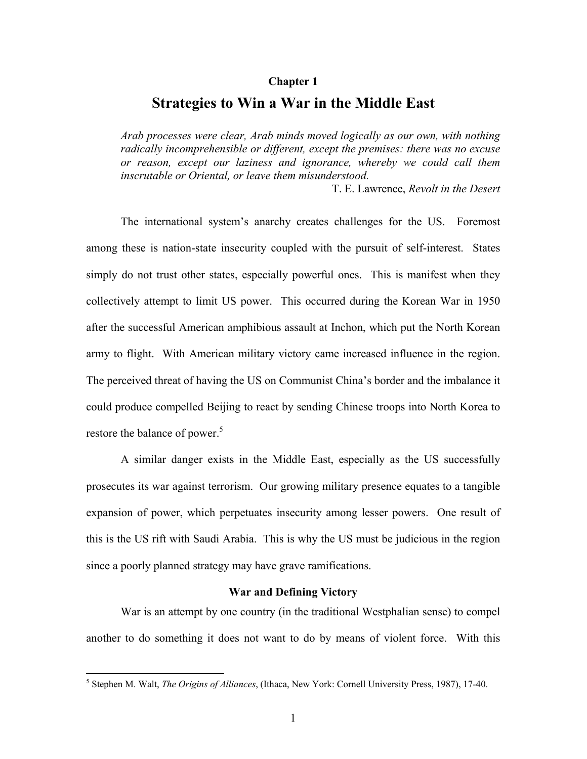### **Chapter 1**

### **Strategies to Win a War in the Middle East**

*Arab processes were clear, Arab minds moved logically as our own, with nothing radically incomprehensible or different, except the premises: there was no excuse or reason, except our laziness and ignorance, whereby we could call them inscrutable or Oriental, or leave them misunderstood.* 

T. E. Lawrence, *Revolt in the Desert* 

The international system's anarchy creates challenges for the US. Foremost among these is nation-state insecurity coupled with the pursuit of self-interest. States simply do not trust other states, especially powerful ones. This is manifest when they collectively attempt to limit US power. This occurred during the Korean War in 1950 after the successful American amphibious assault at Inchon, which put the North Korean army to flight. With American military victory came increased influence in the region. The perceived threat of having the US on Communist China's border and the imbalance it could produce compelled Beijing to react by sending Chinese troops into North Korea to restore the balance of power.<sup>5</sup>

A similar danger exists in the Middle East, especially as the US successfully prosecutes its war against terrorism. Our growing military presence equates to a tangible expansion of power, which perpetuates insecurity among lesser powers. One result of this is the US rift with Saudi Arabia. This is why the US must be judicious in the region since a poorly planned strategy may have grave ramifications.

### **War and Defining Victory**

War is an attempt by one country (in the traditional Westphalian sense) to compel another to do something it does not want to do by means of violent force. With this

<sup>5</sup> Stephen M. Walt, *The Origins of Alliances*, (Ithaca, New York: Cornell University Press, 1987), 17-40.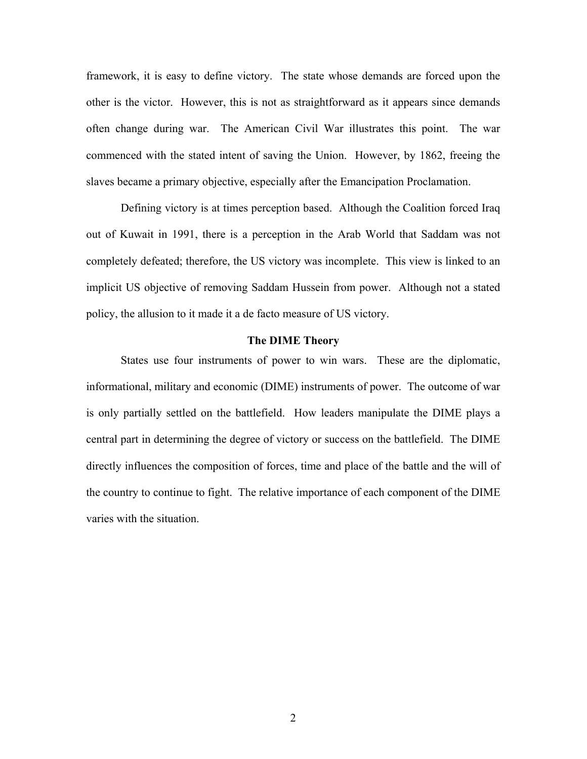framework, it is easy to define victory. The state whose demands are forced upon the other is the victor. However, this is not as straightforward as it appears since demands often change during war. The American Civil War illustrates this point. The war commenced with the stated intent of saving the Union. However, by 1862, freeing the slaves became a primary objective, especially after the Emancipation Proclamation.

Defining victory is at times perception based. Although the Coalition forced Iraq out of Kuwait in 1991, there is a perception in the Arab World that Saddam was not completely defeated; therefore, the US victory was incomplete. This view is linked to an implicit US objective of removing Saddam Hussein from power. Although not a stated policy, the allusion to it made it a de facto measure of US victory.

### **The DIME Theory**

States use four instruments of power to win wars. These are the diplomatic, informational, military and economic (DIME) instruments of power. The outcome of war is only partially settled on the battlefield. How leaders manipulate the DIME plays a central part in determining the degree of victory or success on the battlefield. The DIME directly influences the composition of forces, time and place of the battle and the will of the country to continue to fight. The relative importance of each component of the DIME varies with the situation.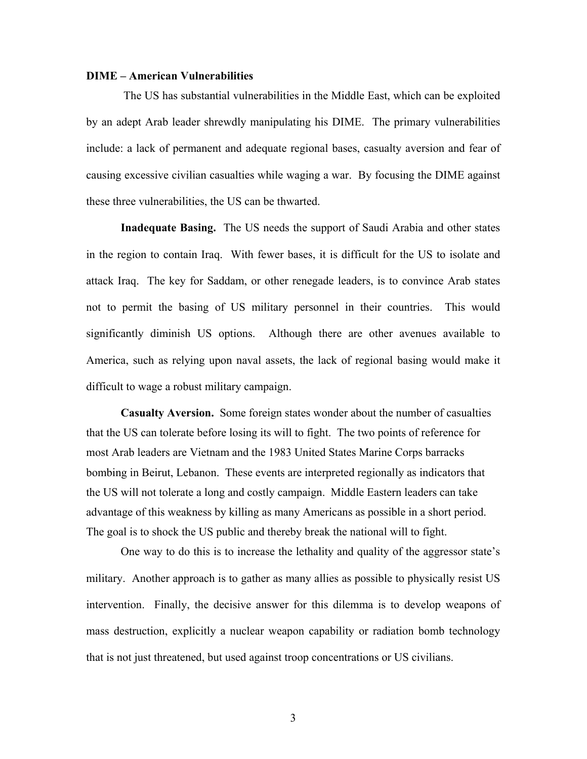### **DIME – American Vulnerabilities**

The US has substantial vulnerabilities in the Middle East, which can be exploited by an adept Arab leader shrewdly manipulating his DIME. The primary vulnerabilities include: a lack of permanent and adequate regional bases, casualty aversion and fear of causing excessive civilian casualties while waging a war. By focusing the DIME against these three vulnerabilities, the US can be thwarted.

**Inadequate Basing.** The US needs the support of Saudi Arabia and other states in the region to contain Iraq. With fewer bases, it is difficult for the US to isolate and attack Iraq. The key for Saddam, or other renegade leaders, is to convince Arab states not to permit the basing of US military personnel in their countries. This would significantly diminish US options. Although there are other avenues available to America, such as relying upon naval assets, the lack of regional basing would make it difficult to wage a robust military campaign.

**Casualty Aversion.** Some foreign states wonder about the number of casualties that the US can tolerate before losing its will to fight. The two points of reference for most Arab leaders are Vietnam and the 1983 United States Marine Corps barracks bombing in Beirut, Lebanon. These events are interpreted regionally as indicators that the US will not tolerate a long and costly campaign. Middle Eastern leaders can take advantage of this weakness by killing as many Americans as possible in a short period. The goal is to shock the US public and thereby break the national will to fight.

One way to do this is to increase the lethality and quality of the aggressor state's military. Another approach is to gather as many allies as possible to physically resist US intervention. Finally, the decisive answer for this dilemma is to develop weapons of mass destruction, explicitly a nuclear weapon capability or radiation bomb technology that is not just threatened, but used against troop concentrations or US civilians.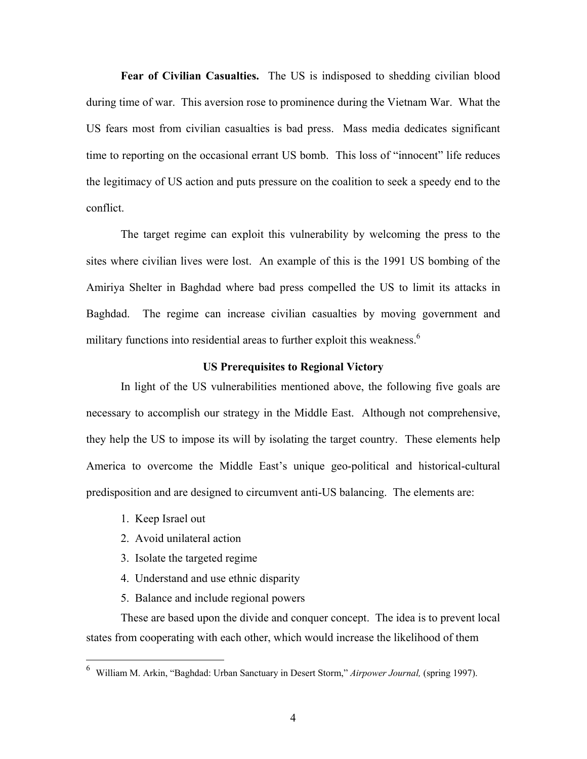**Fear of Civilian Casualties.** The US is indisposed to shedding civilian blood during time of war. This aversion rose to prominence during the Vietnam War. What the US fears most from civilian casualties is bad press. Mass media dedicates significant time to reporting on the occasional errant US bomb. This loss of "innocent" life reduces the legitimacy of US action and puts pressure on the coalition to seek a speedy end to the conflict.

The target regime can exploit this vulnerability by welcoming the press to the sites where civilian lives were lost. An example of this is the 1991 US bombing of the Amiriya Shelter in Baghdad where bad press compelled the US to limit its attacks in Baghdad. The regime can increase civilian casualties by moving government and military functions into residential areas to further exploit this weakness.<sup>6</sup>

### **US Prerequisites to Regional Victory**

In light of the US vulnerabilities mentioned above, the following five goals are necessary to accomplish our strategy in the Middle East. Although not comprehensive, they help the US to impose its will by isolating the target country. These elements help America to overcome the Middle East's unique geo-political and historical-cultural predisposition and are designed to circumvent anti-US balancing. The elements are:

- 1. Keep Israel out
- 2. Avoid unilateral action
- 3. Isolate the targeted regime
- 4. Understand and use ethnic disparity
- 5. Balance and include regional powers

These are based upon the divide and conquer concept. The idea is to prevent local states from cooperating with each other, which would increase the likelihood of them

 6 William M. Arkin, "Baghdad: Urban Sanctuary in Desert Storm," *Airpower Journal,* (spring 1997).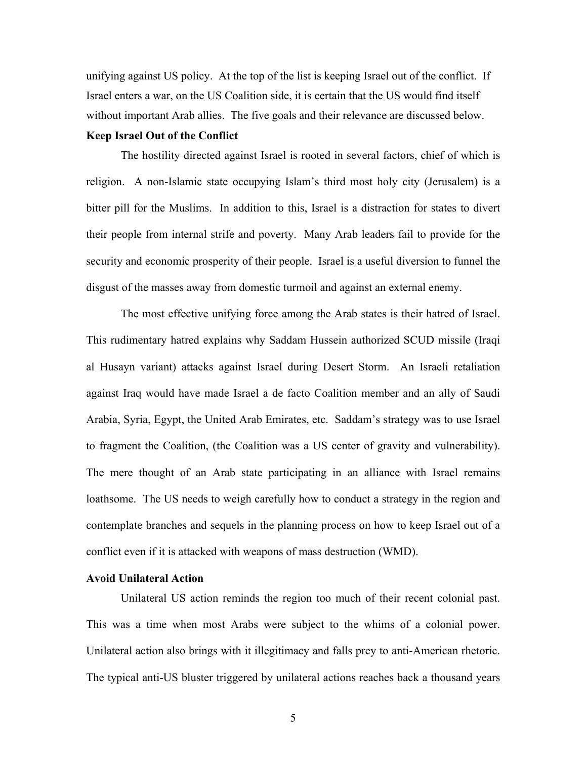unifying against US policy. At the top of the list is keeping Israel out of the conflict. If Israel enters a war, on the US Coalition side, it is certain that the US would find itself without important Arab allies. The five goals and their relevance are discussed below. **Keep Israel Out of the Conflict** 

The hostility directed against Israel is rooted in several factors, chief of which is religion. A non-Islamic state occupying Islam's third most holy city (Jerusalem) is a bitter pill for the Muslims. In addition to this, Israel is a distraction for states to divert their people from internal strife and poverty. Many Arab leaders fail to provide for the security and economic prosperity of their people. Israel is a useful diversion to funnel the disgust of the masses away from domestic turmoil and against an external enemy.

The most effective unifying force among the Arab states is their hatred of Israel. This rudimentary hatred explains why Saddam Hussein authorized SCUD missile (Iraqi al Husayn variant) attacks against Israel during Desert Storm. An Israeli retaliation against Iraq would have made Israel a de facto Coalition member and an ally of Saudi Arabia, Syria, Egypt, the United Arab Emirates, etc. Saddam's strategy was to use Israel to fragment the Coalition, (the Coalition was a US center of gravity and vulnerability). The mere thought of an Arab state participating in an alliance with Israel remains loathsome. The US needs to weigh carefully how to conduct a strategy in the region and contemplate branches and sequels in the planning process on how to keep Israel out of a conflict even if it is attacked with weapons of mass destruction (WMD).

### **Avoid Unilateral Action**

Unilateral US action reminds the region too much of their recent colonial past. This was a time when most Arabs were subject to the whims of a colonial power. Unilateral action also brings with it illegitimacy and falls prey to anti-American rhetoric. The typical anti-US bluster triggered by unilateral actions reaches back a thousand years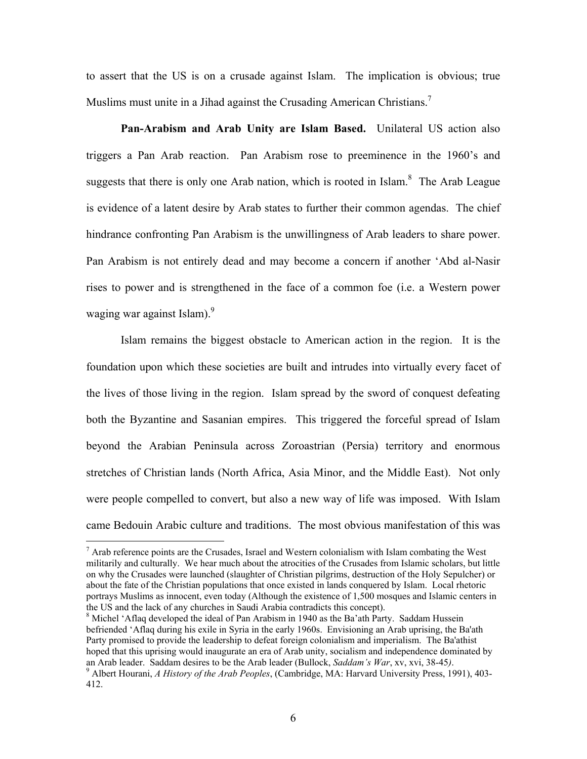to assert that the US is on a crusade against Islam. The implication is obvious; true Muslims must unite in a Jihad against the Crusading American Christians.<sup>7</sup>

**Pan-Arabism and Arab Unity are Islam Based.** Unilateral US action also triggers a Pan Arab reaction. Pan Arabism rose to preeminence in the 1960's and suggests that there is only one Arab nation, which is rooted in Islam. $8$  The Arab League is evidence of a latent desire by Arab states to further their common agendas. The chief hindrance confronting Pan Arabism is the unwillingness of Arab leaders to share power. Pan Arabism is not entirely dead and may become a concern if another 'Abd al-Nasir rises to power and is strengthened in the face of a common foe (i.e. a Western power waging war against Islam).<sup>9</sup>

Islam remains the biggest obstacle to American action in the region. It is the foundation upon which these societies are built and intrudes into virtually every facet of the lives of those living in the region. Islam spread by the sword of conquest defeating both the Byzantine and Sasanian empires. This triggered the forceful spread of Islam beyond the Arabian Peninsula across Zoroastrian (Persia) territory and enormous stretches of Christian lands (North Africa, Asia Minor, and the Middle East). Not only were people compelled to convert, but also a new way of life was imposed. With Islam came Bedouin Arabic culture and traditions. The most obvious manifestation of this was

<sup>&</sup>lt;sup>7</sup> Arab reference points are the Crusades, Israel and Western colonialism with Islam combating the West militarily and culturally. We hear much about the atrocities of the Crusades from Islamic scholars, but little on why the Crusades were launched (slaughter of Christian pilgrims, destruction of the Holy Sepulcher) or about the fate of the Christian populations that once existed in lands conquered by Islam. Local rhetoric portrays Muslims as innocent, even today (Although the existence of 1,500 mosques and Islamic centers in the US and the lack of any churches in Saudi Arabia contradicts this concept). 8

 $\delta$  Michel 'Aflaq developed the ideal of Pan Arabism in 1940 as the Ba'ath Party. Saddam Hussein befriended 'Aflaq during his exile in Syria in the early 1960s. Envisioning an Arab uprising, the Ba'ath Party promised to provide the leadership to defeat foreign colonialism and imperialism. The Ba'athist hoped that this uprising would inaugurate an era of Arab unity, socialism and independence dominated by an Arab leader. Saddam desires to be the Arab leader (Bullock, *Saddam's War*, xv, xvi, 38-45*)*. 9

Albert Hourani, *A History of the Arab Peoples*, (Cambridge, MA: Harvard University Press, 1991), 403- 412.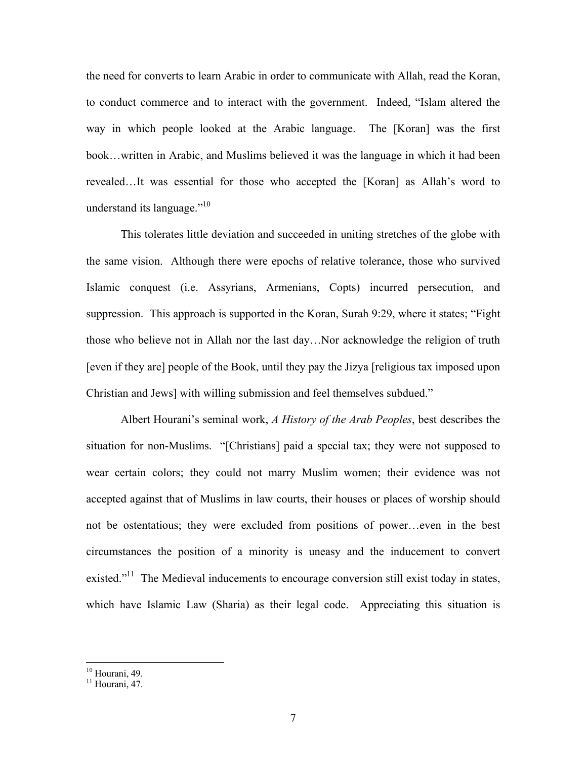the need for converts to learn Arabic in order to communicate with Allah, read the Koran, to conduct commerce and to interact with the government. Indeed, "Islam altered the way in which people looked at the Arabic language. The [Koran] was the first book…written in Arabic, and Muslims believed it was the language in which it had been revealed…It was essential for those who accepted the [Koran] as Allah's word to understand its language." $10<sup>10</sup>$ 

This tolerates little deviation and succeeded in uniting stretches of the globe with the same vision. Although there were epochs of relative tolerance, those who survived Islamic conquest (i.e. Assyrians, Armenians, Copts) incurred persecution, and suppression. This approach is supported in the Koran, Surah 9:29, where it states; "Fight those who believe not in Allah nor the last day…Nor acknowledge the religion of truth [even if they are] people of the Book, until they pay the Jizya [religious tax imposed upon Christian and Jews] with willing submission and feel themselves subdued."

Albert Hourani's seminal work, *A History of the Arab Peoples*, best describes the situation for non-Muslims. "[Christians] paid a special tax; they were not supposed to wear certain colors; they could not marry Muslim women; their evidence was not accepted against that of Muslims in law courts, their houses or places of worship should not be ostentatious; they were excluded from positions of power…even in the best circumstances the position of a minority is uneasy and the inducement to convert existed."<sup>11</sup> The Medieval inducements to encourage conversion still exist today in states, which have Islamic Law (Sharia) as their legal code. Appreciating this situation is

 $10$  Hourani, 49.

 $11$  Hourani, 47.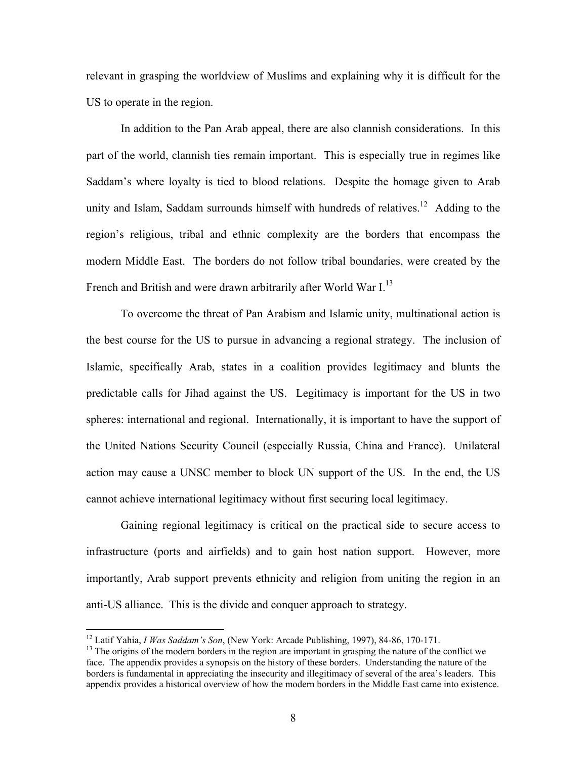relevant in grasping the worldview of Muslims and explaining why it is difficult for the US to operate in the region.

In addition to the Pan Arab appeal, there are also clannish considerations. In this part of the world, clannish ties remain important. This is especially true in regimes like Saddam's where loyalty is tied to blood relations. Despite the homage given to Arab unity and Islam, Saddam surrounds himself with hundreds of relatives.<sup>12</sup> Adding to the region's religious, tribal and ethnic complexity are the borders that encompass the modern Middle East. The borders do not follow tribal boundaries, were created by the French and British and were drawn arbitrarily after World War I.<sup>13</sup>

To overcome the threat of Pan Arabism and Islamic unity, multinational action is the best course for the US to pursue in advancing a regional strategy. The inclusion of Islamic, specifically Arab, states in a coalition provides legitimacy and blunts the predictable calls for Jihad against the US. Legitimacy is important for the US in two spheres: international and regional. Internationally, it is important to have the support of the United Nations Security Council (especially Russia, China and France). Unilateral action may cause a UNSC member to block UN support of the US. In the end, the US cannot achieve international legitimacy without first securing local legitimacy.

Gaining regional legitimacy is critical on the practical side to secure access to infrastructure (ports and airfields) and to gain host nation support. However, more importantly, Arab support prevents ethnicity and religion from uniting the region in an anti-US alliance. This is the divide and conquer approach to strategy.

<sup>&</sup>lt;sup>12</sup> Latif Yahia, *I Was Saddam's Son*, (New York: Arcade Publishing, 1997), 84-86, 170-171.

<sup>&</sup>lt;sup>13</sup> The origins of the modern borders in the region are important in grasping the nature of the conflict we face. The appendix provides a synopsis on the history of these borders. Understanding the nature of the borders is fundamental in appreciating the insecurity and illegitimacy of several of the area's leaders. This appendix provides a historical overview of how the modern borders in the Middle East came into existence.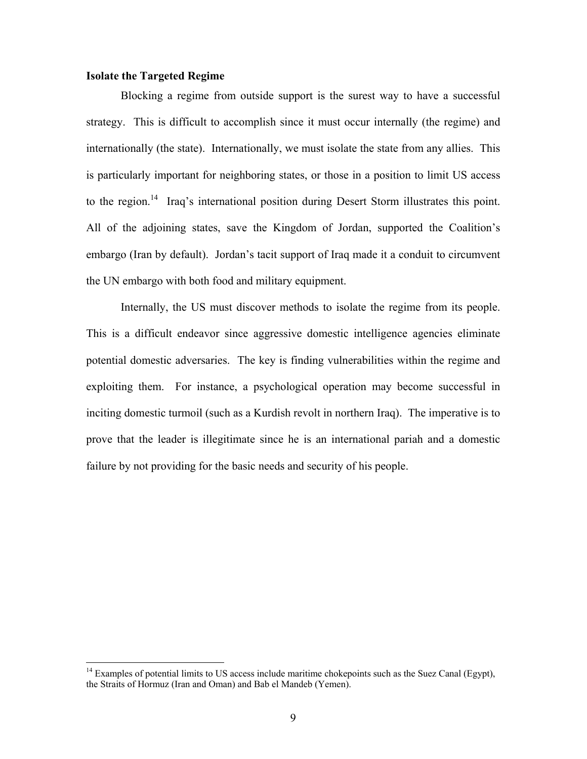### **Isolate the Targeted Regime**

1

Blocking a regime from outside support is the surest way to have a successful strategy. This is difficult to accomplish since it must occur internally (the regime) and internationally (the state). Internationally, we must isolate the state from any allies. This is particularly important for neighboring states, or those in a position to limit US access to the region.<sup>14</sup> Iraq's international position during Desert Storm illustrates this point. All of the adjoining states, save the Kingdom of Jordan, supported the Coalition's embargo (Iran by default). Jordan's tacit support of Iraq made it a conduit to circumvent the UN embargo with both food and military equipment.

Internally, the US must discover methods to isolate the regime from its people. This is a difficult endeavor since aggressive domestic intelligence agencies eliminate potential domestic adversaries. The key is finding vulnerabilities within the regime and exploiting them. For instance, a psychological operation may become successful in inciting domestic turmoil (such as a Kurdish revolt in northern Iraq). The imperative is to prove that the leader is illegitimate since he is an international pariah and a domestic failure by not providing for the basic needs and security of his people.

 $14$  Examples of potential limits to US access include maritime chokepoints such as the Suez Canal (Egypt), the Straits of Hormuz (Iran and Oman) and Bab el Mandeb (Yemen).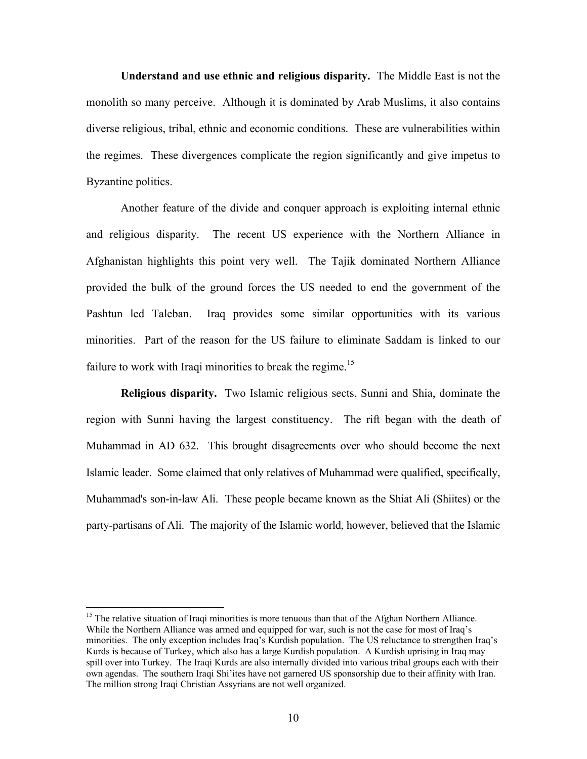**Understand and use ethnic and religious disparity.** The Middle East is not the monolith so many perceive. Although it is dominated by Arab Muslims, it also contains diverse religious, tribal, ethnic and economic conditions. These are vulnerabilities within the regimes. These divergences complicate the region significantly and give impetus to Byzantine politics.

Another feature of the divide and conquer approach is exploiting internal ethnic and religious disparity. The recent US experience with the Northern Alliance in Afghanistan highlights this point very well. The Tajik dominated Northern Alliance provided the bulk of the ground forces the US needed to end the government of the Pashtun led Taleban. Iraq provides some similar opportunities with its various minorities. Part of the reason for the US failure to eliminate Saddam is linked to our failure to work with Iraqi minorities to break the regime.<sup>15</sup>

**Religious disparity.** Two Islamic religious sects, Sunni and Shia, dominate the region with Sunni having the largest constituency. The rift began with the death of Muhammad in AD 632. This brought disagreements over who should become the next Islamic leader. Some claimed that only relatives of Muhammad were qualified, specifically, Muhammad's son-in-law Ali. These people became known as the Shiat Ali (Shiites) or the party-partisans of Ali. The majority of the Islamic world, however, believed that the Islamic

 $15$  The relative situation of Iraqi minorities is more tenuous than that of the Afghan Northern Alliance. While the Northern Alliance was armed and equipped for war, such is not the case for most of Iraq's minorities. The only exception includes Iraq's Kurdish population. The US reluctance to strengthen Iraq's Kurds is because of Turkey, which also has a large Kurdish population. A Kurdish uprising in Iraq may spill over into Turkey. The Iraqi Kurds are also internally divided into various tribal groups each with their own agendas. The southern Iraqi Shi'ites have not garnered US sponsorship due to their affinity with Iran. The million strong Iraqi Christian Assyrians are not well organized.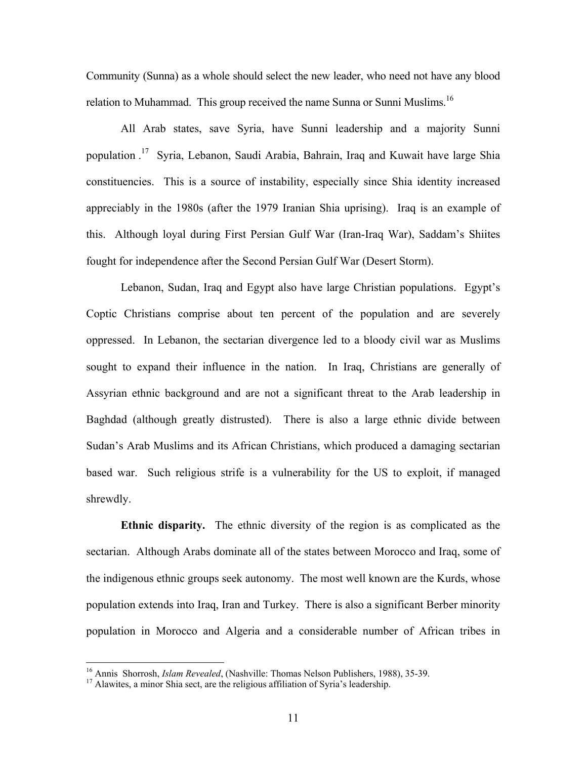Community (Sunna) as a whole should select the new leader, who need not have any blood relation to Muhammad. This group received the name Sunna or Sunni Muslims.<sup>16</sup>

All Arab states, save Syria, have Sunni leadership and a majority Sunni population . 17 Syria, Lebanon, Saudi Arabia, Bahrain, Iraq and Kuwait have large Shia constituencies. This is a source of instability, especially since Shia identity increased appreciably in the 1980s (after the 1979 Iranian Shia uprising). Iraq is an example of this. Although loyal during First Persian Gulf War (Iran-Iraq War), Saddam's Shiites fought for independence after the Second Persian Gulf War (Desert Storm).

Lebanon, Sudan, Iraq and Egypt also have large Christian populations. Egypt's Coptic Christians comprise about ten percent of the population and are severely oppressed. In Lebanon, the sectarian divergence led to a bloody civil war as Muslims sought to expand their influence in the nation. In Iraq, Christians are generally of Assyrian ethnic background and are not a significant threat to the Arab leadership in Baghdad (although greatly distrusted). There is also a large ethnic divide between Sudan's Arab Muslims and its African Christians, which produced a damaging sectarian based war. Such religious strife is a vulnerability for the US to exploit, if managed shrewdly.

**Ethnic disparity.** The ethnic diversity of the region is as complicated as the sectarian. Although Arabs dominate all of the states between Morocco and Iraq, some of the indigenous ethnic groups seek autonomy. The most well known are the Kurds, whose population extends into Iraq, Iran and Turkey. There is also a significant Berber minority population in Morocco and Algeria and a considerable number of African tribes in

<sup>&</sup>lt;sup>16</sup> Annis Shorrosh, *Islam Revealed*, (Nashville: Thomas Nelson Publishers, 1988), 35-39.

<sup>&</sup>lt;sup>17</sup> Alawites, a minor Shia sect, are the religious affiliation of Syria's leadership.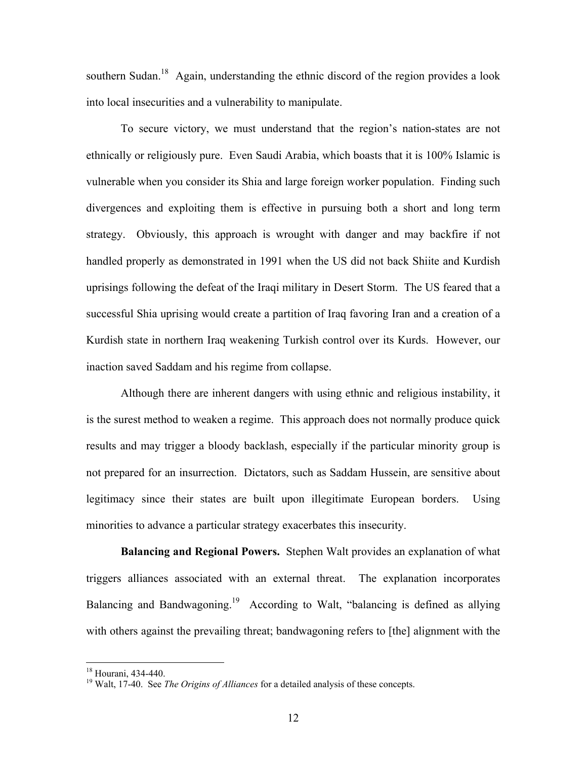southern Sudan.<sup>18</sup> Again, understanding the ethnic discord of the region provides a look into local insecurities and a vulnerability to manipulate.

To secure victory, we must understand that the region's nation-states are not ethnically or religiously pure. Even Saudi Arabia, which boasts that it is 100% Islamic is vulnerable when you consider its Shia and large foreign worker population. Finding such divergences and exploiting them is effective in pursuing both a short and long term strategy. Obviously, this approach is wrought with danger and may backfire if not handled properly as demonstrated in 1991 when the US did not back Shiite and Kurdish uprisings following the defeat of the Iraqi military in Desert Storm. The US feared that a successful Shia uprising would create a partition of Iraq favoring Iran and a creation of a Kurdish state in northern Iraq weakening Turkish control over its Kurds. However, our inaction saved Saddam and his regime from collapse.

Although there are inherent dangers with using ethnic and religious instability, it is the surest method to weaken a regime. This approach does not normally produce quick results and may trigger a bloody backlash, especially if the particular minority group is not prepared for an insurrection. Dictators, such as Saddam Hussein, are sensitive about legitimacy since their states are built upon illegitimate European borders. Using minorities to advance a particular strategy exacerbates this insecurity.

**Balancing and Regional Powers.** Stephen Walt provides an explanation of what triggers alliances associated with an external threat. The explanation incorporates Balancing and Bandwagoning.<sup>19</sup> According to Walt, "balancing is defined as allying with others against the prevailing threat; bandwagoning refers to [the] alignment with the

 $18$  Hourani. 434-440.

<sup>&</sup>lt;sup>19</sup> Walt, 17-40. See *The Origins of Alliances* for a detailed analysis of these concepts.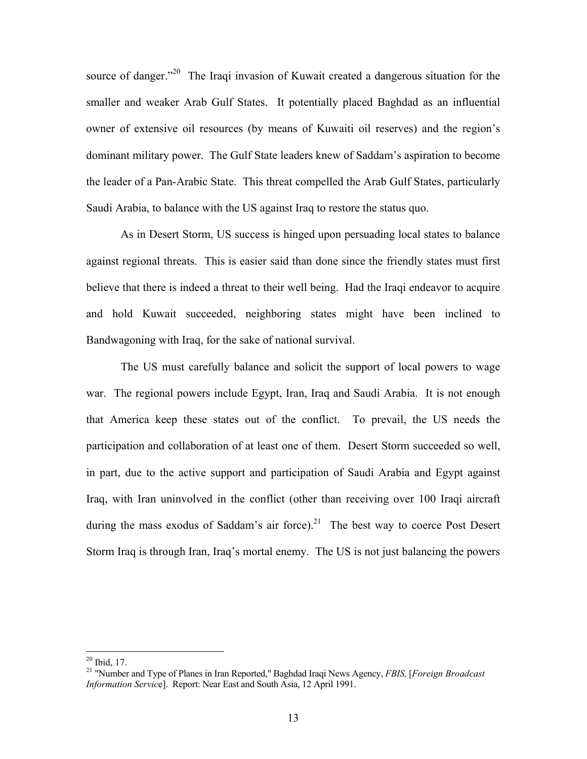source of danger.<sup>220</sup> The Iraqi invasion of Kuwait created a dangerous situation for the smaller and weaker Arab Gulf States. It potentially placed Baghdad as an influential owner of extensive oil resources (by means of Kuwaiti oil reserves) and the region's dominant military power. The Gulf State leaders knew of Saddam's aspiration to become the leader of a Pan-Arabic State. This threat compelled the Arab Gulf States, particularly Saudi Arabia, to balance with the US against Iraq to restore the status quo.

As in Desert Storm, US success is hinged upon persuading local states to balance against regional threats. This is easier said than done since the friendly states must first believe that there is indeed a threat to their well being. Had the Iraqi endeavor to acquire and hold Kuwait succeeded, neighboring states might have been inclined to Bandwagoning with Iraq, for the sake of national survival.

The US must carefully balance and solicit the support of local powers to wage war. The regional powers include Egypt, Iran, Iraq and Saudi Arabia. It is not enough that America keep these states out of the conflict. To prevail, the US needs the participation and collaboration of at least one of them. Desert Storm succeeded so well, in part, due to the active support and participation of Saudi Arabia and Egypt against Iraq, with Iran uninvolved in the conflict (other than receiving over 100 Iraqi aircraft during the mass exodus of Saddam's air force).<sup>21</sup> The best way to coerce Post Desert Storm Iraq is through Iran, Iraq's mortal enemy. The US is not just balancing the powers

<sup>20</sup> Ibid, 17. 21 "Number and Type of Planes in Iran Reported," Baghdad Iraqi News Agency, *FBIS,* [*Foreign Broadcast Information Servic*e]. Report: Near East and South Asia, 12 April 1991.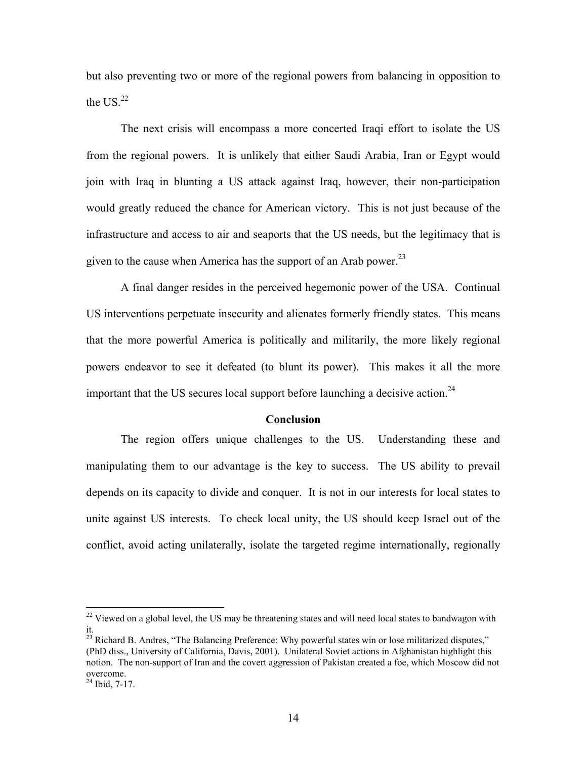but also preventing two or more of the regional powers from balancing in opposition to the US  $^{22}$ 

The next crisis will encompass a more concerted Iraqi effort to isolate the US from the regional powers. It is unlikely that either Saudi Arabia, Iran or Egypt would join with Iraq in blunting a US attack against Iraq, however, their non-participation would greatly reduced the chance for American victory. This is not just because of the infrastructure and access to air and seaports that the US needs, but the legitimacy that is given to the cause when America has the support of an Arab power.<sup>23</sup>

A final danger resides in the perceived hegemonic power of the USA. Continual US interventions perpetuate insecurity and alienates formerly friendly states. This means that the more powerful America is politically and militarily, the more likely regional powers endeavor to see it defeated (to blunt its power). This makes it all the more important that the US secures local support before launching a decisive action.<sup>24</sup>

#### **Conclusion**

The region offers unique challenges to the US. Understanding these and manipulating them to our advantage is the key to success. The US ability to prevail depends on its capacity to divide and conquer. It is not in our interests for local states to unite against US interests. To check local unity, the US should keep Israel out of the conflict, avoid acting unilaterally, isolate the targeted regime internationally, regionally

 $22$  Viewed on a global level, the US may be threatening states and will need local states to bandwagon with it.

 $^{23}$  Richard B. Andres, "The Balancing Preference: Why powerful states win or lose militarized disputes," (PhD diss., University of California, Davis, 2001). Unilateral Soviet actions in Afghanistan highlight this notion. The non-support of Iran and the covert aggression of Pakistan created a foe, which Moscow did not overcome. 24 Ibid, 7-17.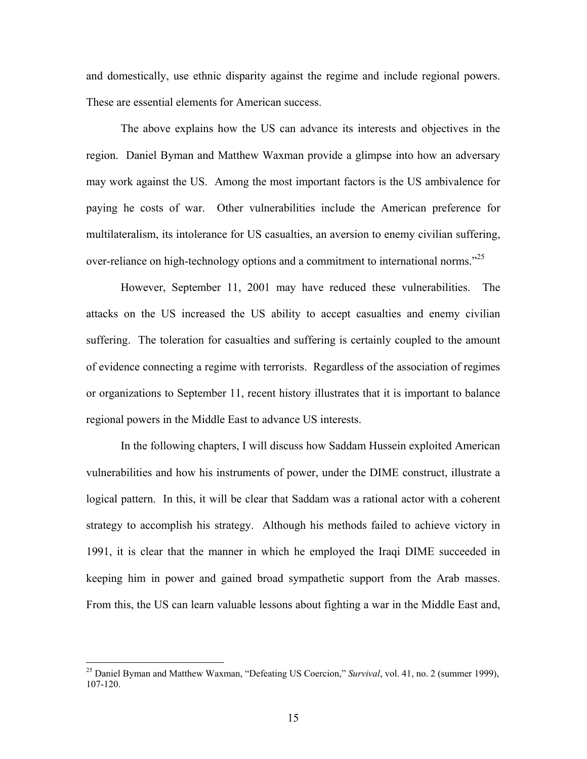and domestically, use ethnic disparity against the regime and include regional powers. These are essential elements for American success.

The above explains how the US can advance its interests and objectives in the region. Daniel Byman and Matthew Waxman provide a glimpse into how an adversary may work against the US. Among the most important factors is the US ambivalence for paying he costs of war. Other vulnerabilities include the American preference for multilateralism, its intolerance for US casualties, an aversion to enemy civilian suffering, over-reliance on high-technology options and a commitment to international norms.<sup>225</sup>

However, September 11, 2001 may have reduced these vulnerabilities. The attacks on the US increased the US ability to accept casualties and enemy civilian suffering. The toleration for casualties and suffering is certainly coupled to the amount of evidence connecting a regime with terrorists. Regardless of the association of regimes or organizations to September 11, recent history illustrates that it is important to balance regional powers in the Middle East to advance US interests.

In the following chapters, I will discuss how Saddam Hussein exploited American vulnerabilities and how his instruments of power, under the DIME construct, illustrate a logical pattern. In this, it will be clear that Saddam was a rational actor with a coherent strategy to accomplish his strategy. Although his methods failed to achieve victory in 1991, it is clear that the manner in which he employed the Iraqi DIME succeeded in keeping him in power and gained broad sympathetic support from the Arab masses. From this, the US can learn valuable lessons about fighting a war in the Middle East and,

<sup>25</sup> Daniel Byman and Matthew Waxman, "Defeating US Coercion," *Survival*, vol. 41, no. 2 (summer 1999), 107-120.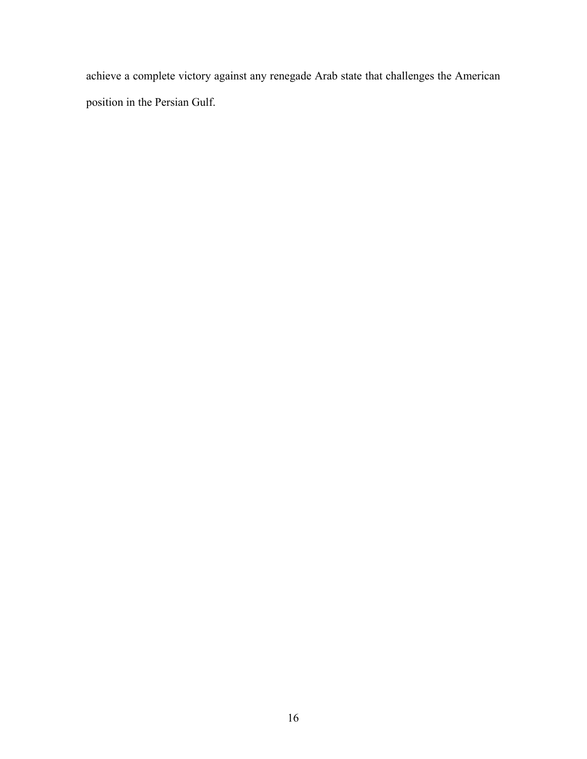achieve a complete victory against any renegade Arab state that challenges the American position in the Persian Gulf.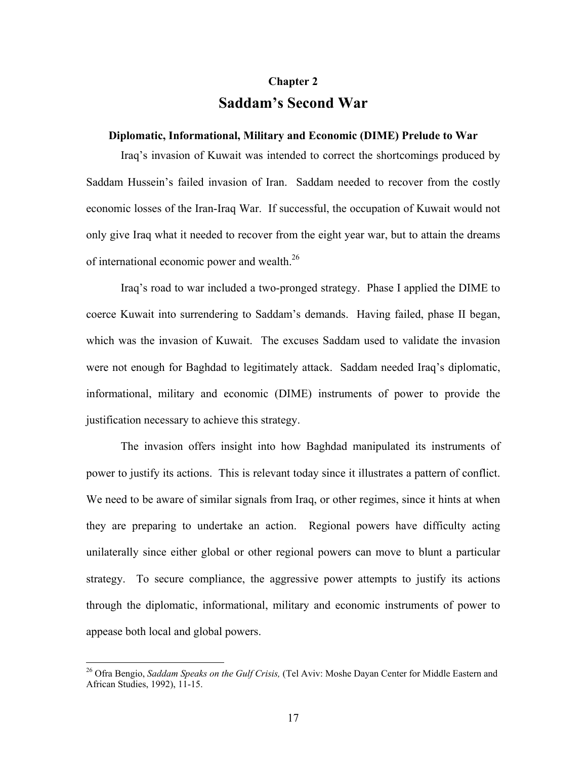### **Chapter 2 Saddam's Second War**

#### **Diplomatic, Informational, Military and Economic (DIME) Prelude to War**

Iraq's invasion of Kuwait was intended to correct the shortcomings produced by Saddam Hussein's failed invasion of Iran. Saddam needed to recover from the costly economic losses of the Iran-Iraq War. If successful, the occupation of Kuwait would not only give Iraq what it needed to recover from the eight year war, but to attain the dreams of international economic power and wealth.<sup>26</sup>

Iraq's road to war included a two-pronged strategy. Phase I applied the DIME to coerce Kuwait into surrendering to Saddam's demands. Having failed, phase II began, which was the invasion of Kuwait. The excuses Saddam used to validate the invasion were not enough for Baghdad to legitimately attack. Saddam needed Iraq's diplomatic, informational, military and economic (DIME) instruments of power to provide the justification necessary to achieve this strategy.

The invasion offers insight into how Baghdad manipulated its instruments of power to justify its actions. This is relevant today since it illustrates a pattern of conflict. We need to be aware of similar signals from Iraq, or other regimes, since it hints at when they are preparing to undertake an action. Regional powers have difficulty acting unilaterally since either global or other regional powers can move to blunt a particular strategy. To secure compliance, the aggressive power attempts to justify its actions through the diplomatic, informational, military and economic instruments of power to appease both local and global powers.

<sup>26</sup> Ofra Bengio, *Saddam Speaks on the Gulf Crisis,* (Tel Aviv: Moshe Dayan Center for Middle Eastern and African Studies, 1992), 11-15.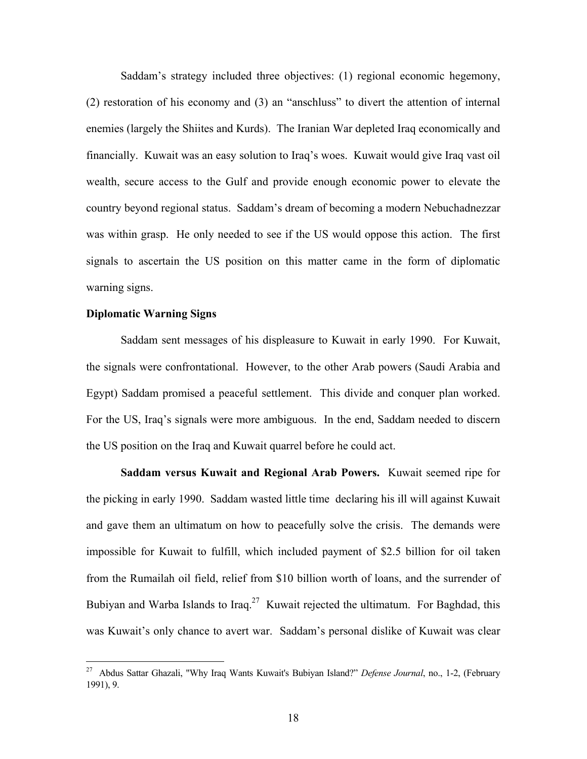Saddam's strategy included three objectives: (1) regional economic hegemony, (2) restoration of his economy and (3) an "anschluss" to divert the attention of internal enemies (largely the Shiites and Kurds). The Iranian War depleted Iraq economically and financially. Kuwait was an easy solution to Iraq's woes. Kuwait would give Iraq vast oil wealth, secure access to the Gulf and provide enough economic power to elevate the country beyond regional status. Saddam's dream of becoming a modern Nebuchadnezzar was within grasp. He only needed to see if the US would oppose this action. The first signals to ascertain the US position on this matter came in the form of diplomatic warning signs.

### **Diplomatic Warning Signs**

1

Saddam sent messages of his displeasure to Kuwait in early 1990. For Kuwait, the signals were confrontational. However, to the other Arab powers (Saudi Arabia and Egypt) Saddam promised a peaceful settlement. This divide and conquer plan worked. For the US, Iraq's signals were more ambiguous. In the end, Saddam needed to discern the US position on the Iraq and Kuwait quarrel before he could act.

**Saddam versus Kuwait and Regional Arab Powers.** Kuwait seemed ripe for the picking in early 1990. Saddam wasted little time declaring his ill will against Kuwait and gave them an ultimatum on how to peacefully solve the crisis. The demands were impossible for Kuwait to fulfill, which included payment of \$2.5 billion for oil taken from the Rumailah oil field, relief from \$10 billion worth of loans, and the surrender of Bubiyan and Warba Islands to Iraq.<sup>27</sup> Kuwait rejected the ultimatum. For Baghdad, this was Kuwait's only chance to avert war. Saddam's personal dislike of Kuwait was clear

<sup>27</sup> Abdus Sattar Ghazali, "Why Iraq Wants Kuwait's Bubiyan Island?" *Defense Journal*, no., 1-2, (February 1991), 9.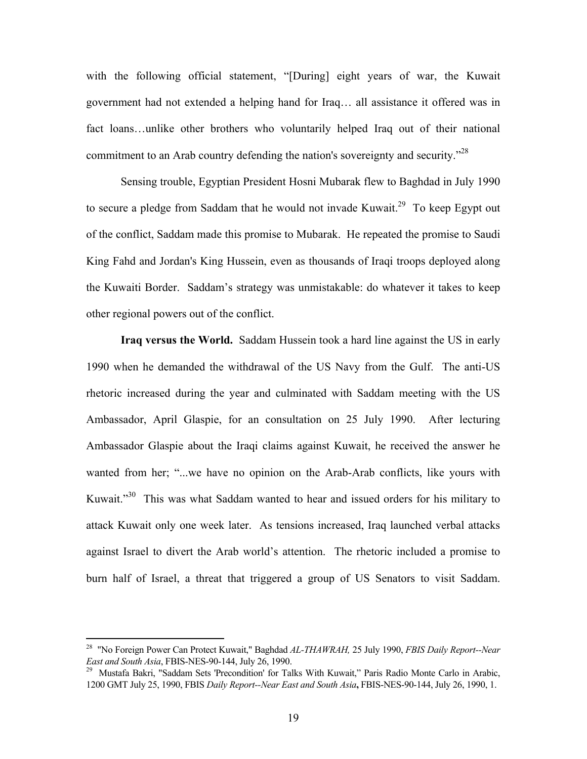with the following official statement, "[During] eight years of war, the Kuwait government had not extended a helping hand for Iraq… all assistance it offered was in fact loans…unlike other brothers who voluntarily helped Iraq out of their national commitment to an Arab country defending the nation's sovereignty and security.<sup>728</sup>

Sensing trouble, Egyptian President Hosni Mubarak flew to Baghdad in July 1990 to secure a pledge from Saddam that he would not invade Kuwait.<sup>29</sup> To keep Egypt out of the conflict, Saddam made this promise to Mubarak. He repeated the promise to Saudi King Fahd and Jordan's King Hussein, even as thousands of Iraqi troops deployed along the Kuwaiti Border. Saddam's strategy was unmistakable: do whatever it takes to keep other regional powers out of the conflict.

**Iraq versus the World.** Saddam Hussein took a hard line against the US in early 1990 when he demanded the withdrawal of the US Navy from the Gulf. The anti-US rhetoric increased during the year and culminated with Saddam meeting with the US Ambassador, April Glaspie, for an consultation on 25 July 1990. After lecturing Ambassador Glaspie about the Iraqi claims against Kuwait, he received the answer he wanted from her; "...we have no opinion on the Arab-Arab conflicts, like yours with Kuwait."<sup>30</sup> This was what Saddam wanted to hear and issued orders for his military to attack Kuwait only one week later. As tensions increased, Iraq launched verbal attacks against Israel to divert the Arab world's attention. The rhetoric included a promise to burn half of Israel, a threat that triggered a group of US Senators to visit Saddam.

<sup>28 &</sup>quot;No Foreign Power Can Protect Kuwait," Baghdad *AL-THAWRAH,* 25 July 1990, *FBIS Daily Report--Near East and South Asia*, FBIS-NES-90-144, July 26, 1990.<br><sup>29</sup> Mustafa Bakri, "Saddam Sets 'Precondition' for Talks With Kuwait," Paris Radio Monte Carlo in Arabic,

<sup>1200</sup> GMT July 25, 1990, FBIS *Daily Report--Near East and South Asia***,** FBIS-NES-90-144, July 26, 1990, 1.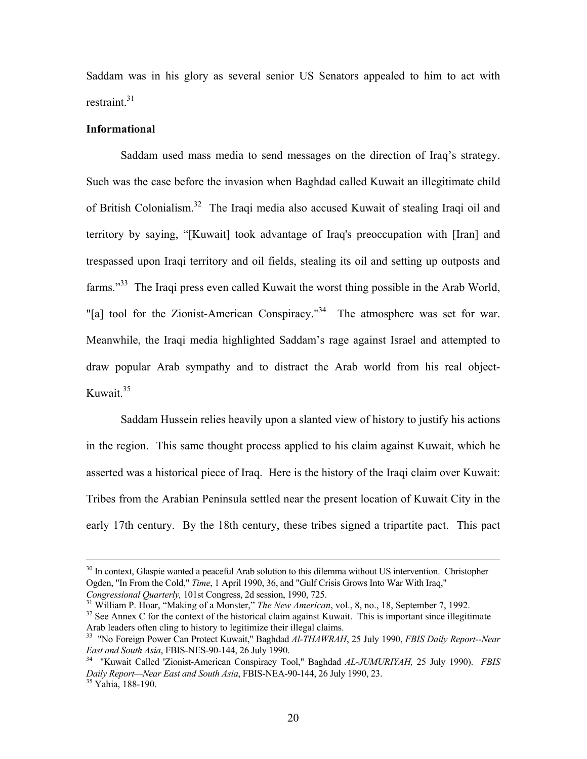Saddam was in his glory as several senior US Senators appealed to him to act with restraint  $31$ 

### **Informational**

Saddam used mass media to send messages on the direction of Iraq's strategy. Such was the case before the invasion when Baghdad called Kuwait an illegitimate child of British Colonialism.<sup>32</sup> The Iraqi media also accused Kuwait of stealing Iraqi oil and territory by saying, "[Kuwait] took advantage of Iraq's preoccupation with [Iran] and trespassed upon Iraqi territory and oil fields, stealing its oil and setting up outposts and farms."<sup>33</sup> The Iraqi press even called Kuwait the worst thing possible in the Arab World, "[a] tool for the Zionist-American Conspiracy."<sup>34</sup> The atmosphere was set for war. Meanwhile, the Iraqi media highlighted Saddam's rage against Israel and attempted to draw popular Arab sympathy and to distract the Arab world from his real object-Kuwait.<sup>35</sup>

Saddam Hussein relies heavily upon a slanted view of history to justify his actions in the region. This same thought process applied to his claim against Kuwait, which he asserted was a historical piece of Iraq. Here is the history of the Iraqi claim over Kuwait: Tribes from the Arabian Peninsula settled near the present location of Kuwait City in the early 17th century. By the 18th century, these tribes signed a tripartite pact. This pact

<sup>&</sup>lt;sup>30</sup> In context, Glaspie wanted a peaceful Arab solution to this dilemma without US intervention. Christopher Ogden, "In From the Cold," *Time*, 1 April 1990, 36, and "Gulf Crisis Grows Into War With Iraq,"

Congressional Quarterly, 101st Congress, 2d session, 1990, 725.<br><sup>31</sup> William P. Hoar, "Making of a Monster," *The New American*, vol., 8, no., 18, September 7, 1992.<br><sup>32</sup> See Annex C for the context of the historical claim

<sup>&</sup>lt;sup>33</sup> "No Foreign Power Can Protect Kuwait," Baghdad *Al-THAWRAH*, 25 July 1990, *FBIS Daily Report--Near*<br>*East and South Asia*. FBIS-NES-90-144. 26 July 1990.

<sup>&</sup>lt;sup>34</sup> "Kuwait Called 'Zionist-American Conspiracy Tool," Baghdad *AL-JUMURIYAH*, 25 July 1990). *FBIS Daily Report—Near East and South Asia*, FBIS-NEA-90-144, 26 July 1990, 23. 35 Yahia, 188-190.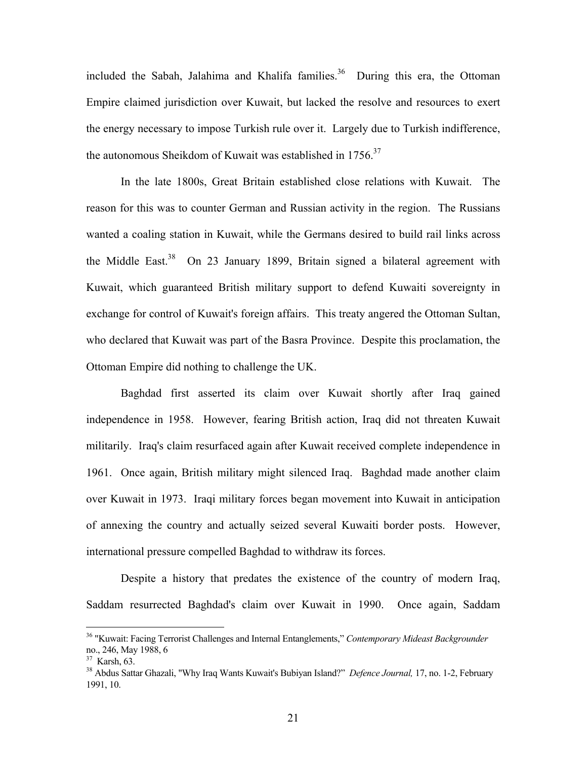included the Sabah, Jalahima and Khalifa families.<sup>36</sup> During this era, the Ottoman Empire claimed jurisdiction over Kuwait, but lacked the resolve and resources to exert the energy necessary to impose Turkish rule over it. Largely due to Turkish indifference, the autonomous Sheikdom of Kuwait was established in 1756.<sup>37</sup>

In the late 1800s, Great Britain established close relations with Kuwait. The reason for this was to counter German and Russian activity in the region. The Russians wanted a coaling station in Kuwait, while the Germans desired to build rail links across the Middle East.<sup>38</sup> On 23 January 1899, Britain signed a bilateral agreement with Kuwait, which guaranteed British military support to defend Kuwaiti sovereignty in exchange for control of Kuwait's foreign affairs. This treaty angered the Ottoman Sultan, who declared that Kuwait was part of the Basra Province. Despite this proclamation, the Ottoman Empire did nothing to challenge the UK.

Baghdad first asserted its claim over Kuwait shortly after Iraq gained independence in 1958. However, fearing British action, Iraq did not threaten Kuwait militarily. Iraq's claim resurfaced again after Kuwait received complete independence in 1961. Once again, British military might silenced Iraq. Baghdad made another claim over Kuwait in 1973. Iraqi military forces began movement into Kuwait in anticipation of annexing the country and actually seized several Kuwaiti border posts. However, international pressure compelled Baghdad to withdraw its forces.

Despite a history that predates the existence of the country of modern Iraq, Saddam resurrected Baghdad's claim over Kuwait in 1990. Once again, Saddam

<sup>36 &</sup>quot;Kuwait: Facing Terrorist Challenges and Internal Entanglements," *Contemporary Mideast Backgrounder*  no., 246, May 1988, 6<br><sup>37</sup> Karsh, 63.<br><sup>38</sup> Abdus Sattar Ghazali, "Why Iraq Wants Kuwait's Bubiyan Island?" *Defence Journal*, 17, no. 1-2, February

<sup>1991, 10.</sup>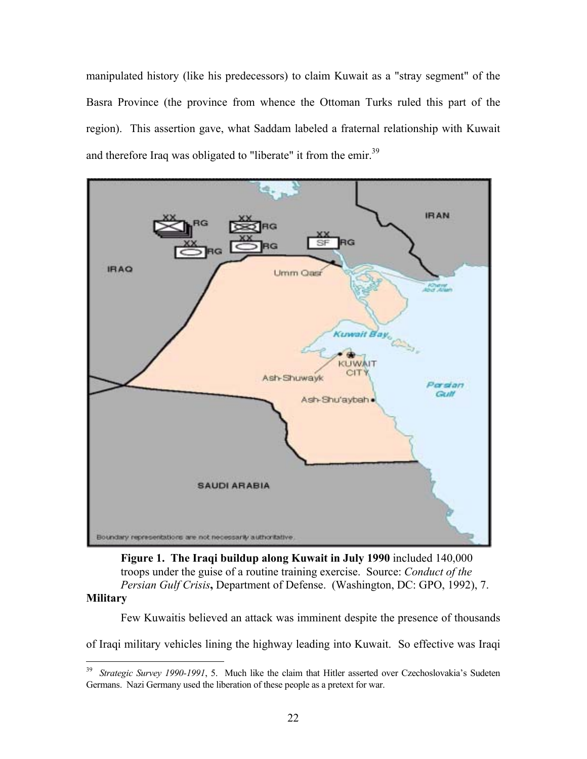manipulated history (like his predecessors) to claim Kuwait as a "stray segment" of the Basra Province (the province from whence the Ottoman Turks ruled this part of the region). This assertion gave, what Saddam labeled a fraternal relationship with Kuwait and therefore Iraq was obligated to "liberate" it from the emir.<sup>39</sup>



**Figure 1. The Iraqi buildup along Kuwait in July 1990** included 140,000 troops under the guise of a routine training exercise. Source: *Conduct of the Persian Gulf Crisis***,** Department of Defense. (Washington, DC: GPO, 1992), 7.

### **Military**

1

Few Kuwaitis believed an attack was imminent despite the presence of thousands

of Iraqi military vehicles lining the highway leading into Kuwait. So effective was Iraqi

<sup>&</sup>lt;sup>39</sup> *Strategic Survey 1990-1991*, 5. Much like the claim that Hitler asserted over Czechoslovakia's Sudeten Germans. Nazi Germany used the liberation of these people as a pretext for war.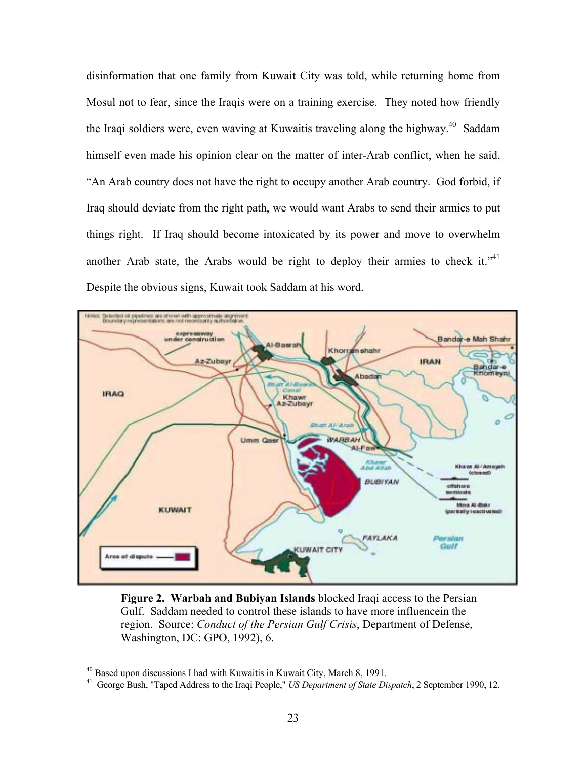disinformation that one family from Kuwait City was told, while returning home from Mosul not to fear, since the Iraqis were on a training exercise. They noted how friendly the Iraqi soldiers were, even waving at Kuwaitis traveling along the highway.<sup>40</sup> Saddam himself even made his opinion clear on the matter of inter-Arab conflict, when he said, "An Arab country does not have the right to occupy another Arab country. God forbid, if Iraq should deviate from the right path, we would want Arabs to send their armies to put things right. If Iraq should become intoxicated by its power and move to overwhelm another Arab state, the Arabs would be right to deploy their armies to check it."<sup>41</sup> Despite the obvious signs, Kuwait took Saddam at his word.



**Figure 2. Warbah and Bubiyan Islands** blocked Iraqi access to the Persian Gulf. Saddam needed to control these islands to have more influencein the region. Source: *Conduct of the Persian Gulf Crisis*, Department of Defense, Washington, DC: GPO, 1992), 6.

<sup>&</sup>lt;sup>40</sup> Based upon discussions I had with Kuwaitis in Kuwait City, March 8, 1991.<br><sup>41</sup> George Bush, "Taped Address to the Iraqi People," *US Department of State Dispatch*, 2 September 1990, 12.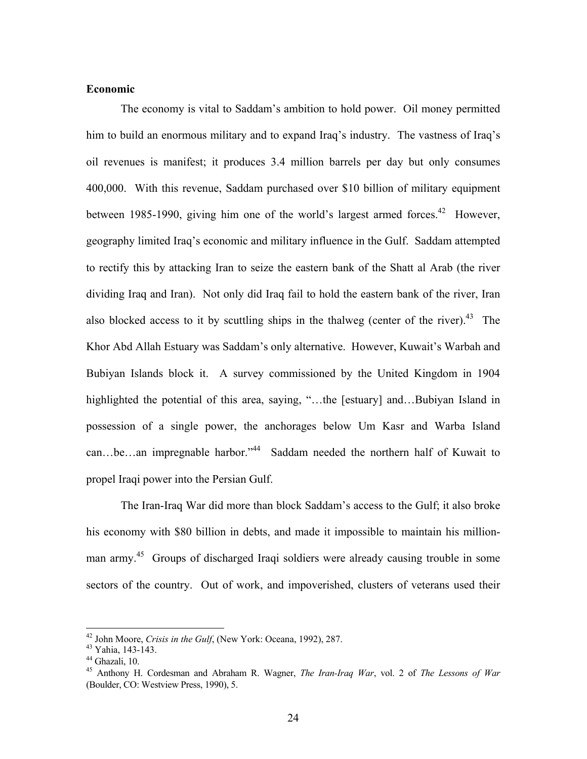### **Economic**

The economy is vital to Saddam's ambition to hold power. Oil money permitted him to build an enormous military and to expand Iraq's industry. The vastness of Iraq's oil revenues is manifest; it produces 3.4 million barrels per day but only consumes 400,000. With this revenue, Saddam purchased over \$10 billion of military equipment between 1985-1990, giving him one of the world's largest armed forces.<sup>42</sup> However, geography limited Iraq's economic and military influence in the Gulf. Saddam attempted to rectify this by attacking Iran to seize the eastern bank of the Shatt al Arab (the river dividing Iraq and Iran). Not only did Iraq fail to hold the eastern bank of the river, Iran also blocked access to it by scuttling ships in the thalweg (center of the river).<sup>43</sup> The Khor Abd Allah Estuary was Saddam's only alternative. However, Kuwait's Warbah and Bubiyan Islands block it. A survey commissioned by the United Kingdom in 1904 highlighted the potential of this area, saying, "…the [estuary] and…Bubiyan Island in possession of a single power, the anchorages below Um Kasr and Warba Island can…be…an impregnable harbor."<sup>44</sup> Saddam needed the northern half of Kuwait to propel Iraqi power into the Persian Gulf.

The Iran-Iraq War did more than block Saddam's access to the Gulf; it also broke his economy with \$80 billion in debts, and made it impossible to maintain his millionman army.<sup>45</sup> Groups of discharged Iraqi soldiers were already causing trouble in some sectors of the country. Out of work, and impoverished, clusters of veterans used their

<sup>&</sup>lt;sup>42</sup> John Moore, Crisis in the Gulf, (New York: Oceana, 1992), 287.

<sup>&</sup>lt;sup>43</sup> Yahia, 143-143.<br><sup>44</sup> Ghazali, 10.<br><sup>45</sup> Anthony H. Cordesman and Abraham R. Wagner, *The Iran-Iraq War*, vol. 2 of *The Lessons of War* (Boulder, CO: Westview Press, 1990), 5.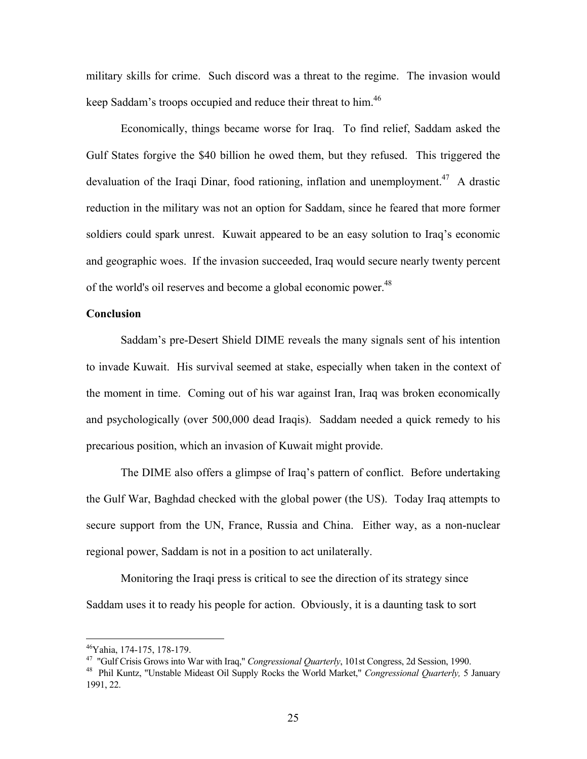military skills for crime. Such discord was a threat to the regime. The invasion would keep Saddam's troops occupied and reduce their threat to him.<sup>46</sup>

Economically, things became worse for Iraq. To find relief, Saddam asked the Gulf States forgive the \$40 billion he owed them, but they refused. This triggered the devaluation of the Iraqi Dinar, food rationing, inflation and unemployment.<sup>47</sup> A drastic reduction in the military was not an option for Saddam, since he feared that more former soldiers could spark unrest. Kuwait appeared to be an easy solution to Iraq's economic and geographic woes. If the invasion succeeded, Iraq would secure nearly twenty percent of the world's oil reserves and become a global economic power.<sup>48</sup>

## **Conclusion**

Saddam's pre-Desert Shield DIME reveals the many signals sent of his intention to invade Kuwait. His survival seemed at stake, especially when taken in the context of the moment in time. Coming out of his war against Iran, Iraq was broken economically and psychologically (over 500,000 dead Iraqis). Saddam needed a quick remedy to his precarious position, which an invasion of Kuwait might provide.

The DIME also offers a glimpse of Iraq's pattern of conflict. Before undertaking the Gulf War, Baghdad checked with the global power (the US). Today Iraq attempts to secure support from the UN, France, Russia and China. Either way, as a non-nuclear regional power, Saddam is not in a position to act unilaterally.

Monitoring the Iraqi press is critical to see the direction of its strategy since Saddam uses it to ready his people for action. Obviously, it is a daunting task to sort

<sup>&</sup>lt;sup>46</sup>Yahia, 174-175, 178-179.<br><sup>47</sup> "Gulf Crisis Grows into War with Iraq," *Congressional Quarterly*, 101st Congress, 2d Session, 1990.

<sup>&</sup>lt;sup>48</sup> Phil Kuntz, "Unstable Mideast Oil Supply Rocks the World Market," *Congressional Quarterly*, 5 January 1991, 22.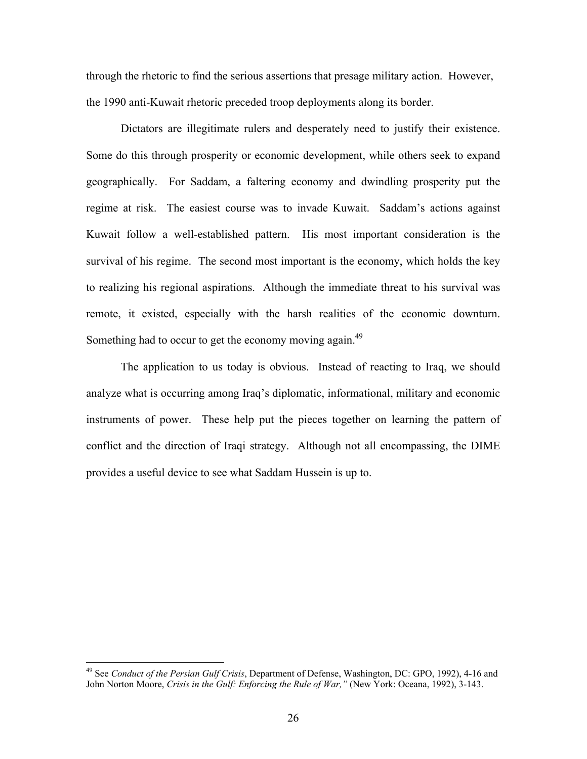through the rhetoric to find the serious assertions that presage military action. However, the 1990 anti-Kuwait rhetoric preceded troop deployments along its border.

Dictators are illegitimate rulers and desperately need to justify their existence. Some do this through prosperity or economic development, while others seek to expand geographically. For Saddam, a faltering economy and dwindling prosperity put the regime at risk. The easiest course was to invade Kuwait. Saddam's actions against Kuwait follow a well-established pattern. His most important consideration is the survival of his regime. The second most important is the economy, which holds the key to realizing his regional aspirations. Although the immediate threat to his survival was remote, it existed, especially with the harsh realities of the economic downturn. Something had to occur to get the economy moving again.<sup>49</sup>

The application to us today is obvious. Instead of reacting to Iraq, we should analyze what is occurring among Iraq's diplomatic, informational, military and economic instruments of power. These help put the pieces together on learning the pattern of conflict and the direction of Iraqi strategy. Although not all encompassing, the DIME provides a useful device to see what Saddam Hussein is up to.

<sup>49</sup> See *Conduct of the Persian Gulf Crisis*, Department of Defense, Washington, DC: GPO, 1992), 4-16 and John Norton Moore, *Crisis in the Gulf: Enforcing the Rule of War,"* (New York: Oceana, 1992), 3-143.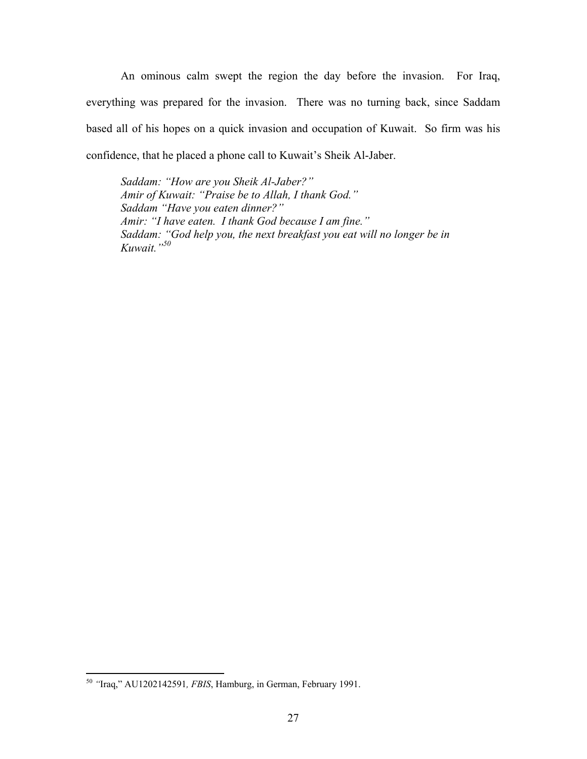An ominous calm swept the region the day before the invasion. For Iraq, everything was prepared for the invasion. There was no turning back, since Saddam based all of his hopes on a quick invasion and occupation of Kuwait. So firm was his confidence, that he placed a phone call to Kuwait's Sheik Al-Jaber.

*Saddam: "How are you Sheik Al-Jaber?" Amir of Kuwait: "Praise be to Allah, I thank God." Saddam "Have you eaten dinner?" Amir: "I have eaten. I thank God because I am fine." Saddam: "God help you, the next breakfast you eat will no longer be in Kuwait."50* 

<sup>50</sup> *"*Iraq," AU1202142591*, FBIS*, Hamburg, in German, February 1991.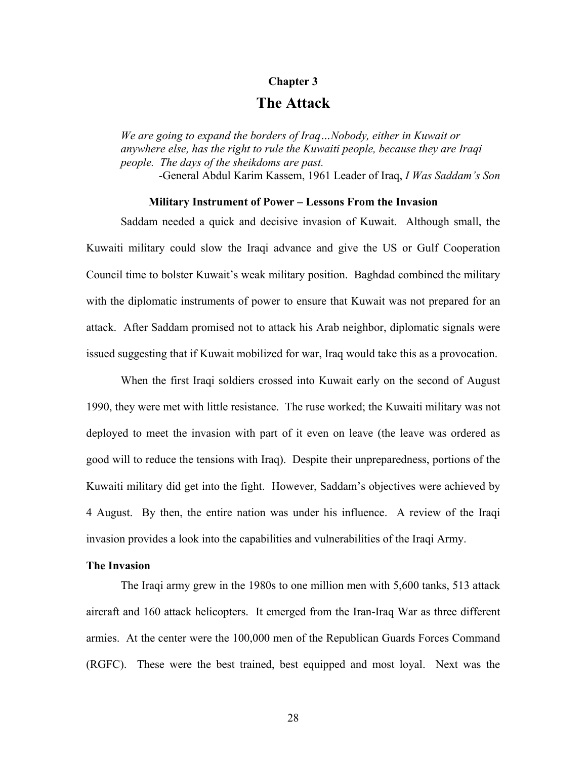### **Chapter 3**

# **The Attack**

*We are going to expand the borders of Iraq…Nobody, either in Kuwait or anywhere else, has the right to rule the Kuwaiti people, because they are Iraqi people. The days of the sheikdoms are past.* 

-General Abdul Karim Kassem, 1961 Leader of Iraq, *I Was Saddam's Son*

### **Military Instrument of Power – Lessons From the Invasion**

Saddam needed a quick and decisive invasion of Kuwait. Although small, the Kuwaiti military could slow the Iraqi advance and give the US or Gulf Cooperation Council time to bolster Kuwait's weak military position. Baghdad combined the military with the diplomatic instruments of power to ensure that Kuwait was not prepared for an attack. After Saddam promised not to attack his Arab neighbor, diplomatic signals were issued suggesting that if Kuwait mobilized for war, Iraq would take this as a provocation.

When the first Iraqi soldiers crossed into Kuwait early on the second of August 1990, they were met with little resistance. The ruse worked; the Kuwaiti military was not deployed to meet the invasion with part of it even on leave (the leave was ordered as good will to reduce the tensions with Iraq). Despite their unpreparedness, portions of the Kuwaiti military did get into the fight. However, Saddam's objectives were achieved by 4 August. By then, the entire nation was under his influence. A review of the Iraqi invasion provides a look into the capabilities and vulnerabilities of the Iraqi Army.

# **The Invasion**

The Iraqi army grew in the 1980s to one million men with 5,600 tanks, 513 attack aircraft and 160 attack helicopters. It emerged from the Iran-Iraq War as three different armies. At the center were the 100,000 men of the Republican Guards Forces Command (RGFC). These were the best trained, best equipped and most loyal. Next was the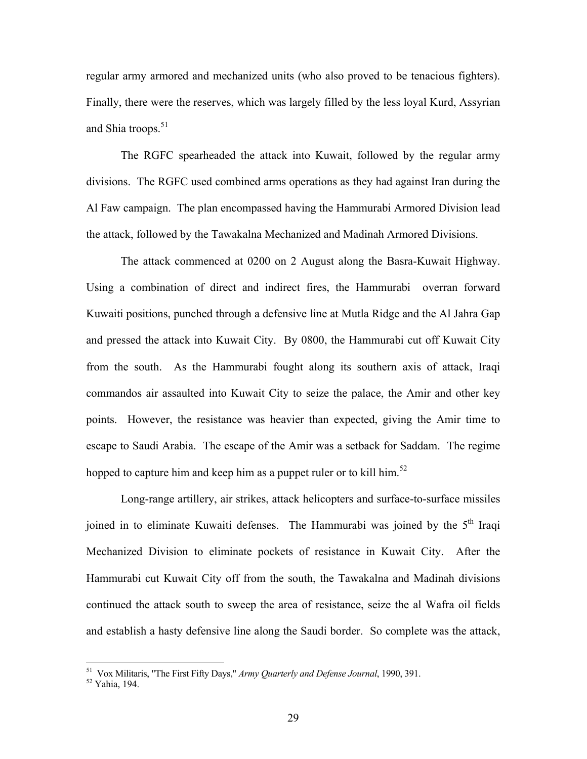regular army armored and mechanized units (who also proved to be tenacious fighters). Finally, there were the reserves, which was largely filled by the less loyal Kurd, Assyrian and Shia troops.<sup>51</sup>

The RGFC spearheaded the attack into Kuwait, followed by the regular army divisions. The RGFC used combined arms operations as they had against Iran during the Al Faw campaign. The plan encompassed having the Hammurabi Armored Division lead the attack, followed by the Tawakalna Mechanized and Madinah Armored Divisions.

The attack commenced at 0200 on 2 August along the Basra-Kuwait Highway. Using a combination of direct and indirect fires, the Hammurabi overran forward Kuwaiti positions, punched through a defensive line at Mutla Ridge and the Al Jahra Gap and pressed the attack into Kuwait City. By 0800, the Hammurabi cut off Kuwait City from the south. As the Hammurabi fought along its southern axis of attack, Iraqi commandos air assaulted into Kuwait City to seize the palace, the Amir and other key points. However, the resistance was heavier than expected, giving the Amir time to escape to Saudi Arabia. The escape of the Amir was a setback for Saddam. The regime hopped to capture him and keep him as a puppet ruler or to kill him.<sup>52</sup>

Long-range artillery, air strikes, attack helicopters and surface-to-surface missiles joined in to eliminate Kuwaiti defenses. The Hammurabi was joined by the 5<sup>th</sup> Iraqi Mechanized Division to eliminate pockets of resistance in Kuwait City. After the Hammurabi cut Kuwait City off from the south, the Tawakalna and Madinah divisions continued the attack south to sweep the area of resistance, seize the al Wafra oil fields and establish a hasty defensive line along the Saudi border. So complete was the attack,

<sup>&</sup>lt;sup>51</sup> Vox Militaris, "The First Fifty Days," *Army Quarterly and Defense Journal*, 1990, 391.<br><sup>52</sup> Yahia, 194.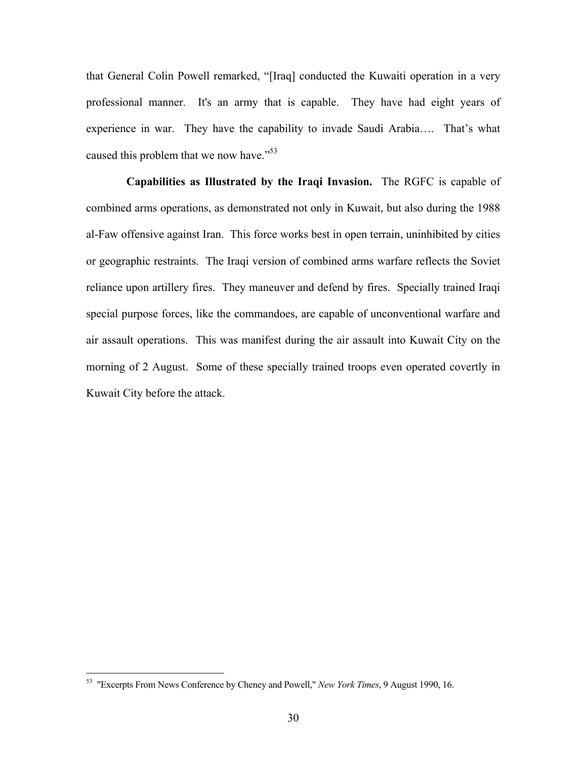that General Colin Powell remarked, "[Iraq] conducted the Kuwaiti operation in a very professional manner. It's an army that is capable. They have had eight years of experience in war. They have the capability to invade Saudi Arabia…. That's what caused this problem that we now have."<sup>53</sup>

 **Capabilities as Illustrated by the Iraqi Invasion.** The RGFC is capable of combined arms operations, as demonstrated not only in Kuwait, but also during the 1988 al-Faw offensive against Iran. This force works best in open terrain, uninhibited by cities or geographic restraints. The Iraqi version of combined arms warfare reflects the Soviet reliance upon artillery fires. They maneuver and defend by fires. Specially trained Iraqi special purpose forces, like the commandoes, are capable of unconventional warfare and air assault operations. This was manifest during the air assault into Kuwait City on the morning of 2 August. Some of these specially trained troops even operated covertly in Kuwait City before the attack.

<sup>53 &</sup>quot;Excerpts From News Conference by Cheney and Powell," *New York Times*, 9 August 1990, 16.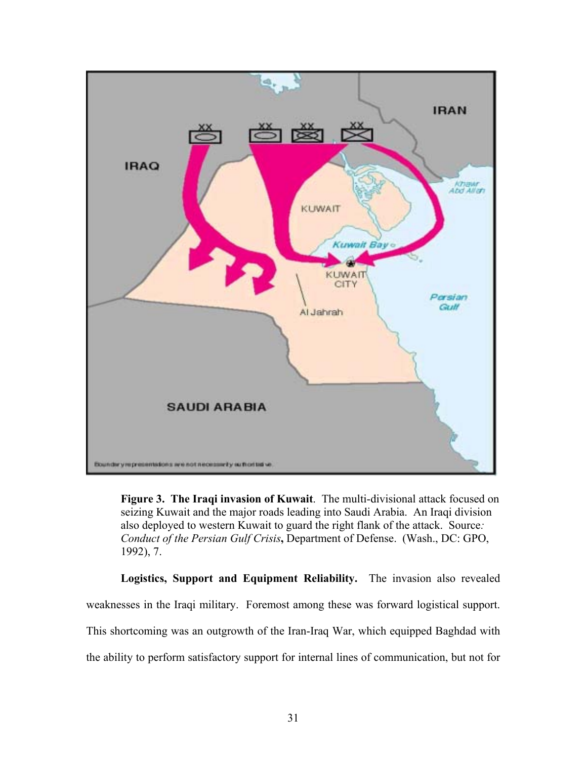

**Figure 3. The Iraqi invasion of Kuwait**. The multi-divisional attack focused on seizing Kuwait and the major roads leading into Saudi Arabia. An Iraqi division also deployed to western Kuwait to guard the right flank of the attack. Source*: Conduct of the Persian Gulf Crisis***,** Department of Defense. (Wash., DC: GPO, 1992), 7.

**Logistics, Support and Equipment Reliability.** The invasion also revealed weaknesses in the Iraqi military. Foremost among these was forward logistical support. This shortcoming was an outgrowth of the Iran-Iraq War, which equipped Baghdad with the ability to perform satisfactory support for internal lines of communication, but not for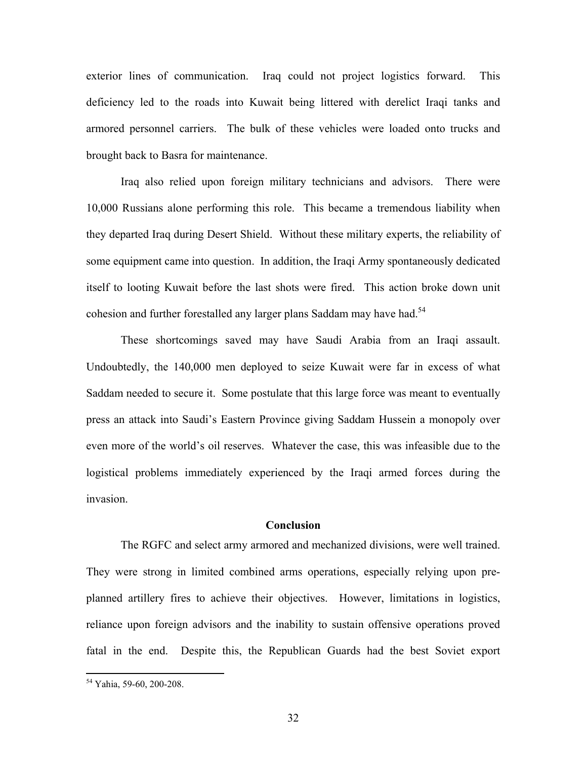exterior lines of communication. Iraq could not project logistics forward. This deficiency led to the roads into Kuwait being littered with derelict Iraqi tanks and armored personnel carriers. The bulk of these vehicles were loaded onto trucks and brought back to Basra for maintenance.

Iraq also relied upon foreign military technicians and advisors. There were 10,000 Russians alone performing this role. This became a tremendous liability when they departed Iraq during Desert Shield. Without these military experts, the reliability of some equipment came into question. In addition, the Iraqi Army spontaneously dedicated itself to looting Kuwait before the last shots were fired. This action broke down unit cohesion and further forestalled any larger plans Saddam may have had.<sup>54</sup>

These shortcomings saved may have Saudi Arabia from an Iraqi assault. Undoubtedly, the 140,000 men deployed to seize Kuwait were far in excess of what Saddam needed to secure it. Some postulate that this large force was meant to eventually press an attack into Saudi's Eastern Province giving Saddam Hussein a monopoly over even more of the world's oil reserves. Whatever the case, this was infeasible due to the logistical problems immediately experienced by the Iraqi armed forces during the invasion.

#### **Conclusion**

The RGFC and select army armored and mechanized divisions, were well trained. They were strong in limited combined arms operations, especially relying upon preplanned artillery fires to achieve their objectives. However, limitations in logistics, reliance upon foreign advisors and the inability to sustain offensive operations proved fatal in the end. Despite this, the Republican Guards had the best Soviet export

<sup>54</sup> Yahia, 59-60, 200-208.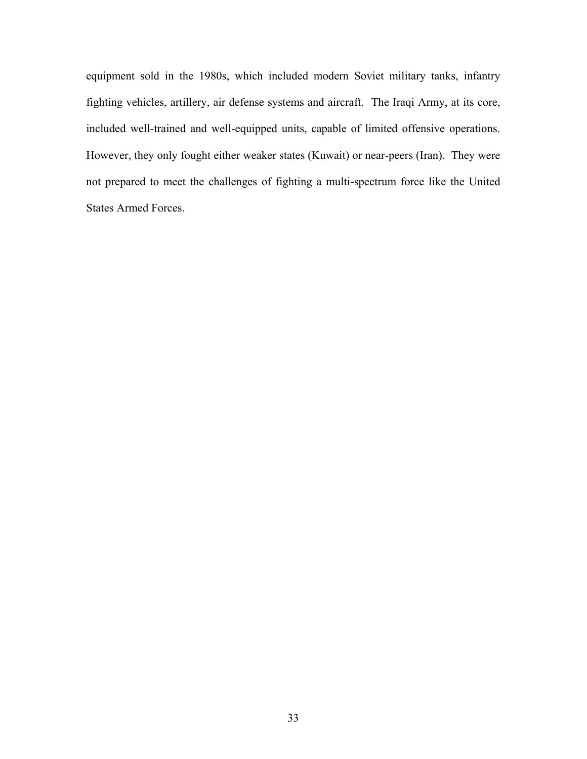equipment sold in the 1980s, which included modern Soviet military tanks, infantry fighting vehicles, artillery, air defense systems and aircraft. The Iraqi Army, at its core, included well-trained and well-equipped units, capable of limited offensive operations. However, they only fought either weaker states (Kuwait) or near-peers (Iran). They were not prepared to meet the challenges of fighting a multi-spectrum force like the United States Armed Forces.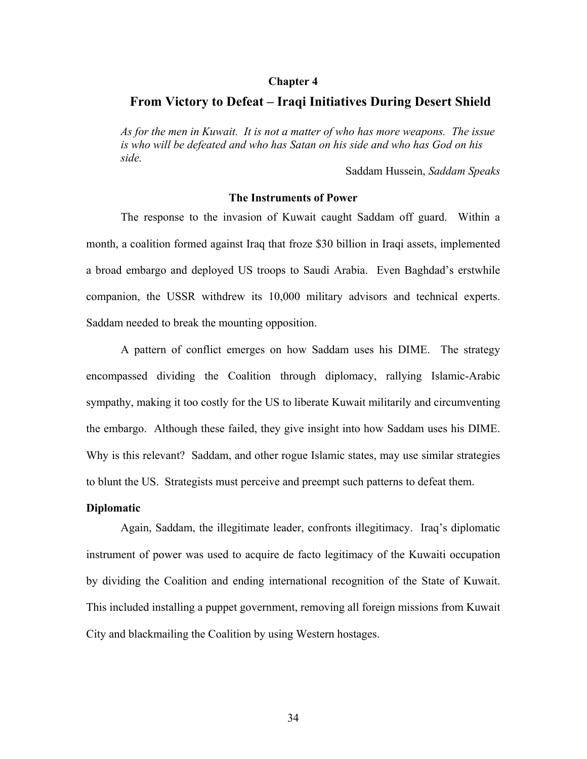#### **Chapter 4**

### **From Victory to Defeat – Iraqi Initiatives During Desert Shield**

*As for the men in Kuwait. It is not a matter of who has more weapons. The issue is who will be defeated and who has Satan on his side and who has God on his side.* 

Saddam Hussein, *Saddam Speaks*

#### **The Instruments of Power**

The response to the invasion of Kuwait caught Saddam off guard. Within a month, a coalition formed against Iraq that froze \$30 billion in Iraqi assets, implemented a broad embargo and deployed US troops to Saudi Arabia. Even Baghdad's erstwhile companion, the USSR withdrew its 10,000 military advisors and technical experts. Saddam needed to break the mounting opposition.

A pattern of conflict emerges on how Saddam uses his DIME. The strategy encompassed dividing the Coalition through diplomacy, rallying Islamic-Arabic sympathy, making it too costly for the US to liberate Kuwait militarily and circumventing the embargo. Although these failed, they give insight into how Saddam uses his DIME. Why is this relevant? Saddam, and other rogue Islamic states, may use similar strategies to blunt the US. Strategists must perceive and preempt such patterns to defeat them.

#### **Diplomatic**

Again, Saddam, the illegitimate leader, confronts illegitimacy. Iraq's diplomatic instrument of power was used to acquire de facto legitimacy of the Kuwaiti occupation by dividing the Coalition and ending international recognition of the State of Kuwait. This included installing a puppet government, removing all foreign missions from Kuwait City and blackmailing the Coalition by using Western hostages.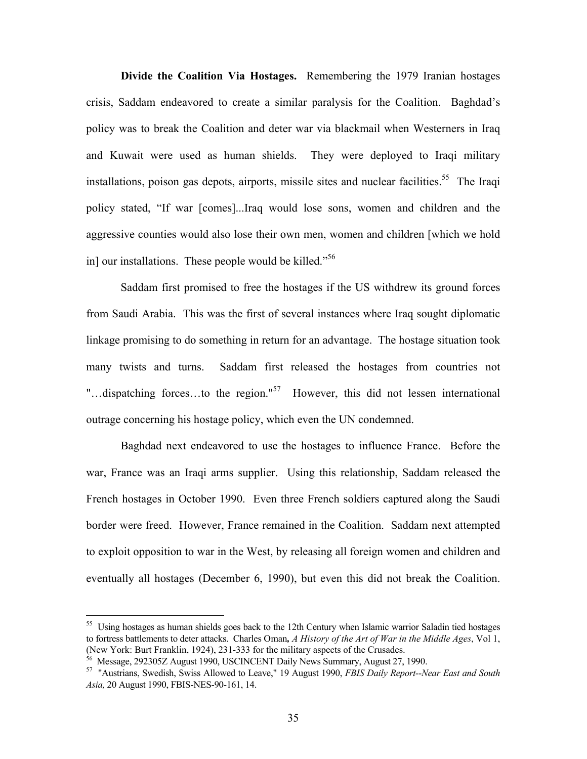**Divide the Coalition Via Hostages.** Remembering the 1979 Iranian hostages crisis, Saddam endeavored to create a similar paralysis for the Coalition. Baghdad's policy was to break the Coalition and deter war via blackmail when Westerners in Iraq and Kuwait were used as human shields. They were deployed to Iraqi military installations, poison gas depots, airports, missile sites and nuclear facilities.<sup>55</sup> The Iraqi policy stated, "If war [comes]...Iraq would lose sons, women and children and the aggressive counties would also lose their own men, women and children [which we hold in] our installations. These people would be killed."56

Saddam first promised to free the hostages if the US withdrew its ground forces from Saudi Arabia. This was the first of several instances where Iraq sought diplomatic linkage promising to do something in return for an advantage. The hostage situation took many twists and turns. Saddam first released the hostages from countries not "...dispatching forces...to the region."<sup>57</sup> However, this did not lessen international outrage concerning his hostage policy, which even the UN condemned.

Baghdad next endeavored to use the hostages to influence France. Before the war, France was an Iraqi arms supplier. Using this relationship, Saddam released the French hostages in October 1990. Even three French soldiers captured along the Saudi border were freed. However, France remained in the Coalition. Saddam next attempted to exploit opposition to war in the West, by releasing all foreign women and children and eventually all hostages (December 6, 1990), but even this did not break the Coalition.

<sup>&</sup>lt;sup>55</sup> Using hostages as human shields goes back to the 12th Century when Islamic warrior Saladin tied hostages to fortress battlements to deter attacks. Charles Oman*, A History of the Art of War in the Middle Ages*, Vol 1,

 $\frac{36}{56}$  Message, 292305Z August 1990, USCINCENT Daily News Summary, August 27, 1990.<br><sup>57</sup> "Austrians, Swedish, Swiss Allowed to Leave," 19 August 1990, *FBIS Daily Report--Near East and South Asia,* 20 August 1990, FBIS-NES-90-161, 14.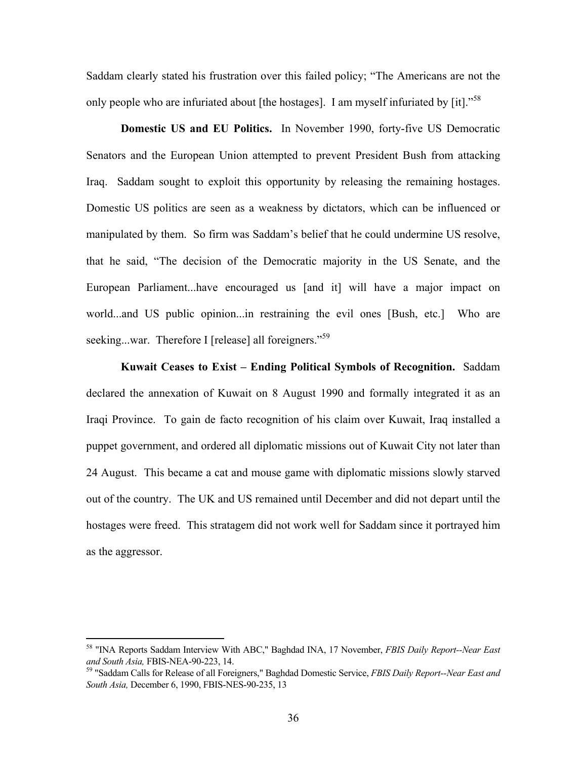Saddam clearly stated his frustration over this failed policy; "The Americans are not the only people who are infuriated about [the hostages]. I am myself infuriated by [it]."<sup>58</sup>

**Domestic US and EU Politics.** In November 1990, forty-five US Democratic Senators and the European Union attempted to prevent President Bush from attacking Iraq. Saddam sought to exploit this opportunity by releasing the remaining hostages. Domestic US politics are seen as a weakness by dictators, which can be influenced or manipulated by them. So firm was Saddam's belief that he could undermine US resolve, that he said, "The decision of the Democratic majority in the US Senate, and the European Parliament...have encouraged us [and it] will have a major impact on world...and US public opinion...in restraining the evil ones [Bush, etc.] Who are seeking...war. Therefore I [release] all foreigners."<sup>59</sup>

**Kuwait Ceases to Exist – Ending Political Symbols of Recognition.** Saddam declared the annexation of Kuwait on 8 August 1990 and formally integrated it as an Iraqi Province. To gain de facto recognition of his claim over Kuwait, Iraq installed a puppet government, and ordered all diplomatic missions out of Kuwait City not later than 24 August. This became a cat and mouse game with diplomatic missions slowly starved out of the country. The UK and US remained until December and did not depart until the hostages were freed. This stratagem did not work well for Saddam since it portrayed him as the aggressor.

<sup>58 &</sup>quot;INA Reports Saddam Interview With ABC," Baghdad INA, 17 November, *FBIS Daily Report--Near East*

<sup>&</sup>lt;sup>59</sup> "Saddam Calls for Release of all Foreigners," Baghdad Domestic Service, *FBIS Daily Report--Near East and South Asia,* December 6, 1990, FBIS-NES-90-235, 13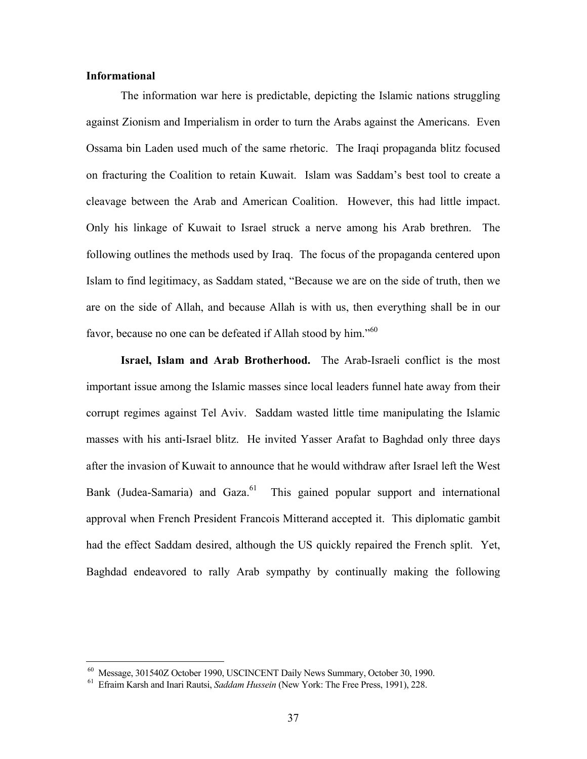## **Informational**

1

The information war here is predictable, depicting the Islamic nations struggling against Zionism and Imperialism in order to turn the Arabs against the Americans. Even Ossama bin Laden used much of the same rhetoric. The Iraqi propaganda blitz focused on fracturing the Coalition to retain Kuwait. Islam was Saddam's best tool to create a cleavage between the Arab and American Coalition. However, this had little impact. Only his linkage of Kuwait to Israel struck a nerve among his Arab brethren. The following outlines the methods used by Iraq. The focus of the propaganda centered upon Islam to find legitimacy, as Saddam stated, "Because we are on the side of truth, then we are on the side of Allah, and because Allah is with us, then everything shall be in our favor, because no one can be defeated if Allah stood by him."<sup>60</sup>

**Israel, Islam and Arab Brotherhood.**The Arab-Israeli conflict is the most important issue among the Islamic masses since local leaders funnel hate away from their corrupt regimes against Tel Aviv. Saddam wasted little time manipulating the Islamic masses with his anti-Israel blitz. He invited Yasser Arafat to Baghdad only three days after the invasion of Kuwait to announce that he would withdraw after Israel left the West Bank (Judea-Samaria) and Gaza.<sup>61</sup> This gained popular support and international approval when French President Francois Mitterand accepted it. This diplomatic gambit had the effect Saddam desired, although the US quickly repaired the French split. Yet, Baghdad endeavored to rally Arab sympathy by continually making the following

 <sup>60</sup> Message, 301540Z October 1990, USCINCENT Daily News Summary, October 30, 1990. 61 Efraim Karsh and Inari Rautsi, *Saddam Hussein* (New York: The Free Press, 1991), 228.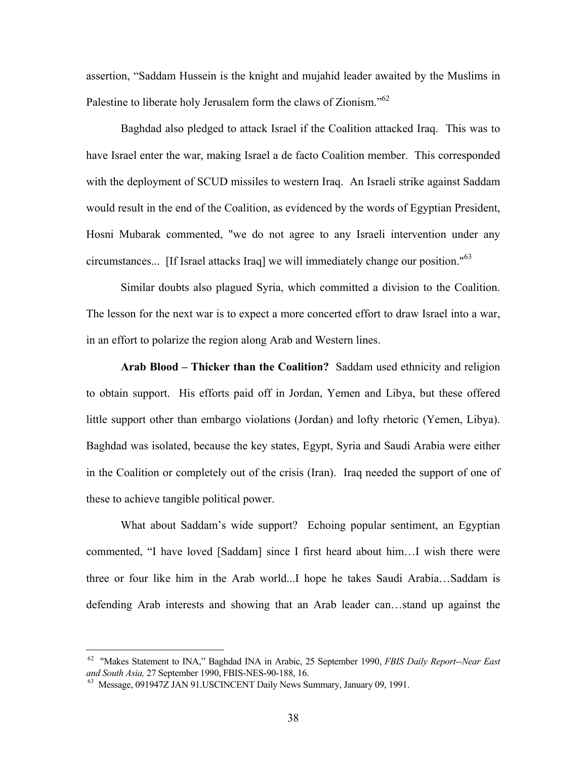assertion, "Saddam Hussein is the knight and mujahid leader awaited by the Muslims in Palestine to liberate holy Jerusalem form the claws of Zionism."<sup>62</sup>

Baghdad also pledged to attack Israel if the Coalition attacked Iraq. This was to have Israel enter the war, making Israel a de facto Coalition member. This corresponded with the deployment of SCUD missiles to western Iraq. An Israeli strike against Saddam would result in the end of the Coalition, as evidenced by the words of Egyptian President, Hosni Mubarak commented, "we do not agree to any Israeli intervention under any circumstances... [If Israel attacks Iraq] we will immediately change our position."<sup>63</sup>

Similar doubts also plagued Syria, which committed a division to the Coalition. The lesson for the next war is to expect a more concerted effort to draw Israel into a war, in an effort to polarize the region along Arab and Western lines.

**Arab Blood – Thicker than the Coalition?** Saddam used ethnicity and religion to obtain support. His efforts paid off in Jordan, Yemen and Libya, but these offered little support other than embargo violations (Jordan) and lofty rhetoric (Yemen, Libya). Baghdad was isolated, because the key states, Egypt, Syria and Saudi Arabia were either in the Coalition or completely out of the crisis (Iran). Iraq needed the support of one of these to achieve tangible political power.

What about Saddam's wide support? Echoing popular sentiment, an Egyptian commented, "I have loved [Saddam] since I first heard about him…I wish there were three or four like him in the Arab world...I hope he takes Saudi Arabia…Saddam is defending Arab interests and showing that an Arab leader can…stand up against the

 <sup>62 &</sup>quot;Makes Statement to INA," Baghdad INA in Arabic, 25 September 1990, *FBIS Daily Report--Near East and South Asia,* 27 September 1990, FBIS-NES-90-188, 16. 63 Message, 091947Z JAN 91.USCINCENT Daily News Summary, January 09, 1991.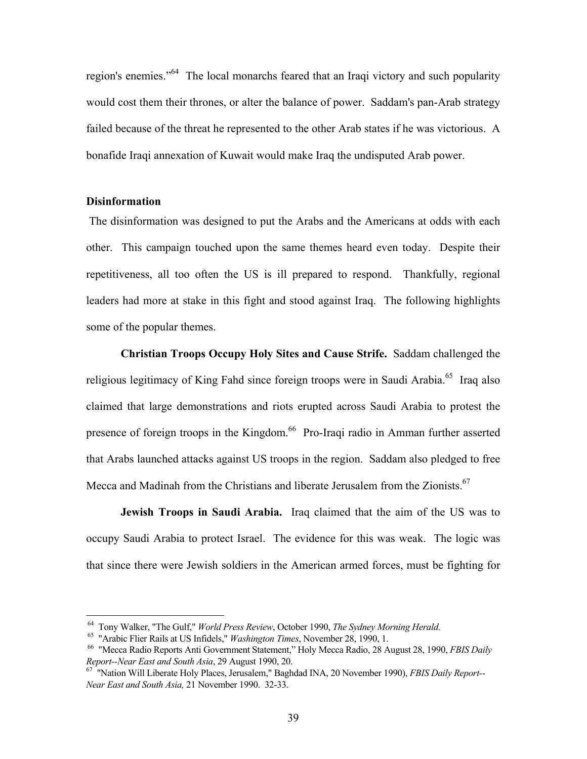region's enemies."64 The local monarchs feared that an Iraqi victory and such popularity would cost them their thrones, or alter the balance of power. Saddam's pan-Arab strategy failed because of the threat he represented to the other Arab states if he was victorious. A bonafide Iraqi annexation of Kuwait would make Iraq the undisputed Arab power.

#### **Disinformation**

1

The disinformation was designed to put the Arabs and the Americans at odds with each other. This campaign touched upon the same themes heard even today. Despite their repetitiveness, all too often the US is ill prepared to respond. Thankfully, regional leaders had more at stake in this fight and stood against Iraq. The following highlights some of the popular themes.

**Christian Troops Occupy Holy Sites and Cause Strife.**Saddam challenged the religious legitimacy of King Fahd since foreign troops were in Saudi Arabia.<sup>65</sup> Iraq also claimed that large demonstrations and riots erupted across Saudi Arabia to protest the presence of foreign troops in the Kingdom.<sup>66</sup> Pro-Iraqi radio in Amman further asserted that Arabs launched attacks against US troops in the region. Saddam also pledged to free Mecca and Madinah from the Christians and liberate Jerusalem from the Zionists.<sup>67</sup>

**Jewish Troops in Saudi Arabia.** Iraq claimed that the aim of the US was to occupy Saudi Arabia to protect Israel. The evidence for this was weak. The logic was that since there were Jewish soldiers in the American armed forces, must be fighting for

<sup>&</sup>lt;sup>64</sup> Tony Walker, "The Gulf," *World Press Review*, October 1990, *The Sydney Morning Herald*.<br><sup>65</sup> "Arabic Flier Rails at US Infidels," *Washington Times*, November 28, 1990, 1.<br><sup>66</sup> "Mecca Radio Reports Anti Government S

*Report--Near East and South Asia*, 29 August 1990, 20.<br><sup>67</sup> "Nation Will Liberate Holy Places, Jerusalem," Baghdad INA, 20 November 1990), *FBIS Daily Report--*

*Near East and South Asia,* 21 November 1990. 32-33.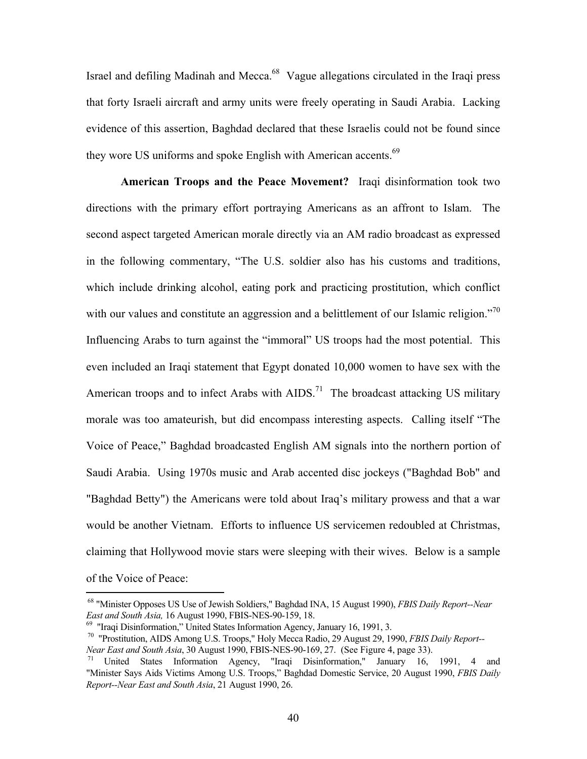Israel and defiling Madinah and Mecca.<sup>68</sup> Vague allegations circulated in the Iraqi press that forty Israeli aircraft and army units were freely operating in Saudi Arabia. Lacking evidence of this assertion, Baghdad declared that these Israelis could not be found since they wore US uniforms and spoke English with American accents.<sup>69</sup>

**American Troops and the Peace Movement?** Iraqi disinformation took two directions with the primary effort portraying Americans as an affront to Islam. The second aspect targeted American morale directly via an AM radio broadcast as expressed in the following commentary, "The U.S. soldier also has his customs and traditions, which include drinking alcohol, eating pork and practicing prostitution, which conflict with our values and constitute an aggression and a belittlement of our Islamic religion."<sup>70</sup> Influencing Arabs to turn against the "immoral" US troops had the most potential. This even included an Iraqi statement that Egypt donated 10,000 women to have sex with the American troops and to infect Arabs with  $AIDS^{71}$ . The broadcast attacking US military morale was too amateurish, but did encompass interesting aspects. Calling itself "The Voice of Peace," Baghdad broadcasted English AM signals into the northern portion of Saudi Arabia. Using 1970s music and Arab accented disc jockeys ("Baghdad Bob" and "Baghdad Betty") the Americans were told about Iraq's military prowess and that a war would be another Vietnam. Efforts to influence US servicemen redoubled at Christmas, claiming that Hollywood movie stars were sleeping with their wives. Below is a sample of the Voice of Peace:

 <sup>68 &</sup>quot;Minister Opposes US Use of Jewish Soldiers," Baghdad INA, 15 August 1990), *FBIS Daily Report--Near East and South Asia,* 16 August 1990, FBIS-NES-90-159, 18.<br><sup>69</sup> "Iraqi Disinformation," United States Information Agency, January 16, 1991, 3.<br><sup>70</sup> "Prostitution, AIDS Among U.S. Troops," Holy Mecca Radio, 29 August 29, 1

*Near East and South Asia*, 30 August 1990, FBIS-NES-90-169, 27. (See Figure 4, page 33).<br><sup>71</sup> United States Information Agency, "Iraqi Disinformation," January 16, 1991, 4 and "Minister Says Aids Victims Among U.S. Troops," Baghdad Domestic Service, 20 August 1990, *FBIS Daily Report--Near East and South Asia*, 21 August 1990, 26.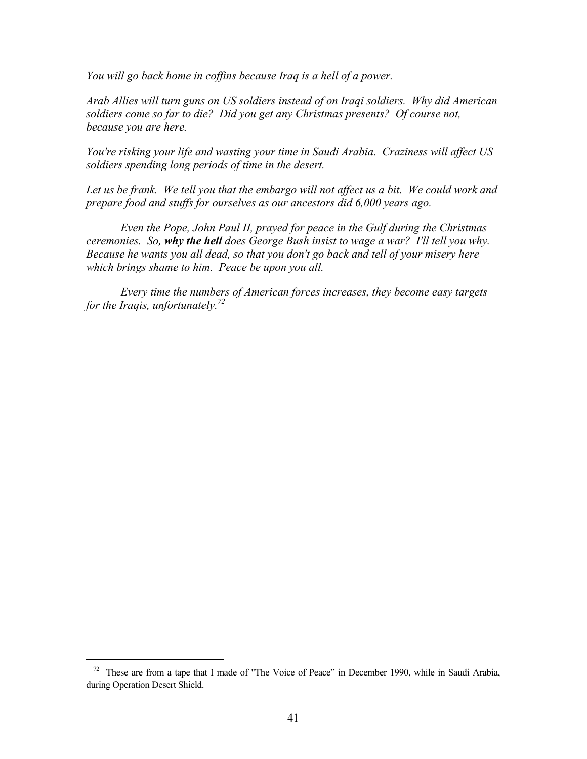*You will go back home in coffins because Iraq is a hell of a power.* 

*Arab Allies will turn guns on US soldiers instead of on Iraqi soldiers. Why did American soldiers come so far to die? Did you get any Christmas presents? Of course not, because you are here.* 

*You're risking your life and wasting your time in Saudi Arabia. Craziness will affect US soldiers spending long periods of time in the desert.* 

Let us be frank. We tell you that the embargo will not affect us a bit. We could work and *prepare food and stuffs for ourselves as our ancestors did 6,000 years ago.* 

*Even the Pope, John Paul II, prayed for peace in the Gulf during the Christmas ceremonies. So, why the hell does George Bush insist to wage a war? I'll tell you why. Because he wants you all dead, so that you don't go back and tell of your misery here which brings shame to him. Peace be upon you all.* 

*Every time the numbers of American forces increases, they become easy targets for the Iraqis, unfortunately.72* 

 <sup>72</sup> These are from a tape that I made of "The Voice of Peace" in December 1990, while in Saudi Arabia, during Operation Desert Shield.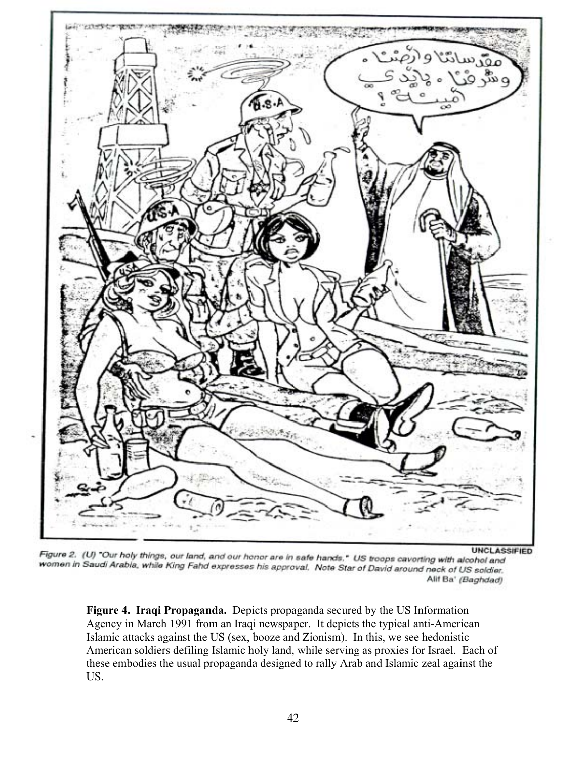

UNCLAS:<br>We have a safe hands," US troops caverting with alcohol and while King Fand and our honor are in safe hands," US troops caverting with alcohol and women in Saudi Arabia, while King Fahd expresses his approval. Note Star of David around neck of US soldier. Alif Ba' (Baghdad)

**Figure 4. Iraqi Propaganda.** Depicts propaganda secured by the US Information Agency in March 1991 from an Iraqi newspaper. It depicts the typical anti-American Islamic attacks against the US (sex, booze and Zionism). In this, we see hedonistic American soldiers defiling Islamic holy land, while serving as proxies for Israel. Each of these embodies the usual propaganda designed to rally Arab and Islamic zeal against the US.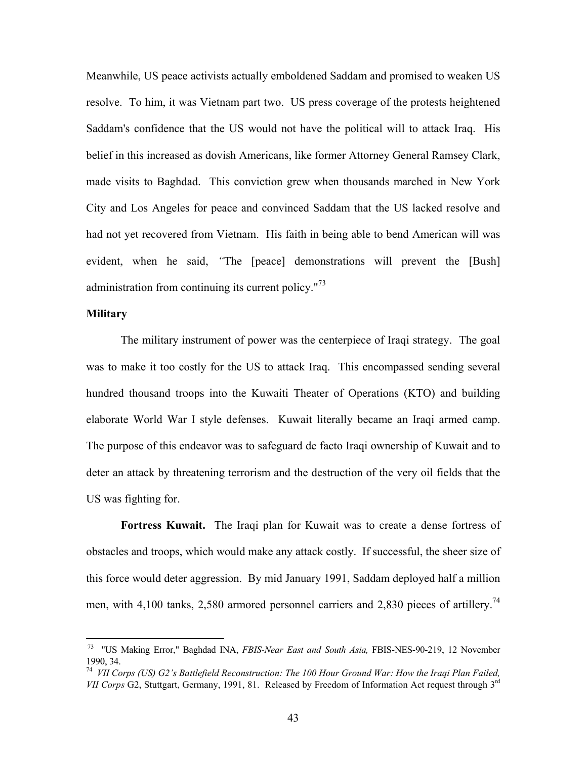Meanwhile, US peace activists actually emboldened Saddam and promised to weaken US resolve. To him, it was Vietnam part two. US press coverage of the protests heightened Saddam's confidence that the US would not have the political will to attack Iraq. His belief in this increased as dovish Americans, like former Attorney General Ramsey Clark, made visits to Baghdad. This conviction grew when thousands marched in New York City and Los Angeles for peace and convinced Saddam that the US lacked resolve and had not yet recovered from Vietnam. His faith in being able to bend American will was evident, when he said, *"*The [peace] demonstrations will prevent the [Bush] administration from continuing its current policy. $173$ 

### **Military**

1

The military instrument of power was the centerpiece of Iraqi strategy. The goal was to make it too costly for the US to attack Iraq. This encompassed sending several hundred thousand troops into the Kuwaiti Theater of Operations (KTO) and building elaborate World War I style defenses. Kuwait literally became an Iraqi armed camp. The purpose of this endeavor was to safeguard de facto Iraqi ownership of Kuwait and to deter an attack by threatening terrorism and the destruction of the very oil fields that the US was fighting for.

**Fortress Kuwait.** The Iraqi plan for Kuwait was to create a dense fortress of obstacles and troops, which would make any attack costly. If successful, the sheer size of this force would deter aggression. By mid January 1991, Saddam deployed half a million men, with 4,100 tanks, 2,580 armored personnel carriers and 2,830 pieces of artillery.<sup>74</sup>

 <sup>73 &</sup>quot;US Making Error," Baghdad INA, *FBIS-Near East and South Asia,* FBIS-NES-90-219, 12 November 1990, 34.

<sup>74</sup> *VII Corps (US) G2's Battlefield Reconstruction: The 100 Hour Ground War: How the Iraqi Plan Failed, VII Corps* G2, Stuttgart, Germany, 1991, 81. Released by Freedom of Information Act request through 3<sup>rd</sup>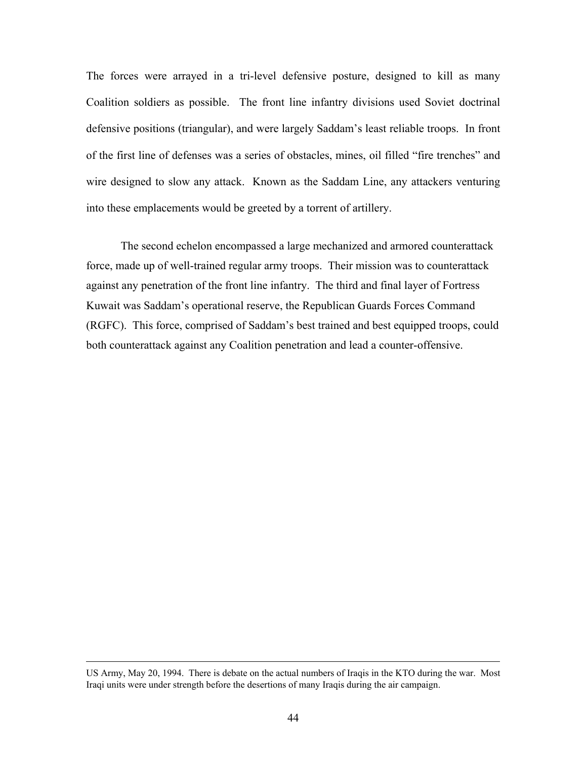The forces were arrayed in a tri-level defensive posture, designed to kill as many Coalition soldiers as possible. The front line infantry divisions used Soviet doctrinal defensive positions (triangular), and were largely Saddam's least reliable troops. In front of the first line of defenses was a series of obstacles, mines, oil filled "fire trenches" and wire designed to slow any attack. Known as the Saddam Line, any attackers venturing into these emplacements would be greeted by a torrent of artillery.

The second echelon encompassed a large mechanized and armored counterattack force, made up of well-trained regular army troops. Their mission was to counterattack against any penetration of the front line infantry. The third and final layer of Fortress Kuwait was Saddam's operational reserve, the Republican Guards Forces Command (RGFC). This force, comprised of Saddam's best trained and best equipped troops, could both counterattack against any Coalition penetration and lead a counter-offensive.

US Army, May 20, 1994. There is debate on the actual numbers of Iraqis in the KTO during the war. Most Iraqi units were under strength before the desertions of many Iraqis during the air campaign.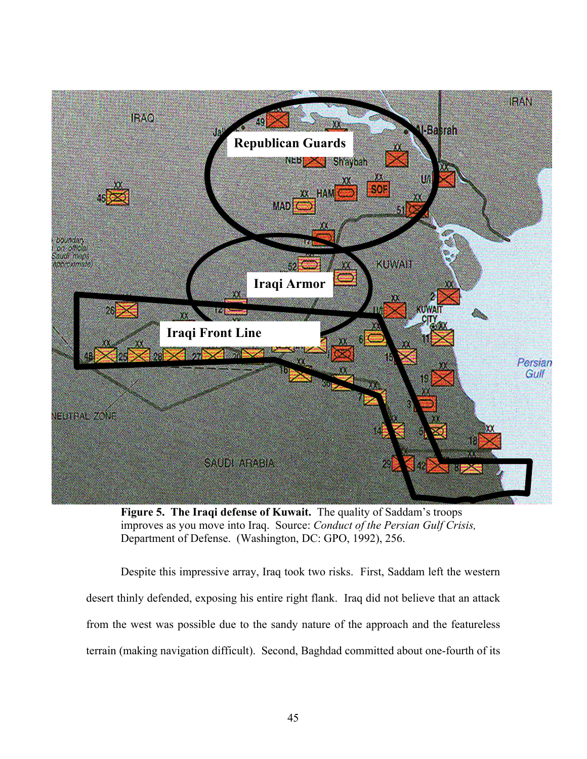

**Figure 5. The Iraqi defense of Kuwait.** The quality of Saddam's troops improves as you move into Iraq. Source: *Conduct of the Persian Gulf Crisis,* Department of Defense. (Washington, DC: GPO, 1992), 256.

Despite this impressive array, Iraq took two risks. First, Saddam left the western desert thinly defended, exposing his entire right flank. Iraq did not believe that an attack from the west was possible due to the sandy nature of the approach and the featureless terrain (making navigation difficult). Second, Baghdad committed about one-fourth of its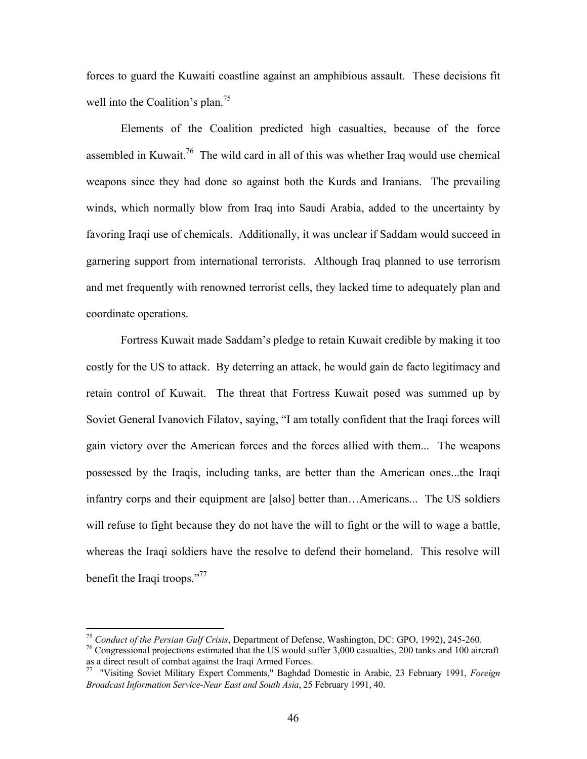forces to guard the Kuwaiti coastline against an amphibious assault. These decisions fit well into the Coalition's plan.<sup>75</sup>

Elements of the Coalition predicted high casualties, because of the force assembled in Kuwait.<sup>76</sup> The wild card in all of this was whether Iraq would use chemical weapons since they had done so against both the Kurds and Iranians. The prevailing winds, which normally blow from Iraq into Saudi Arabia, added to the uncertainty by favoring Iraqi use of chemicals. Additionally, it was unclear if Saddam would succeed in garnering support from international terrorists. Although Iraq planned to use terrorism and met frequently with renowned terrorist cells, they lacked time to adequately plan and coordinate operations.

Fortress Kuwait made Saddam's pledge to retain Kuwait credible by making it too costly for the US to attack. By deterring an attack, he would gain de facto legitimacy and retain control of Kuwait. The threat that Fortress Kuwait posed was summed up by Soviet General Ivanovich Filatov, saying, "I am totally confident that the Iraqi forces will gain victory over the American forces and the forces allied with them... The weapons possessed by the Iraqis, including tanks, are better than the American ones...the Iraqi infantry corps and their equipment are [also] better than…Americans... The US soldiers will refuse to fight because they do not have the will to fight or the will to wage a battle, whereas the Iraqi soldiers have the resolve to defend their homeland. This resolve will benefit the Iraqi troops."<sup>77</sup>

<sup>&</sup>lt;sup>75</sup> *Conduct of the Persian Gulf Crisis*, Department of Defense, Washington, DC: GPO, 1992), 245-260.<br><sup>76</sup> Congressional projections estimated that the US would suffer 3,000 casualties, 200 tanks and 100 aircraft as a dir

<sup>&</sup>lt;sup>77</sup> "Visiting Soviet Military Expert Comments," Baghdad Domestic in Arabic, 23 February 1991, *Foreign Broadcast Information Service-Near East and South Asia*, 25 February 1991, 40.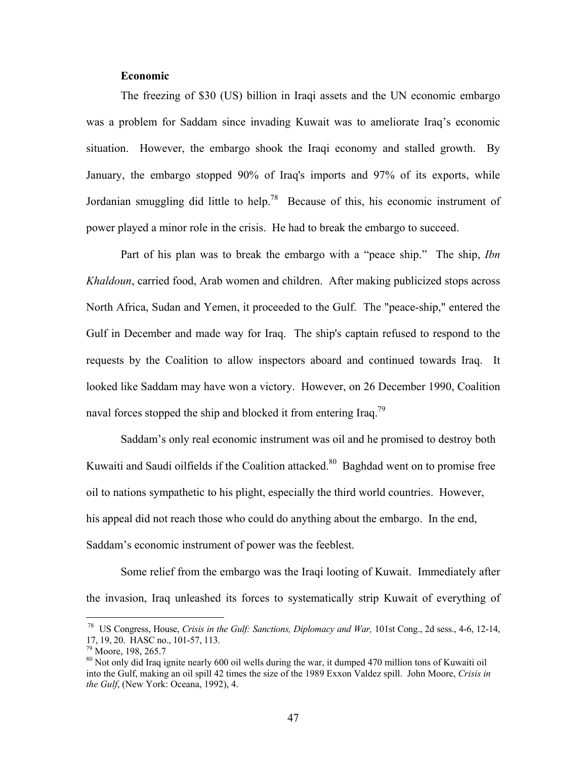### **Economic**

The freezing of \$30 (US) billion in Iraqi assets and the UN economic embargo was a problem for Saddam since invading Kuwait was to ameliorate Iraq's economic situation. However, the embargo shook the Iraqi economy and stalled growth. By January, the embargo stopped 90% of Iraq's imports and 97% of its exports, while Jordanian smuggling did little to help.<sup>78</sup> Because of this, his economic instrument of power played a minor role in the crisis. He had to break the embargo to succeed.

Part of his plan was to break the embargo with a "peace ship." The ship, *Ibn Khaldoun*, carried food, Arab women and children. After making publicized stops across North Africa, Sudan and Yemen, it proceeded to the Gulf. The "peace-ship," entered the Gulf in December and made way for Iraq. The ship's captain refused to respond to the requests by the Coalition to allow inspectors aboard and continued towards Iraq. It looked like Saddam may have won a victory. However, on 26 December 1990, Coalition naval forces stopped the ship and blocked it from entering Iraq.<sup>79</sup>

Saddam's only real economic instrument was oil and he promised to destroy both Kuwaiti and Saudi oilfields if the Coalition attacked.<sup>80</sup> Baghdad went on to promise free oil to nations sympathetic to his plight, especially the third world countries. However, his appeal did not reach those who could do anything about the embargo. In the end, Saddam's economic instrument of power was the feeblest.

Some relief from the embargo was the Iraqi looting of Kuwait. Immediately after the invasion, Iraq unleashed its forces to systematically strip Kuwait of everything of

 <sup>78</sup> US Congress, House, *Crisis in the Gulf: Sanctions, Diplomacy and War,* 101st Cong., 2d sess., 4-6, 12-14,

<sup>&</sup>lt;sup>79</sup> Moore, 198, 265.7<br><sup>80</sup> Not only did Iraq ignite nearly 600 oil wells during the war, it dumped 470 million tons of Kuwaiti oil into the Gulf, making an oil spill 42 times the size of the 1989 Exxon Valdez spill. John Moore, *Crisis in the Gulf*, (New York: Oceana, 1992), 4.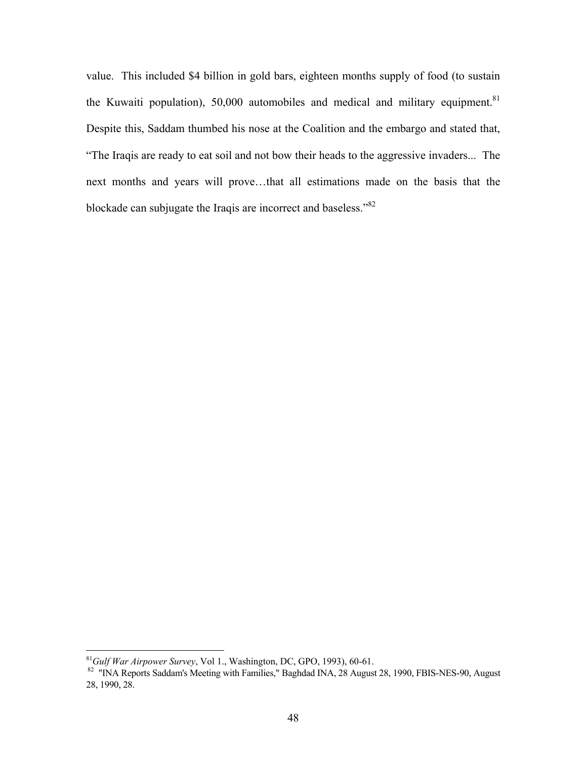value. This included \$4 billion in gold bars, eighteen months supply of food (to sustain the Kuwaiti population), 50,000 automobiles and medical and military equipment.<sup>81</sup> Despite this, Saddam thumbed his nose at the Coalition and the embargo and stated that, "The Iraqis are ready to eat soil and not bow their heads to the aggressive invaders... The next months and years will prove…that all estimations made on the basis that the blockade can subjugate the Iraqis are incorrect and baseless."82

<sup>&</sup>lt;sup>81</sup>Gulf War Airpower Survey, Vol 1., Washington, DC, GPO, 1993), 60-61.

<sup>&</sup>lt;sup>82</sup> "INA Reports Saddam's Meeting with Families," Baghdad INA, 28 August 28, 1990, FBIS-NES-90, August 28, 1990, 28.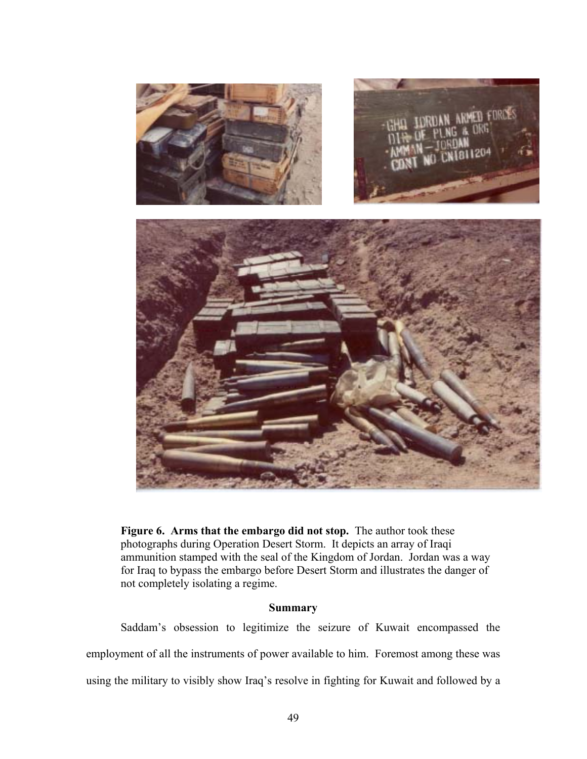

**Figure 6. Arms that the embargo did not stop.** The author took these photographs during Operation Desert Storm. It depicts an array of Iraqi ammunition stamped with the seal of the Kingdom of Jordan. Jordan was a way for Iraq to bypass the embargo before Desert Storm and illustrates the danger of not completely isolating a regime.

### **Summary**

Saddam's obsession to legitimize the seizure of Kuwait encompassed the employment of all the instruments of power available to him. Foremost among these was using the military to visibly show Iraq's resolve in fighting for Kuwait and followed by a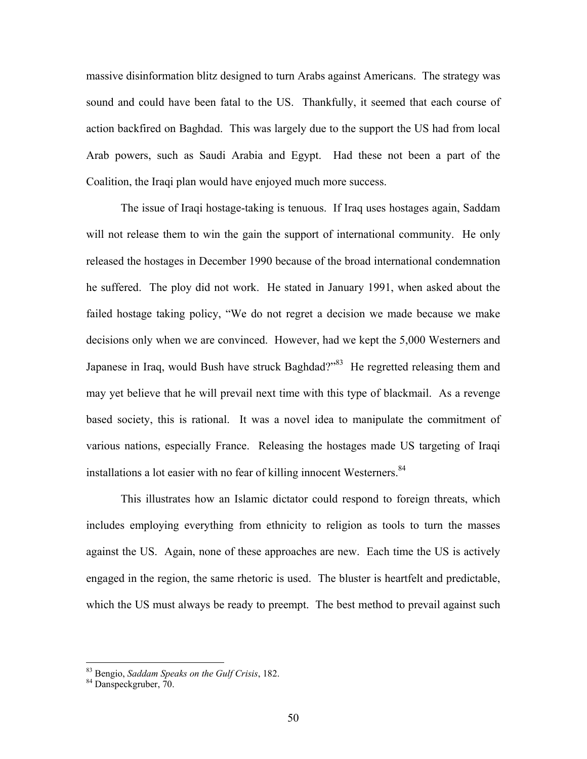massive disinformation blitz designed to turn Arabs against Americans. The strategy was sound and could have been fatal to the US. Thankfully, it seemed that each course of action backfired on Baghdad. This was largely due to the support the US had from local Arab powers, such as Saudi Arabia and Egypt. Had these not been a part of the Coalition, the Iraqi plan would have enjoyed much more success.

The issue of Iraqi hostage-taking is tenuous. If Iraq uses hostages again, Saddam will not release them to win the gain the support of international community. He only released the hostages in December 1990 because of the broad international condemnation he suffered. The ploy did not work. He stated in January 1991, when asked about the failed hostage taking policy, "We do not regret a decision we made because we make decisions only when we are convinced. However, had we kept the 5,000 Westerners and Japanese in Iraq, would Bush have struck Baghdad?"<sup>83</sup> He regretted releasing them and may yet believe that he will prevail next time with this type of blackmail. As a revenge based society, this is rational. It was a novel idea to manipulate the commitment of various nations, especially France. Releasing the hostages made US targeting of Iraqi installations a lot easier with no fear of killing innocent Westerners.<sup>84</sup>

This illustrates how an Islamic dictator could respond to foreign threats, which includes employing everything from ethnicity to religion as tools to turn the masses against the US. Again, none of these approaches are new. Each time the US is actively engaged in the region, the same rhetoric is used. The bluster is heartfelt and predictable, which the US must always be ready to preempt. The best method to prevail against such

<sup>83</sup> Bengio, *Saddam Speaks on the Gulf Crisis*, 182. 84 Danspeckgruber, 70.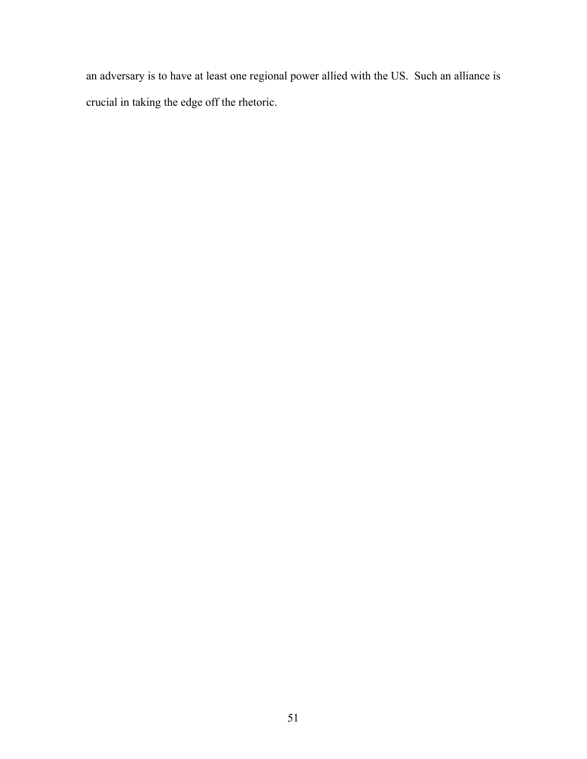an adversary is to have at least one regional power allied with the US. Such an alliance is crucial in taking the edge off the rhetoric.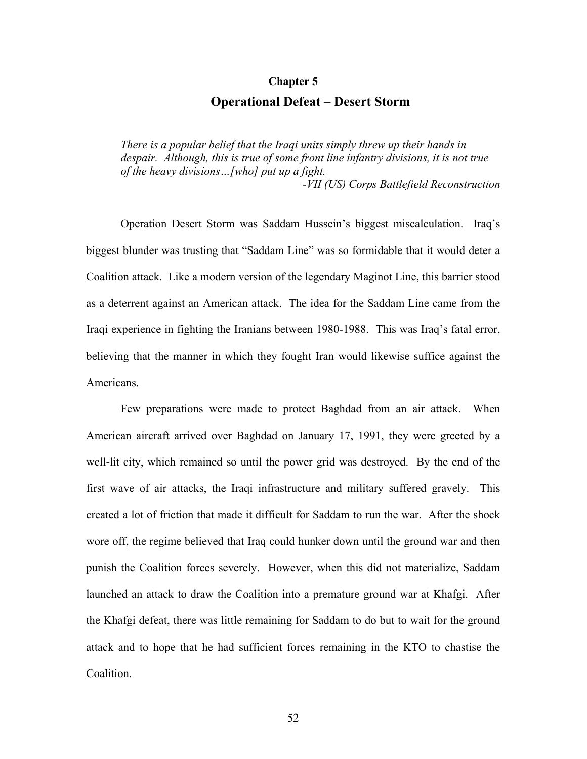#### **Chapter 5**

# **Operational Defeat – Desert Storm**

*There is a popular belief that the Iraqi units simply threw up their hands in despair. Although, this is true of some front line infantry divisions, it is not true of the heavy divisions…[who] put up a fight.*  -*VII (US) Corps Battlefield Reconstruction* 

Operation Desert Storm was Saddam Hussein's biggest miscalculation. Iraq's biggest blunder was trusting that "Saddam Line" was so formidable that it would deter a Coalition attack. Like a modern version of the legendary Maginot Line, this barrier stood as a deterrent against an American attack. The idea for the Saddam Line came from the Iraqi experience in fighting the Iranians between 1980-1988. This was Iraq's fatal error, believing that the manner in which they fought Iran would likewise suffice against the Americans.

Few preparations were made to protect Baghdad from an air attack. When American aircraft arrived over Baghdad on January 17, 1991, they were greeted by a well-lit city, which remained so until the power grid was destroyed. By the end of the first wave of air attacks, the Iraqi infrastructure and military suffered gravely. This created a lot of friction that made it difficult for Saddam to run the war. After the shock wore off, the regime believed that Iraq could hunker down until the ground war and then punish the Coalition forces severely. However, when this did not materialize, Saddam launched an attack to draw the Coalition into a premature ground war at Khafgi. After the Khafgi defeat, there was little remaining for Saddam to do but to wait for the ground attack and to hope that he had sufficient forces remaining in the KTO to chastise the Coalition.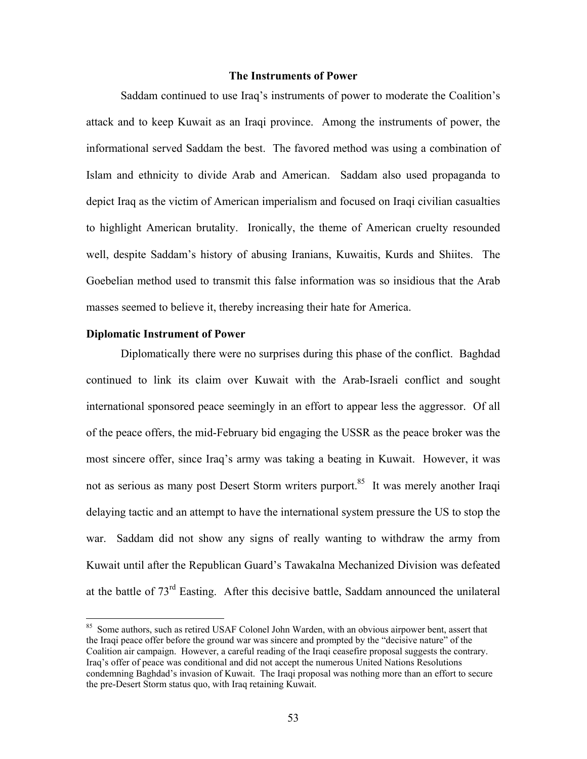#### **The Instruments of Power**

Saddam continued to use Iraq's instruments of power to moderate the Coalition's attack and to keep Kuwait as an Iraqi province. Among the instruments of power, the informational served Saddam the best. The favored method was using a combination of Islam and ethnicity to divide Arab and American. Saddam also used propaganda to depict Iraq as the victim of American imperialism and focused on Iraqi civilian casualties to highlight American brutality. Ironically, the theme of American cruelty resounded well, despite Saddam's history of abusing Iranians, Kuwaitis, Kurds and Shiites. The Goebelian method used to transmit this false information was so insidious that the Arab masses seemed to believe it, thereby increasing their hate for America.

#### **Diplomatic Instrument of Power**

1

Diplomatically there were no surprises during this phase of the conflict. Baghdad continued to link its claim over Kuwait with the Arab-Israeli conflict and sought international sponsored peace seemingly in an effort to appear less the aggressor. Of all of the peace offers, the mid-February bid engaging the USSR as the peace broker was the most sincere offer, since Iraq's army was taking a beating in Kuwait. However, it was not as serious as many post Desert Storm writers purport.<sup>85</sup> It was merely another Iraqi delaying tactic and an attempt to have the international system pressure the US to stop the war. Saddam did not show any signs of really wanting to withdraw the army from Kuwait until after the Republican Guard's Tawakalna Mechanized Division was defeated at the battle of  $73<sup>rd</sup>$  Easting. After this decisive battle, Saddam announced the unilateral

<sup>&</sup>lt;sup>85</sup> Some authors, such as retired USAF Colonel John Warden, with an obvious airpower bent, assert that the Iraqi peace offer before the ground war was sincere and prompted by the "decisive nature" of the Coalition air campaign. However, a careful reading of the Iraqi ceasefire proposal suggests the contrary. Iraq's offer of peace was conditional and did not accept the numerous United Nations Resolutions condemning Baghdad's invasion of Kuwait. The Iraqi proposal was nothing more than an effort to secure the pre-Desert Storm status quo, with Iraq retaining Kuwait.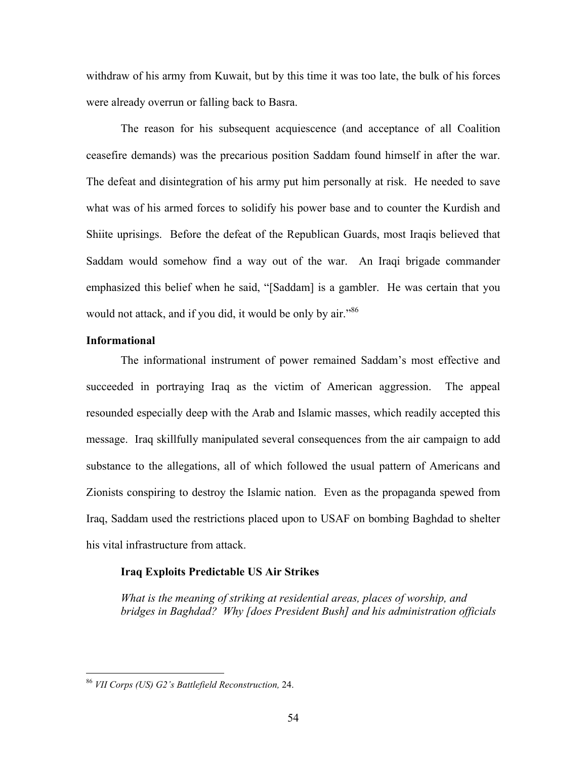withdraw of his army from Kuwait, but by this time it was too late, the bulk of his forces were already overrun or falling back to Basra.

The reason for his subsequent acquiescence (and acceptance of all Coalition ceasefire demands) was the precarious position Saddam found himself in after the war. The defeat and disintegration of his army put him personally at risk. He needed to save what was of his armed forces to solidify his power base and to counter the Kurdish and Shiite uprisings. Before the defeat of the Republican Guards, most Iraqis believed that Saddam would somehow find a way out of the war. An Iraqi brigade commander emphasized this belief when he said, "[Saddam] is a gambler. He was certain that you would not attack, and if you did, it would be only by air."<sup>86</sup>

### **Informational**

1

The informational instrument of power remained Saddam's most effective and succeeded in portraying Iraq as the victim of American aggression. The appeal resounded especially deep with the Arab and Islamic masses, which readily accepted this message. Iraq skillfully manipulated several consequences from the air campaign to add substance to the allegations, all of which followed the usual pattern of Americans and Zionists conspiring to destroy the Islamic nation. Even as the propaganda spewed from Iraq, Saddam used the restrictions placed upon to USAF on bombing Baghdad to shelter his vital infrastructure from attack.

#### **Iraq Exploits Predictable US Air Strikes**

*What is the meaning of striking at residential areas, places of worship, and bridges in Baghdad? Why [does President Bush] and his administration officials* 

<sup>86</sup> *VII Corps (US) G2's Battlefield Reconstruction,* 24.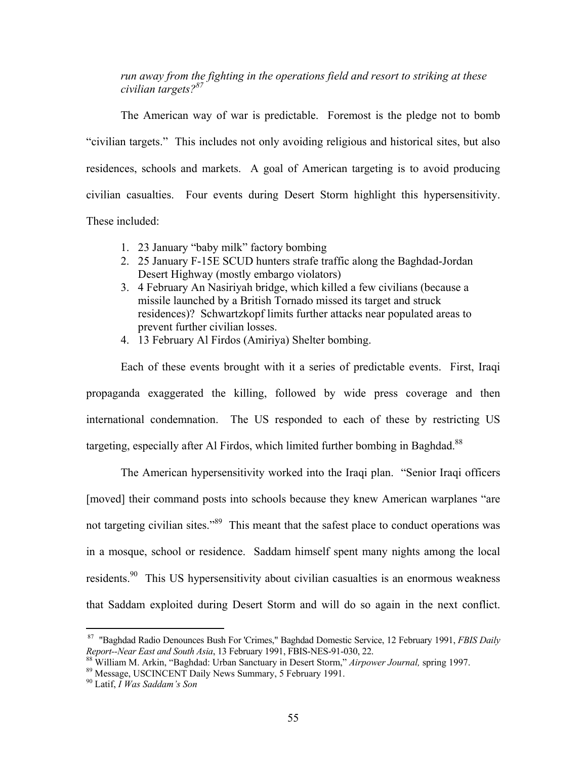## *run away from the fighting in the operations field and resort to striking at these civilian targets?87*

The American way of war is predictable. Foremost is the pledge not to bomb "civilian targets." This includes not only avoiding religious and historical sites, but also residences, schools and markets. A goal of American targeting is to avoid producing civilian casualties. Four events during Desert Storm highlight this hypersensitivity. These included:

- 1. 23 January "baby milk" factory bombing
- 2. 25 January F-15E SCUD hunters strafe traffic along the Baghdad-Jordan Desert Highway (mostly embargo violators)
- 3. 4 February An Nasiriyah bridge, which killed a few civilians (because a missile launched by a British Tornado missed its target and struck residences)? Schwartzkopf limits further attacks near populated areas to prevent further civilian losses.
- 4. 13 February Al Firdos (Amiriya) Shelter bombing.

Each of these events brought with it a series of predictable events. First, Iraqi propaganda exaggerated the killing, followed by wide press coverage and then international condemnation. The US responded to each of these by restricting US targeting, especially after Al Firdos, which limited further bombing in Baghdad.<sup>88</sup>

The American hypersensitivity worked into the Iraqi plan. "Senior Iraqi officers [moved] their command posts into schools because they knew American warplanes "are not targeting civilian sites."<sup>89</sup> This meant that the safest place to conduct operations was in a mosque, school or residence. Saddam himself spent many nights among the local residents.<sup>90</sup> This US hypersensitivity about civilian casualties is an enormous weakness that Saddam exploited during Desert Storm and will do so again in the next conflict.

 <sup>87 &</sup>quot;Baghdad Radio Denounces Bush For 'Crimes," Baghdad Domestic Service, 12 February 1991, *FBIS Daily*

<sup>&</sup>lt;sup>88</sup> William M. Arkin, "Baghdad: Urban Sanctuary in Desert Storm," Airpower Journal, spring 1997.<br><sup>89</sup> Message, USCINCENT Daily News Summary, 5 February 1991.<br><sup>90</sup> Latif, *I Was Saddam's Son*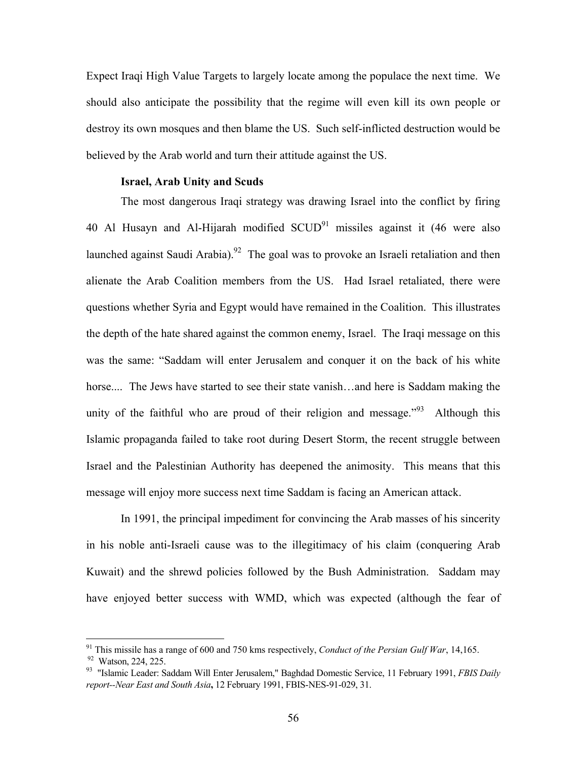Expect Iraqi High Value Targets to largely locate among the populace the next time. We should also anticipate the possibility that the regime will even kill its own people or destroy its own mosques and then blame the US. Such self-inflicted destruction would be believed by the Arab world and turn their attitude against the US.

### **Israel, Arab Unity and Scuds**

The most dangerous Iraqi strategy was drawing Israel into the conflict by firing 40 Al Husayn and Al-Hijarah modified  $SCUD<sup>91</sup>$  missiles against it (46 were also launched against Saudi Arabia).<sup>92</sup> The goal was to provoke an Israeli retaliation and then alienate the Arab Coalition members from the US. Had Israel retaliated, there were questions whether Syria and Egypt would have remained in the Coalition. This illustrates the depth of the hate shared against the common enemy, Israel. The Iraqi message on this was the same: "Saddam will enter Jerusalem and conquer it on the back of his white horse.... The Jews have started to see their state vanish...and here is Saddam making the unity of the faithful who are proud of their religion and message.<sup> $393$ </sup> Although this Islamic propaganda failed to take root during Desert Storm, the recent struggle between Israel and the Palestinian Authority has deepened the animosity. This means that this message will enjoy more success next time Saddam is facing an American attack.

In 1991, the principal impediment for convincing the Arab masses of his sincerity in his noble anti-Israeli cause was to the illegitimacy of his claim (conquering Arab Kuwait) and the shrewd policies followed by the Bush Administration. Saddam may have enjoyed better success with WMD, which was expected (although the fear of

<sup>&</sup>lt;sup>91</sup> This missile has a range of 600 and 750 kms respectively, *Conduct of the Persian Gulf War*, 14,165.

<sup>&</sup>lt;sup>92</sup> Watson, 224, 225.<br><sup>93</sup> "Islamic Leader: Saddam Will Enter Jerusalem," Baghdad Domestic Service, 11 February 1991, *FBIS Daily report--Near East and South Asia***,** 12 February 1991, FBIS-NES-91-029, 31.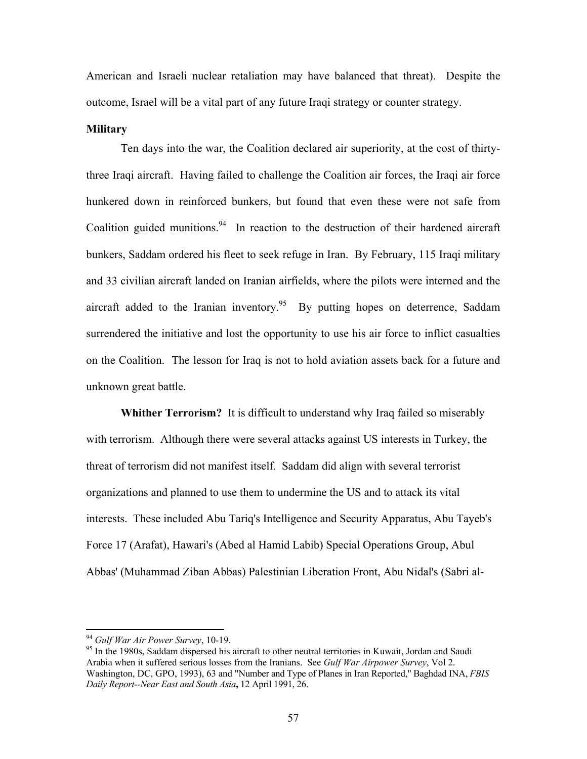American and Israeli nuclear retaliation may have balanced that threat). Despite the outcome, Israel will be a vital part of any future Iraqi strategy or counter strategy.

#### **Military**

Ten days into the war, the Coalition declared air superiority, at the cost of thirtythree Iraqi aircraft. Having failed to challenge the Coalition air forces, the Iraqi air force hunkered down in reinforced bunkers, but found that even these were not safe from Coalition guided munitions.<sup>94</sup> In reaction to the destruction of their hardened aircraft bunkers, Saddam ordered his fleet to seek refuge in Iran. By February, 115 Iraqi military and 33 civilian aircraft landed on Iranian airfields, where the pilots were interned and the aircraft added to the Iranian inventory.<sup>95</sup> By putting hopes on deterrence, Saddam surrendered the initiative and lost the opportunity to use his air force to inflict casualties on the Coalition. The lesson for Iraq is not to hold aviation assets back for a future and unknown great battle.

**Whither Terrorism?** It is difficult to understand why Iraq failed so miserably with terrorism. Although there were several attacks against US interests in Turkey, the threat of terrorism did not manifest itself. Saddam did align with several terrorist organizations and planned to use them to undermine the US and to attack its vital interests. These included Abu Tariq's Intelligence and Security Apparatus, Abu Tayeb's Force 17 (Arafat), Hawari's (Abed al Hamid Labib) Special Operations Group, Abul Abbas' (Muhammad Ziban Abbas) Palestinian Liberation Front, Abu Nidal's (Sabri al-

<sup>&</sup>lt;sup>94</sup> Gulf War Air Power Survey, 10-19.

<sup>&</sup>lt;sup>95</sup> In the 1980s, Saddam dispersed his aircraft to other neutral territories in Kuwait, Jordan and Saudi Arabia when it suffered serious losses from the Iranians. See *Gulf War Airpower Survey*, Vol 2. Washington, DC, GPO, 1993), 63 and "Number and Type of Planes in Iran Reported," Baghdad INA, *FBIS Daily Report--Near East and South Asia***,** 12 April 1991, 26.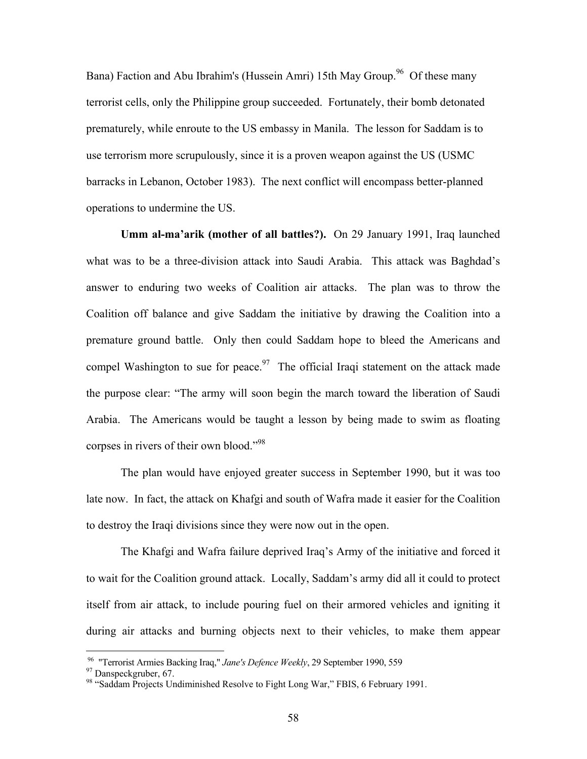Bana) Faction and Abu Ibrahim's (Hussein Amri) 15th May Group.<sup>96</sup> Of these many terrorist cells, only the Philippine group succeeded. Fortunately, their bomb detonated prematurely, while enroute to the US embassy in Manila. The lesson for Saddam is to use terrorism more scrupulously, since it is a proven weapon against the US (USMC barracks in Lebanon, October 1983). The next conflict will encompass better-planned operations to undermine the US.

**Umm al-ma'arik (mother of all battles?).** On 29 January 1991, Iraq launched what was to be a three-division attack into Saudi Arabia. This attack was Baghdad's answer to enduring two weeks of Coalition air attacks. The plan was to throw the Coalition off balance and give Saddam the initiative by drawing the Coalition into a premature ground battle. Only then could Saddam hope to bleed the Americans and compel Washington to sue for peace.<sup>97</sup> The official Iraqi statement on the attack made the purpose clear: "The army will soon begin the march toward the liberation of Saudi Arabia. The Americans would be taught a lesson by being made to swim as floating corpses in rivers of their own blood."98

The plan would have enjoyed greater success in September 1990, but it was too late now. In fact, the attack on Khafgi and south of Wafra made it easier for the Coalition to destroy the Iraqi divisions since they were now out in the open.

The Khafgi and Wafra failure deprived Iraq's Army of the initiative and forced it to wait for the Coalition ground attack. Locally, Saddam's army did all it could to protect itself from air attack, to include pouring fuel on their armored vehicles and igniting it during air attacks and burning objects next to their vehicles, to make them appear

<sup>&</sup>lt;sup>96</sup> "Terrorist Armies Backing Iraq," *Jane's Defence Weekly*, 29 September 1990, 559<br><sup>97</sup> Danspeckgruber, 67.<br><sup>98</sup> "Saddam Projects Undiminished Resolve to Fight Long War," FBIS, 6 February 1991.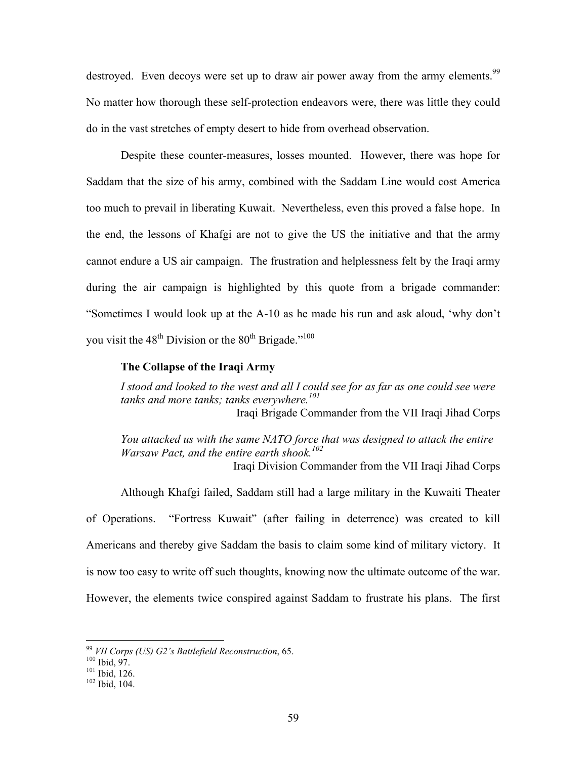destroyed. Even decoys were set up to draw air power away from the army elements.<sup>99</sup> No matter how thorough these self-protection endeavors were, there was little they could do in the vast stretches of empty desert to hide from overhead observation.

Despite these counter-measures, losses mounted. However, there was hope for Saddam that the size of his army, combined with the Saddam Line would cost America too much to prevail in liberating Kuwait. Nevertheless, even this proved a false hope. In the end, the lessons of Khafgi are not to give the US the initiative and that the army cannot endure a US air campaign. The frustration and helplessness felt by the Iraqi army during the air campaign is highlighted by this quote from a brigade commander: "Sometimes I would look up at the A-10 as he made his run and ask aloud, 'why don't you visit the  $48<sup>th</sup>$  Division or the  $80<sup>th</sup>$  Brigade."<sup>100</sup>

### **The Collapse of the Iraqi Army**

*I stood and looked to the west and all I could see for as far as one could see were*  tanks and more tanks; tanks everywhere.<sup>101</sup> Iraqi Brigade Commander from the VII Iraqi Jihad Corps

*You attacked us with the same NATO force that was designed to attack the entire Warsaw Pact, and the entire earth shook.102*  Iraqi Division Commander from the VII Iraqi Jihad Corps

Although Khafgi failed, Saddam still had a large military in the Kuwaiti Theater of Operations. "Fortress Kuwait" (after failing in deterrence) was created to kill Americans and thereby give Saddam the basis to claim some kind of military victory. It is now too easy to write off such thoughts, knowing now the ultimate outcome of the war. However, the elements twice conspired against Saddam to frustrate his plans. The first

<sup>&</sup>lt;sup>99</sup> *VII Corps (US) G2's Battlefield Reconstruction*, 65.<br><sup>100</sup> Ibid, 97.<br><sup>101</sup> Ibid, 126.<br><sup>102</sup> Ibid, 104.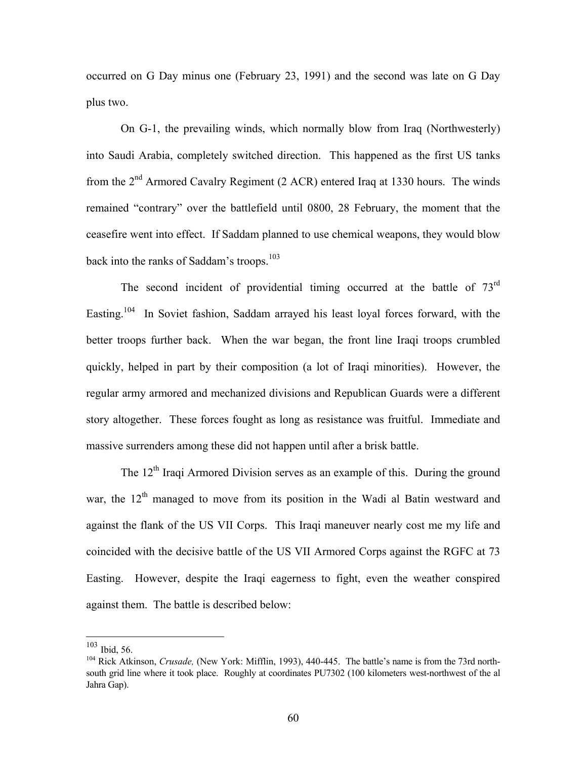occurred on G Day minus one (February 23, 1991) and the second was late on G Day plus two.

On G-1, the prevailing winds, which normally blow from Iraq (Northwesterly) into Saudi Arabia, completely switched direction. This happened as the first US tanks from the  $2<sup>nd</sup>$  Armored Cavalry Regiment (2 ACR) entered Iraq at 1330 hours. The winds remained "contrary" over the battlefield until 0800, 28 February, the moment that the ceasefire went into effect. If Saddam planned to use chemical weapons, they would blow back into the ranks of Saddam's troops.<sup>103</sup>

The second incident of providential timing occurred at the battle of 73<sup>rd</sup> Easting.<sup>104</sup> In Soviet fashion, Saddam arrayed his least loyal forces forward, with the better troops further back. When the war began, the front line Iraqi troops crumbled quickly, helped in part by their composition (a lot of Iraqi minorities). However, the regular army armored and mechanized divisions and Republican Guards were a different story altogether. These forces fought as long as resistance was fruitful. Immediate and massive surrenders among these did not happen until after a brisk battle.

The  $12<sup>th</sup>$  Iraqi Armored Division serves as an example of this. During the ground war, the  $12<sup>th</sup>$  managed to move from its position in the Wadi al Batin westward and against the flank of the US VII Corps. This Iraqi maneuver nearly cost me my life and coincided with the decisive battle of the US VII Armored Corps against the RGFC at 73 Easting. However, despite the Iraqi eagerness to fight, even the weather conspired against them. The battle is described below:

 $103$  Ibid, 56.

<sup>&</sup>lt;sup>104</sup> Rick Atkinson, *Crusade*, (New York: Mifflin, 1993), 440-445. The battle's name is from the 73rd northsouth grid line where it took place. Roughly at coordinates PU7302 (100 kilometers west-northwest of the al Jahra Gap).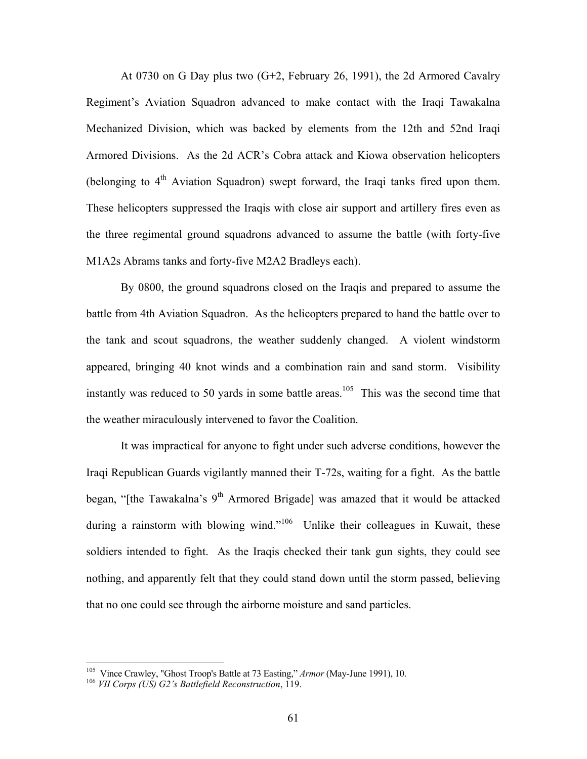At 0730 on G Day plus two (G+2, February 26, 1991), the 2d Armored Cavalry Regiment's Aviation Squadron advanced to make contact with the Iraqi Tawakalna Mechanized Division, which was backed by elements from the 12th and 52nd Iraqi Armored Divisions. As the 2d ACR's Cobra attack and Kiowa observation helicopters (belonging to  $4<sup>th</sup>$  Aviation Squadron) swept forward, the Iraqi tanks fired upon them. These helicopters suppressed the Iraqis with close air support and artillery fires even as the three regimental ground squadrons advanced to assume the battle (with forty-five M1A2s Abrams tanks and forty-five M2A2 Bradleys each).

By 0800, the ground squadrons closed on the Iraqis and prepared to assume the battle from 4th Aviation Squadron. As the helicopters prepared to hand the battle over to the tank and scout squadrons, the weather suddenly changed. A violent windstorm appeared, bringing 40 knot winds and a combination rain and sand storm. Visibility instantly was reduced to 50 yards in some battle areas.<sup>105</sup> This was the second time that the weather miraculously intervened to favor the Coalition.

It was impractical for anyone to fight under such adverse conditions, however the Iraqi Republican Guards vigilantly manned their T-72s, waiting for a fight. As the battle began, "[the Tawakalna's 9<sup>th</sup> Armored Brigade] was amazed that it would be attacked during a rainstorm with blowing wind."<sup>106</sup> Unlike their colleagues in Kuwait, these soldiers intended to fight. As the Iraqis checked their tank gun sights, they could see nothing, and apparently felt that they could stand down until the storm passed, believing that no one could see through the airborne moisture and sand particles.

<sup>&</sup>lt;sup>105</sup> Vince Crawley, "Ghost Troop's Battle at 73 Easting," *Armor* (May-June 1991), 10.<br><sup>106</sup> *VII Corps (US) G2's Battlefield Reconstruction*, 119.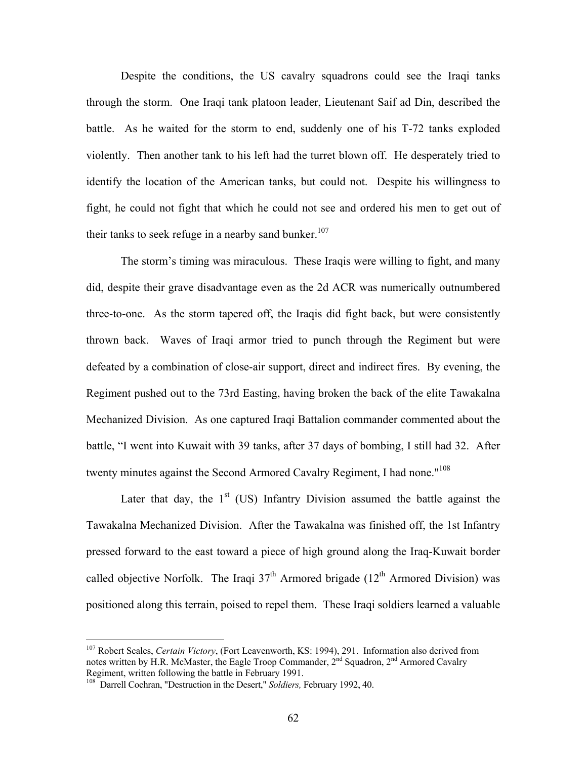Despite the conditions, the US cavalry squadrons could see the Iraqi tanks through the storm. One Iraqi tank platoon leader, Lieutenant Saif ad Din, described the battle. As he waited for the storm to end, suddenly one of his T-72 tanks exploded violently. Then another tank to his left had the turret blown off. He desperately tried to identify the location of the American tanks, but could not. Despite his willingness to fight, he could not fight that which he could not see and ordered his men to get out of their tanks to seek refuge in a nearby sand bunker.<sup>107</sup>

The storm's timing was miraculous. These Iraqis were willing to fight, and many did, despite their grave disadvantage even as the 2d ACR was numerically outnumbered three-to-one. As the storm tapered off, the Iraqis did fight back, but were consistently thrown back. Waves of Iraqi armor tried to punch through the Regiment but were defeated by a combination of close-air support, direct and indirect fires. By evening, the Regiment pushed out to the 73rd Easting, having broken the back of the elite Tawakalna Mechanized Division. As one captured Iraqi Battalion commander commented about the battle, "I went into Kuwait with 39 tanks, after 37 days of bombing, I still had 32. After twenty minutes against the Second Armored Cavalry Regiment, I had none."<sup>108</sup>

Later that day, the  $1<sup>st</sup>$  (US) Infantry Division assumed the battle against the Tawakalna Mechanized Division. After the Tawakalna was finished off, the 1st Infantry pressed forward to the east toward a piece of high ground along the Iraq-Kuwait border called objective Norfolk. The Iraqi  $37<sup>th</sup>$  Armored brigade (12<sup>th</sup> Armored Division) was positioned along this terrain, poised to repel them. These Iraqi soldiers learned a valuable

<sup>107</sup> Robert Scales, *Certain Victory*, (Fort Leavenworth, KS: 1994), 291. Information also derived from notes written by H.R. McMaster, the Eagle Troop Commander,  $2^{nd}$  Squadron,  $2^{nd}$  Armored Cavalry Regiment, written following the battle in February 1991.

<sup>&</sup>lt;sup>108</sup> Darrell Cochran, "Destruction in the Desert," *Soldiers*, February 1992, 40.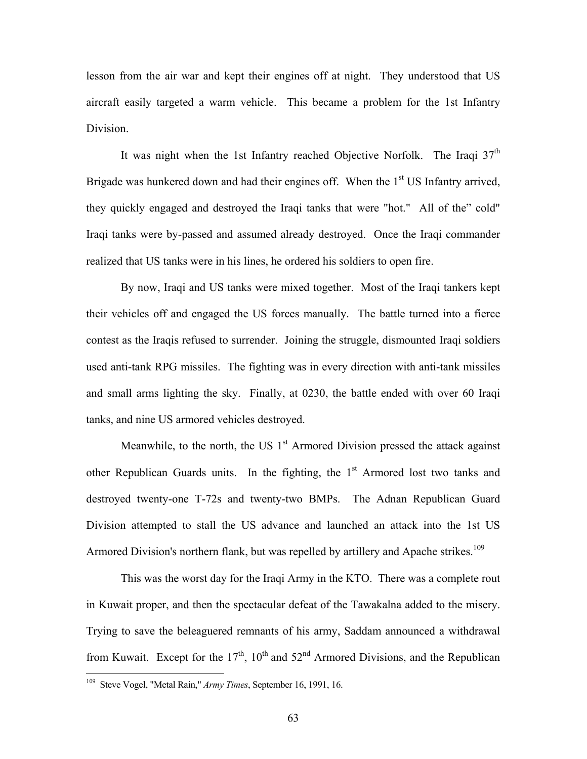lesson from the air war and kept their engines off at night. They understood that US aircraft easily targeted a warm vehicle. This became a problem for the 1st Infantry Division.

It was night when the 1st Infantry reached Objective Norfolk. The Iraqi  $37<sup>th</sup>$ Brigade was hunkered down and had their engines off. When the  $1<sup>st</sup>$  US Infantry arrived, they quickly engaged and destroyed the Iraqi tanks that were "hot." All of the" cold" Iraqi tanks were by-passed and assumed already destroyed. Once the Iraqi commander realized that US tanks were in his lines, he ordered his soldiers to open fire.

By now, Iraqi and US tanks were mixed together. Most of the Iraqi tankers kept their vehicles off and engaged the US forces manually. The battle turned into a fierce contest as the Iraqis refused to surrender. Joining the struggle, dismounted Iraqi soldiers used anti-tank RPG missiles. The fighting was in every direction with anti-tank missiles and small arms lighting the sky. Finally, at 0230, the battle ended with over 60 Iraqi tanks, and nine US armored vehicles destroyed.

Meanwhile, to the north, the US  $1<sup>st</sup>$  Armored Division pressed the attack against other Republican Guards units. In the fighting, the  $1<sup>st</sup>$  Armored lost two tanks and destroyed twenty-one T-72s and twenty-two BMPs. The Adnan Republican Guard Division attempted to stall the US advance and launched an attack into the 1st US Armored Division's northern flank, but was repelled by artillery and Apache strikes.<sup>109</sup>

This was the worst day for the Iraqi Army in the KTO. There was a complete rout in Kuwait proper, and then the spectacular defeat of the Tawakalna added to the misery. Trying to save the beleaguered remnants of his army, Saddam announced a withdrawal from Kuwait. Except for the  $17<sup>th</sup>$ ,  $10<sup>th</sup>$  and  $52<sup>nd</sup>$  Armored Divisions, and the Republican

<sup>109</sup> Steve Vogel, "Metal Rain," *Army Times*, September 16, 1991, 16.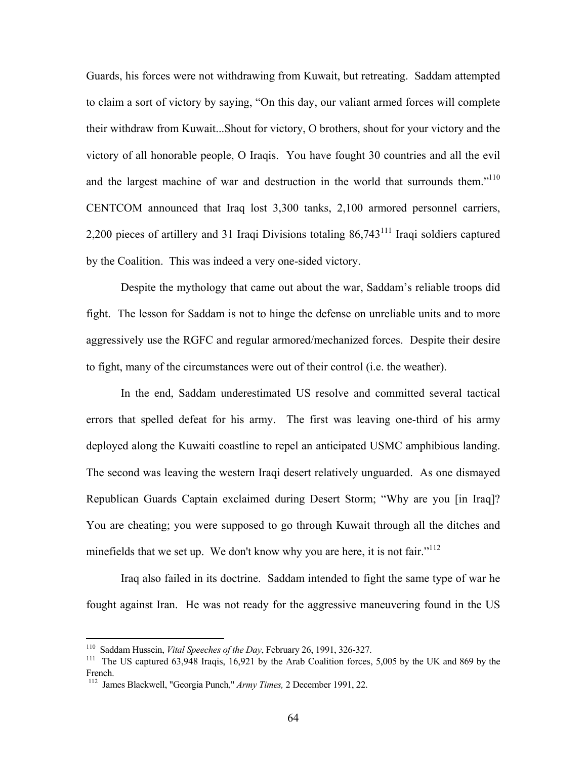Guards, his forces were not withdrawing from Kuwait, but retreating. Saddam attempted to claim a sort of victory by saying, "On this day, our valiant armed forces will complete their withdraw from Kuwait...Shout for victory, O brothers, shout for your victory and the victory of all honorable people, O Iraqis. You have fought 30 countries and all the evil and the largest machine of war and destruction in the world that surrounds them."<sup>110</sup> CENTCOM announced that Iraq lost 3,300 tanks, 2,100 armored personnel carriers, 2,200 pieces of artillery and 31 Iraqi Divisions totaling  $86,743<sup>111</sup>$  Iraqi soldiers captured by the Coalition. This was indeed a very one-sided victory.

Despite the mythology that came out about the war, Saddam's reliable troops did fight. The lesson for Saddam is not to hinge the defense on unreliable units and to more aggressively use the RGFC and regular armored/mechanized forces. Despite their desire to fight, many of the circumstances were out of their control (i.e. the weather).

In the end, Saddam underestimated US resolve and committed several tactical errors that spelled defeat for his army. The first was leaving one-third of his army deployed along the Kuwaiti coastline to repel an anticipated USMC amphibious landing. The second was leaving the western Iraqi desert relatively unguarded. As one dismayed Republican Guards Captain exclaimed during Desert Storm; "Why are you [in Iraq]? You are cheating; you were supposed to go through Kuwait through all the ditches and minefields that we set up. We don't know why you are here, it is not fair."<sup>112</sup>

Iraq also failed in its doctrine. Saddam intended to fight the same type of war he fought against Iran. He was not ready for the aggressive maneuvering found in the US

<sup>&</sup>lt;sup>110</sup> Saddam Hussein, *Vital Speeches of the Day*, February 26, 1991, 326-327.<br><sup>111</sup> The US captured 63,948 Iraqis, 16,921 by the Arab Coalition forces, 5,005 by the UK and 869 by the French.

<sup>112</sup> James Blackwell, "Georgia Punch," *Army Times,* 2 December 1991, 22.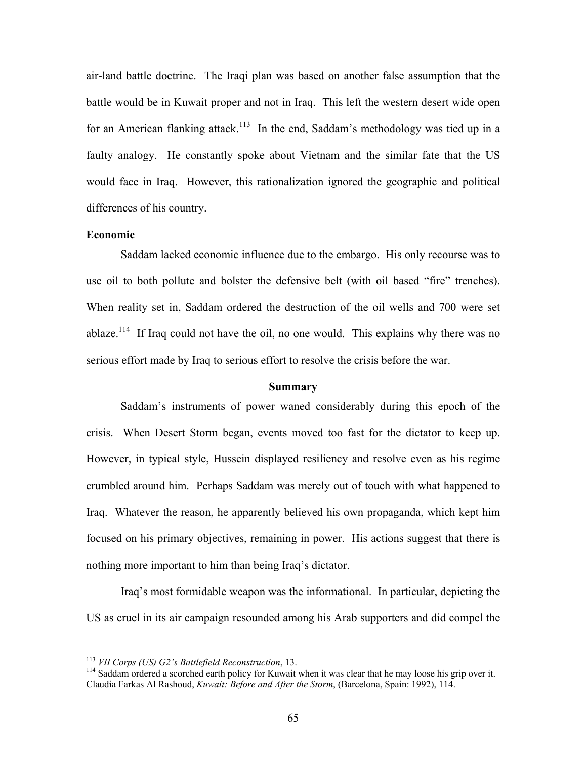air-land battle doctrine. The Iraqi plan was based on another false assumption that the battle would be in Kuwait proper and not in Iraq. This left the western desert wide open for an American flanking attack.<sup>113</sup> In the end, Saddam's methodology was tied up in a faulty analogy. He constantly spoke about Vietnam and the similar fate that the US would face in Iraq. However, this rationalization ignored the geographic and political differences of his country.

### **Economic**

Saddam lacked economic influence due to the embargo. His only recourse was to use oil to both pollute and bolster the defensive belt (with oil based "fire" trenches). When reality set in, Saddam ordered the destruction of the oil wells and 700 were set ablaze.<sup>114</sup> If Iraq could not have the oil, no one would. This explains why there was no serious effort made by Iraq to serious effort to resolve the crisis before the war.

#### **Summary**

Saddam's instruments of power waned considerably during this epoch of the crisis. When Desert Storm began, events moved too fast for the dictator to keep up. However, in typical style, Hussein displayed resiliency and resolve even as his regime crumbled around him. Perhaps Saddam was merely out of touch with what happened to Iraq. Whatever the reason, he apparently believed his own propaganda, which kept him focused on his primary objectives, remaining in power. His actions suggest that there is nothing more important to him than being Iraq's dictator.

Iraq's most formidable weapon was the informational. In particular, depicting the US as cruel in its air campaign resounded among his Arab supporters and did compel the

<sup>&</sup>lt;sup>113</sup> *VII Corps (US) G2's Battlefield Reconstruction*, 13.<br><sup>114</sup> Saddam ordered a scorched earth policy for Kuwait when it was clear that he may loose his grip over it. Claudia Farkas Al Rashoud, *Kuwait: Before and After the Storm*, (Barcelona, Spain: 1992), 114.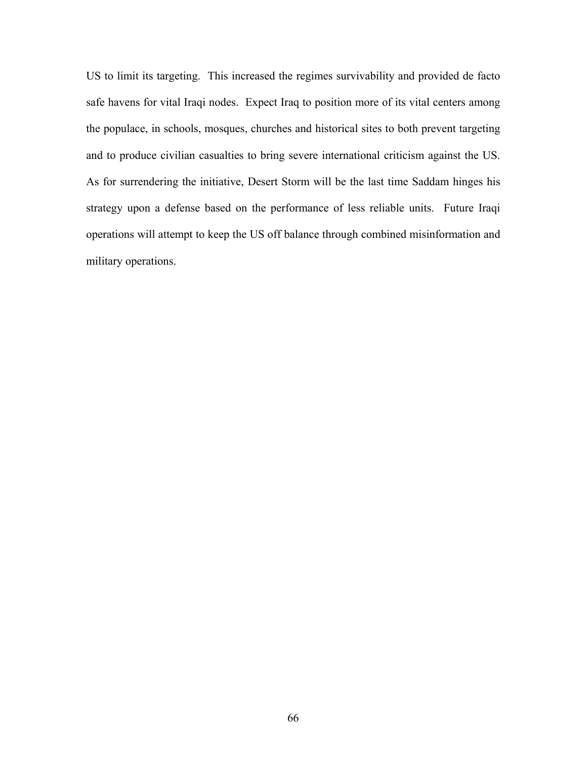US to limit its targeting. This increased the regimes survivability and provided de facto safe havens for vital Iraqi nodes. Expect Iraq to position more of its vital centers among the populace, in schools, mosques, churches and historical sites to both prevent targeting and to produce civilian casualties to bring severe international criticism against the US. As for surrendering the initiative, Desert Storm will be the last time Saddam hinges his strategy upon a defense based on the performance of less reliable units. Future Iraqi operations will attempt to keep the US off balance through combined misinformation and military operations.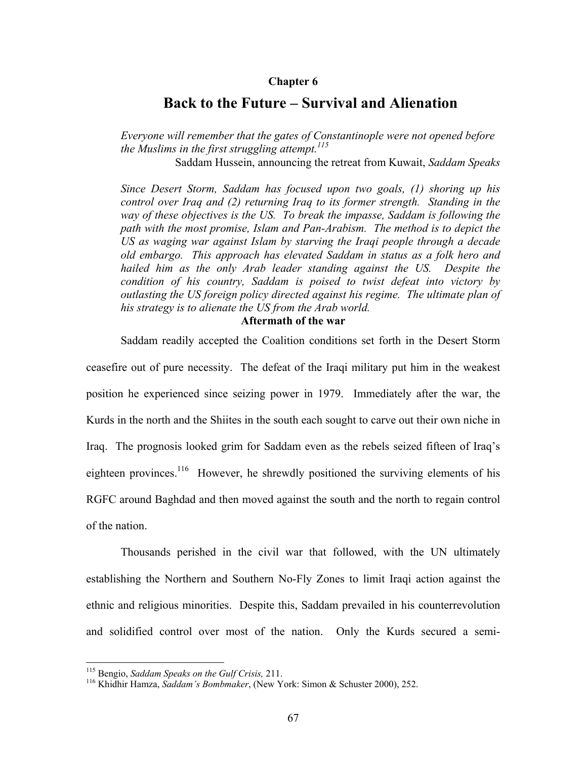### **Chapter 6**

# **Back to the Future – Survival and Alienation**

*Everyone will remember that the gates of Constantinople were not opened before the Muslims in the first struggling attempt.115*

Saddam Hussein, announcing the retreat from Kuwait, *Saddam Speaks*

*Since Desert Storm, Saddam has focused upon two goals, (1) shoring up his control over Iraq and (2) returning Iraq to its former strength. Standing in the way of these objectives is the US. To break the impasse, Saddam is following the path with the most promise, Islam and Pan-Arabism. The method is to depict the US as waging war against Islam by starving the Iraqi people through a decade old embargo. This approach has elevated Saddam in status as a folk hero and hailed him as the only Arab leader standing against the US. Despite the condition of his country, Saddam is poised to twist defeat into victory by outlasting the US foreign policy directed against his regime. The ultimate plan of his strategy is to alienate the US from the Arab world.* 

## **Aftermath of the war**

Saddam readily accepted the Coalition conditions set forth in the Desert Storm

ceasefire out of pure necessity. The defeat of the Iraqi military put him in the weakest position he experienced since seizing power in 1979. Immediately after the war, the Kurds in the north and the Shiites in the south each sought to carve out their own niche in Iraq. The prognosis looked grim for Saddam even as the rebels seized fifteen of Iraq's eighteen provinces.<sup>116</sup> However, he shrewdly positioned the surviving elements of his RGFC around Baghdad and then moved against the south and the north to regain control of the nation.

Thousands perished in the civil war that followed, with the UN ultimately establishing the Northern and Southern No-Fly Zones to limit Iraqi action against the ethnic and religious minorities. Despite this, Saddam prevailed in his counterrevolution and solidified control over most of the nation. Only the Kurds secured a semi-

<sup>&</sup>lt;sup>115</sup> Bengio, Saddam Speaks on the Gulf Crisis, 211.

<sup>&</sup>lt;sup>116</sup> Khidhir Hamza, *Saddam's Bombmaker*, (New York: Simon & Schuster 2000), 252.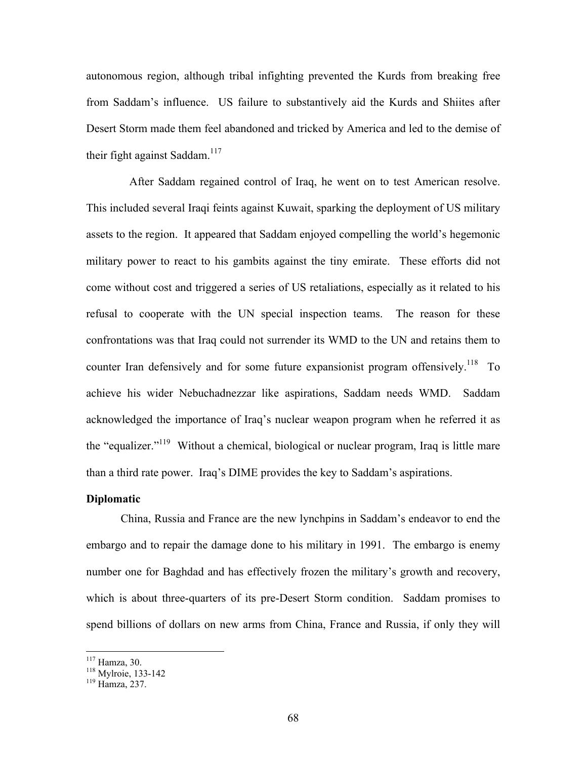autonomous region, although tribal infighting prevented the Kurds from breaking free from Saddam's influence. US failure to substantively aid the Kurds and Shiites after Desert Storm made them feel abandoned and tricked by America and led to the demise of their fight against Saddam.<sup>117</sup>

After Saddam regained control of Iraq, he went on to test American resolve. This included several Iraqi feints against Kuwait, sparking the deployment of US military assets to the region. It appeared that Saddam enjoyed compelling the world's hegemonic military power to react to his gambits against the tiny emirate. These efforts did not come without cost and triggered a series of US retaliations, especially as it related to his refusal to cooperate with the UN special inspection teams. The reason for these confrontations was that Iraq could not surrender its WMD to the UN and retains them to counter Iran defensively and for some future expansionist program offensively.<sup>118</sup> To achieve his wider Nebuchadnezzar like aspirations, Saddam needs WMD. Saddam acknowledged the importance of Iraq's nuclear weapon program when he referred it as the "equalizer."<sup>119</sup> Without a chemical, biological or nuclear program, Iraq is little mare than a third rate power. Iraq's DIME provides the key to Saddam's aspirations.

### **Diplomatic**

China, Russia and France are the new lynchpins in Saddam's endeavor to end the embargo and to repair the damage done to his military in 1991. The embargo is enemy number one for Baghdad and has effectively frozen the military's growth and recovery, which is about three-quarters of its pre-Desert Storm condition. Saddam promises to spend billions of dollars on new arms from China, France and Russia, if only they will

<sup>&</sup>lt;sup>117</sup> Hamza, 30.<br><sup>118</sup> Mylroie, 133-142<br><sup>119</sup> Hamza, 237.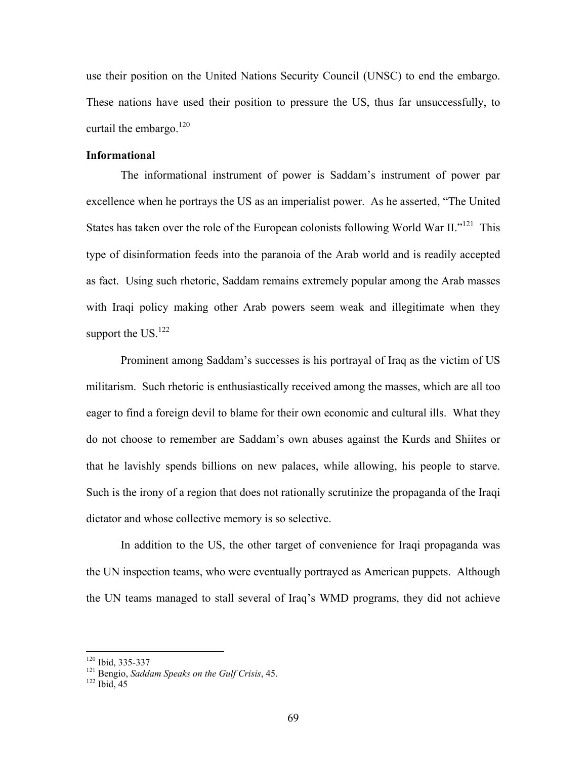use their position on the United Nations Security Council (UNSC) to end the embargo. These nations have used their position to pressure the US, thus far unsuccessfully, to curtail the embargo.<sup>120</sup>

### **Informational**

The informational instrument of power is Saddam's instrument of power par excellence when he portrays the US as an imperialist power. As he asserted, "The United States has taken over the role of the European colonists following World War II."121This type of disinformation feeds into the paranoia of the Arab world and is readily accepted as fact. Using such rhetoric, Saddam remains extremely popular among the Arab masses with Iraqi policy making other Arab powers seem weak and illegitimate when they support the  $US<sup>122</sup>$ 

Prominent among Saddam's successes is his portrayal of Iraq as the victim of US militarism. Such rhetoric is enthusiastically received among the masses, which are all too eager to find a foreign devil to blame for their own economic and cultural ills. What they do not choose to remember are Saddam's own abuses against the Kurds and Shiites or that he lavishly spends billions on new palaces, while allowing, his people to starve. Such is the irony of a region that does not rationally scrutinize the propaganda of the Iraqi dictator and whose collective memory is so selective.

In addition to the US, the other target of convenience for Iraqi propaganda was the UN inspection teams, who were eventually portrayed as American puppets. Although the UN teams managed to stall several of Iraq's WMD programs, they did not achieve

<sup>&</sup>lt;sup>120</sup> Ibid, 335-337

<sup>&</sup>lt;sup>121</sup> Bengio, *Saddam Speaks on the Gulf Crisis*, 45. <sup>122</sup> Ibid. 45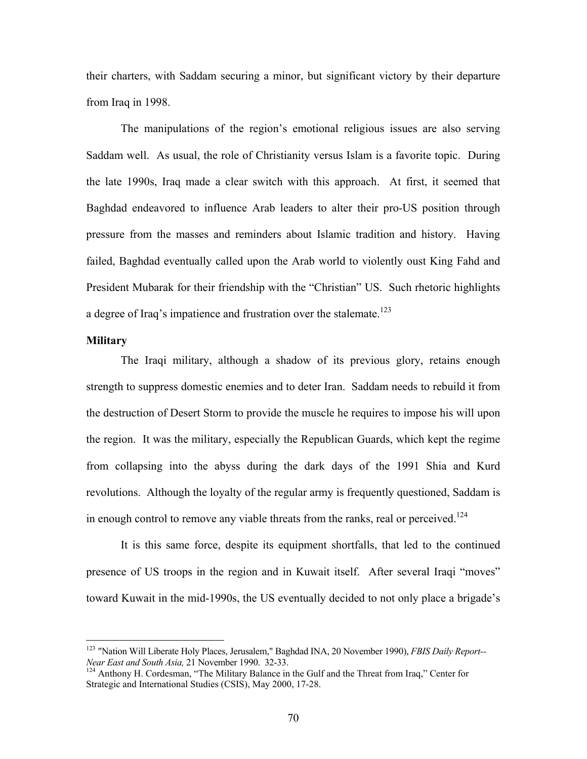their charters, with Saddam securing a minor, but significant victory by their departure from Iraq in 1998.

The manipulations of the region's emotional religious issues are also serving Saddam well. As usual, the role of Christianity versus Islam is a favorite topic. During the late 1990s, Iraq made a clear switch with this approach. At first, it seemed that Baghdad endeavored to influence Arab leaders to alter their pro-US position through pressure from the masses and reminders about Islamic tradition and history. Having failed, Baghdad eventually called upon the Arab world to violently oust King Fahd and President Mubarak for their friendship with the "Christian" US. Such rhetoric highlights a degree of Iraq's impatience and frustration over the stalemate.<sup>123</sup>

### **Military**

1

The Iraqi military, although a shadow of its previous glory, retains enough strength to suppress domestic enemies and to deter Iran. Saddam needs to rebuild it from the destruction of Desert Storm to provide the muscle he requires to impose his will upon the region. It was the military, especially the Republican Guards, which kept the regime from collapsing into the abyss during the dark days of the 1991 Shia and Kurd revolutions. Although the loyalty of the regular army is frequently questioned, Saddam is in enough control to remove any viable threats from the ranks, real or perceived.<sup>124</sup>

It is this same force, despite its equipment shortfalls, that led to the continued presence of US troops in the region and in Kuwait itself. After several Iraqi "moves" toward Kuwait in the mid-1990s, the US eventually decided to not only place a brigade's

<sup>123</sup> "Nation Will Liberate Holy Places, Jerusalem," Baghdad INA, 20 November 1990), *FBIS Daily Report-- Near East and South Asia,* 21 November 1990. 32-33.<br><sup>124</sup> Anthony H. Cordesman, "The Military Balance in the Gulf and the Threat from Iraq," Center for

Strategic and International Studies (CSIS), May 2000, 17-28.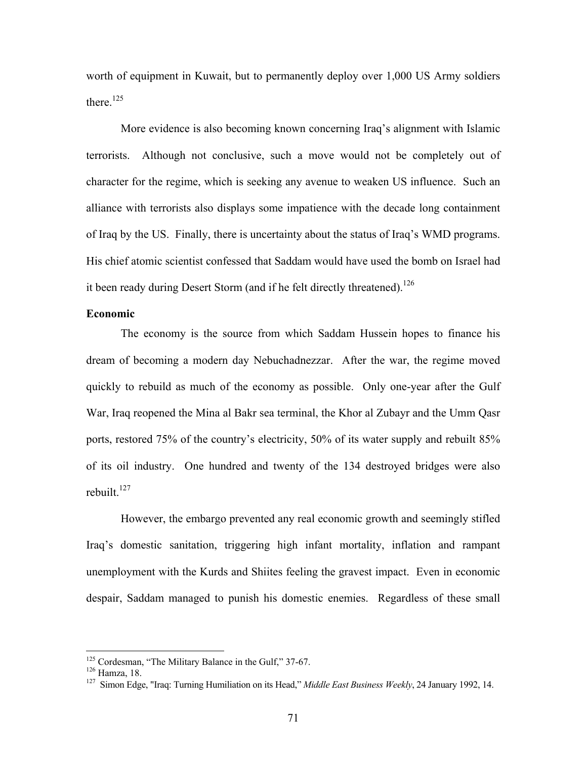worth of equipment in Kuwait, but to permanently deploy over 1,000 US Army soldiers there <sup>125</sup>

More evidence is also becoming known concerning Iraq's alignment with Islamic terrorists. Although not conclusive, such a move would not be completely out of character for the regime, which is seeking any avenue to weaken US influence. Such an alliance with terrorists also displays some impatience with the decade long containment of Iraq by the US. Finally, there is uncertainty about the status of Iraq's WMD programs. His chief atomic scientist confessed that Saddam would have used the bomb on Israel had it been ready during Desert Storm (and if he felt directly threatened).<sup>126</sup>

# **Economic**

The economy is the source from which Saddam Hussein hopes to finance his dream of becoming a modern day Nebuchadnezzar. After the war, the regime moved quickly to rebuild as much of the economy as possible. Only one-year after the Gulf War, Iraq reopened the Mina al Bakr sea terminal, the Khor al Zubayr and the Umm Qasr ports, restored 75% of the country's electricity, 50% of its water supply and rebuilt 85% of its oil industry. One hundred and twenty of the 134 destroyed bridges were also rebuilt. $127$ 

However, the embargo prevented any real economic growth and seemingly stifled Iraq's domestic sanitation, triggering high infant mortality, inflation and rampant unemployment with the Kurds and Shiites feeling the gravest impact. Even in economic despair, Saddam managed to punish his domestic enemies. Regardless of these small

<sup>&</sup>lt;sup>125</sup> Cordesman, "The Military Balance in the Gulf," 37-67.

<sup>&</sup>lt;sup>126</sup> Hamza, 18.<br><sup>127</sup> Simon Edge, "Iraq: Turning Humiliation on its Head," *Middle East Business Weekly*, 24 January 1992, 14.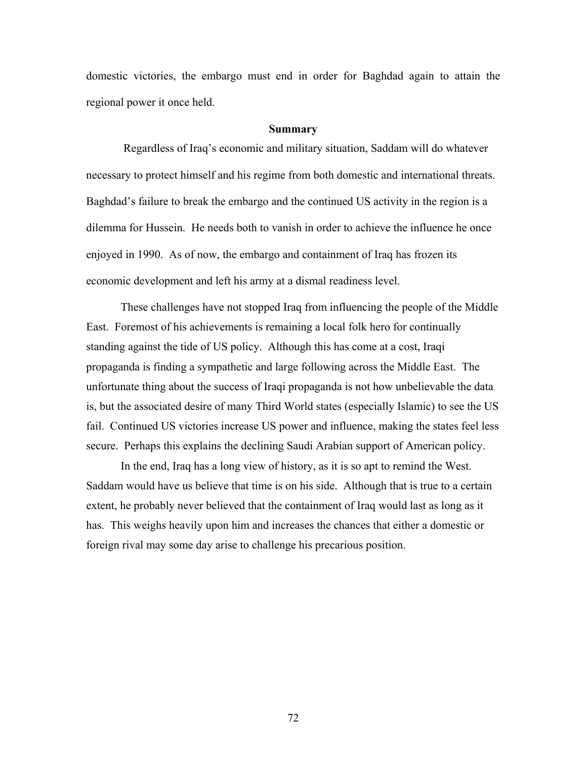domestic victories, the embargo must end in order for Baghdad again to attain the regional power it once held.

#### **Summary**

 Regardless of Iraq's economic and military situation, Saddam will do whatever necessary to protect himself and his regime from both domestic and international threats. Baghdad's failure to break the embargo and the continued US activity in the region is a dilemma for Hussein. He needs both to vanish in order to achieve the influence he once enjoyed in 1990. As of now, the embargo and containment of Iraq has frozen its economic development and left his army at a dismal readiness level.

These challenges have not stopped Iraq from influencing the people of the Middle East. Foremost of his achievements is remaining a local folk hero for continually standing against the tide of US policy. Although this has come at a cost, Iraqi propaganda is finding a sympathetic and large following across the Middle East. The unfortunate thing about the success of Iraqi propaganda is not how unbelievable the data is, but the associated desire of many Third World states (especially Islamic) to see the US fail. Continued US victories increase US power and influence, making the states feel less secure. Perhaps this explains the declining Saudi Arabian support of American policy.

In the end, Iraq has a long view of history, as it is so apt to remind the West. Saddam would have us believe that time is on his side. Although that is true to a certain extent, he probably never believed that the containment of Iraq would last as long as it has. This weighs heavily upon him and increases the chances that either a domestic or foreign rival may some day arise to challenge his precarious position.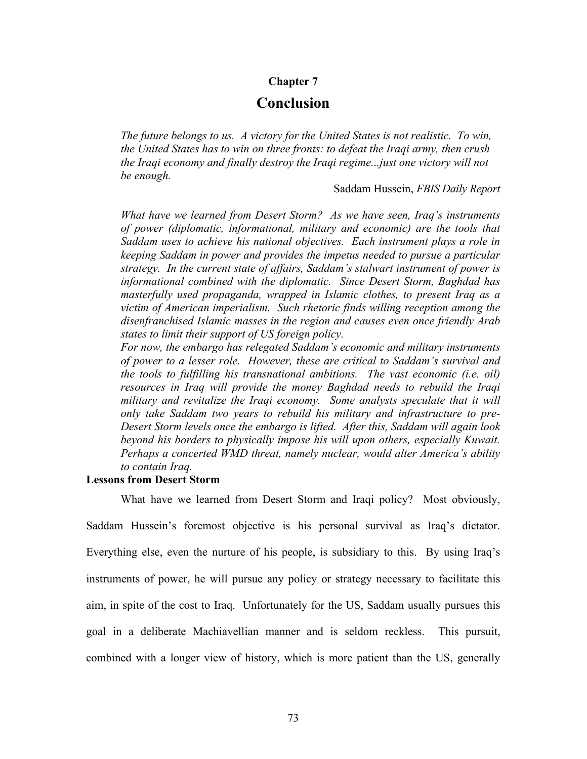## **Chapter 7**

# **Conclusion**

*The future belongs to us. A victory for the United States is not realistic. To win, the United States has to win on three fronts: to defeat the Iraqi army, then crush the Iraqi economy and finally destroy the Iraqi regime...just one victory will not be enough.* 

Saddam Hussein, *FBIS Daily Report*

*What have we learned from Desert Storm? As we have seen, Iraq's instruments of power (diplomatic, informational, military and economic) are the tools that Saddam uses to achieve his national objectives. Each instrument plays a role in keeping Saddam in power and provides the impetus needed to pursue a particular strategy. In the current state of affairs, Saddam's stalwart instrument of power is informational combined with the diplomatic. Since Desert Storm, Baghdad has masterfully used propaganda, wrapped in Islamic clothes, to present Iraq as a victim of American imperialism. Such rhetoric finds willing reception among the disenfranchised Islamic masses in the region and causes even once friendly Arab states to limit their support of US foreign policy.* 

*For now, the embargo has relegated Saddam's economic and military instruments of power to a lesser role. However, these are critical to Saddam's survival and the tools to fulfilling his transnational ambitions. The vast economic (i.e. oil) resources in Iraq will provide the money Baghdad needs to rebuild the Iraqi military and revitalize the Iraqi economy. Some analysts speculate that it will only take Saddam two years to rebuild his military and infrastructure to pre-Desert Storm levels once the embargo is lifted. After this, Saddam will again look beyond his borders to physically impose his will upon others, especially Kuwait. Perhaps a concerted WMD threat, namely nuclear, would alter America's ability to contain Iraq.* 

# **Lessons from Desert Storm**

What have we learned from Desert Storm and Iraqi policy? Most obviously, Saddam Hussein's foremost objective is his personal survival as Iraq's dictator. Everything else, even the nurture of his people, is subsidiary to this. By using Iraq's instruments of power, he will pursue any policy or strategy necessary to facilitate this aim, in spite of the cost to Iraq. Unfortunately for the US, Saddam usually pursues this goal in a deliberate Machiavellian manner and is seldom reckless. This pursuit,

combined with a longer view of history, which is more patient than the US, generally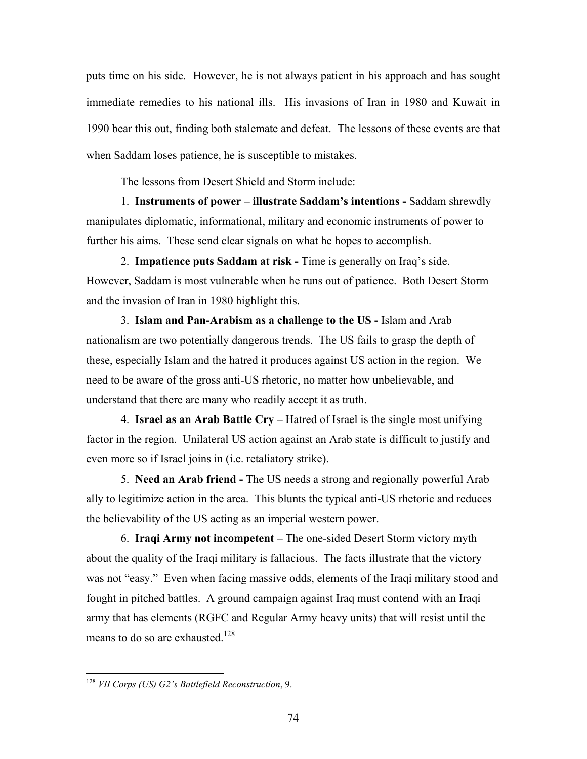puts time on his side. However, he is not always patient in his approach and has sought immediate remedies to his national ills. His invasions of Iran in 1980 and Kuwait in 1990 bear this out, finding both stalemate and defeat. The lessons of these events are that when Saddam loses patience, he is susceptible to mistakes.

The lessons from Desert Shield and Storm include:

1. **Instruments of power – illustrate Saddam's intentions -** Saddam shrewdly manipulates diplomatic, informational, military and economic instruments of power to further his aims. These send clear signals on what he hopes to accomplish.

2. **Impatience puts Saddam at risk -** Time is generally on Iraq's side. However, Saddam is most vulnerable when he runs out of patience. Both Desert Storm and the invasion of Iran in 1980 highlight this.

3. **Islam and Pan-Arabism as a challenge to the US -** Islam and Arab nationalism are two potentially dangerous trends. The US fails to grasp the depth of these, especially Islam and the hatred it produces against US action in the region. We need to be aware of the gross anti-US rhetoric, no matter how unbelievable, and understand that there are many who readily accept it as truth.

4. **Israel as an Arab Battle Cry –** Hatred of Israel is the single most unifying factor in the region. Unilateral US action against an Arab state is difficult to justify and even more so if Israel joins in (i.e. retaliatory strike).

5. **Need an Arab friend -** The US needs a strong and regionally powerful Arab ally to legitimize action in the area. This blunts the typical anti-US rhetoric and reduces the believability of the US acting as an imperial western power.

6. **Iraqi Army not incompetent –** The one-sided Desert Storm victory myth about the quality of the Iraqi military is fallacious.The facts illustrate that the victory was not "easy." Even when facing massive odds, elements of the Iraqi military stood and fought in pitched battles. A ground campaign against Iraq must contend with an Iraqi army that has elements (RGFC and Regular Army heavy units) that will resist until the means to do so are exhausted.<sup>128</sup>

<sup>128</sup> *VII Corps (US) G2's Battlefield Reconstruction*, 9.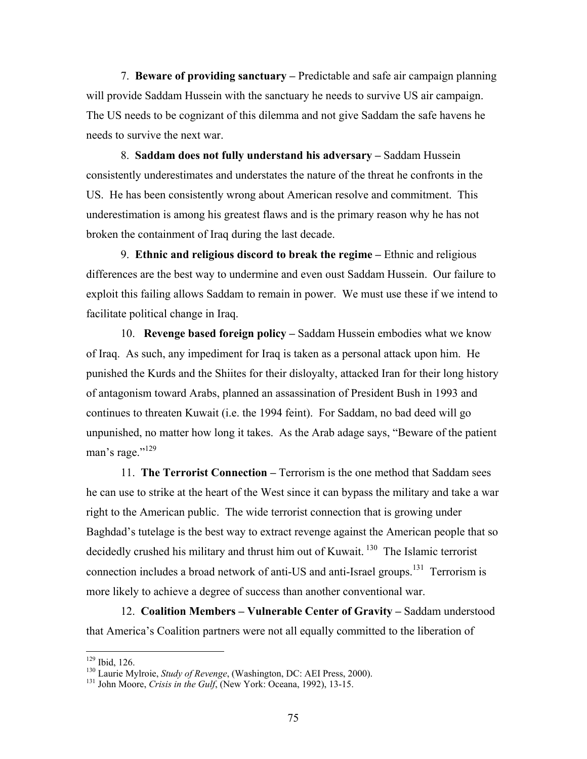7. **Beware of providing sanctuary –** Predictable and safe air campaign planning will provide Saddam Hussein with the sanctuary he needs to survive US air campaign. The US needs to be cognizant of this dilemma and not give Saddam the safe havens he needs to survive the next war.

8. **Saddam does not fully understand his adversary –** Saddam Hussein consistently underestimates and understates the nature of the threat he confronts in the US. He has been consistently wrong about American resolve and commitment. This underestimation is among his greatest flaws and is the primary reason why he has not broken the containment of Iraq during the last decade.

9. **Ethnic and religious discord to break the regime –** Ethnic and religious differences are the best way to undermine and even oust Saddam Hussein. Our failure to exploit this failing allows Saddam to remain in power. We must use these if we intend to facilitate political change in Iraq.

10. **Revenge based foreign policy –** Saddam Hussein embodies what we know of Iraq. As such, any impediment for Iraq is taken as a personal attack upon him. He punished the Kurds and the Shiites for their disloyalty, attacked Iran for their long history of antagonism toward Arabs, planned an assassination of President Bush in 1993 and continues to threaten Kuwait (i.e. the 1994 feint). For Saddam, no bad deed will go unpunished, no matter how long it takes. As the Arab adage says, "Beware of the patient man's rage." $^{129}$ 

 11. **The Terrorist Connection –** Terrorism is the one method that Saddam sees he can use to strike at the heart of the West since it can bypass the military and take a war right to the American public. The wide terrorist connection that is growing under Baghdad's tutelage is the best way to extract revenge against the American people that so decidedly crushed his military and thrust him out of Kuwait.<sup>130</sup> The Islamic terrorist connection includes a broad network of anti-US and anti-Israel groups.<sup>131</sup> Terrorism is more likely to achieve a degree of success than another conventional war.

 12. **Coalition Members – Vulnerable Center of Gravity –** Saddam understood that America's Coalition partners were not all equally committed to the liberation of

<sup>&</sup>lt;sup>129</sup> Ibid, 126.

<sup>&</sup>lt;sup>130</sup> Laurie Mylroie, *Study of Revenge*, (Washington, DC: AEI Press, 2000). <sup>131</sup> John Moore, *Crisis in the Gulf*, (New York: Oceana, 1992), 13-15.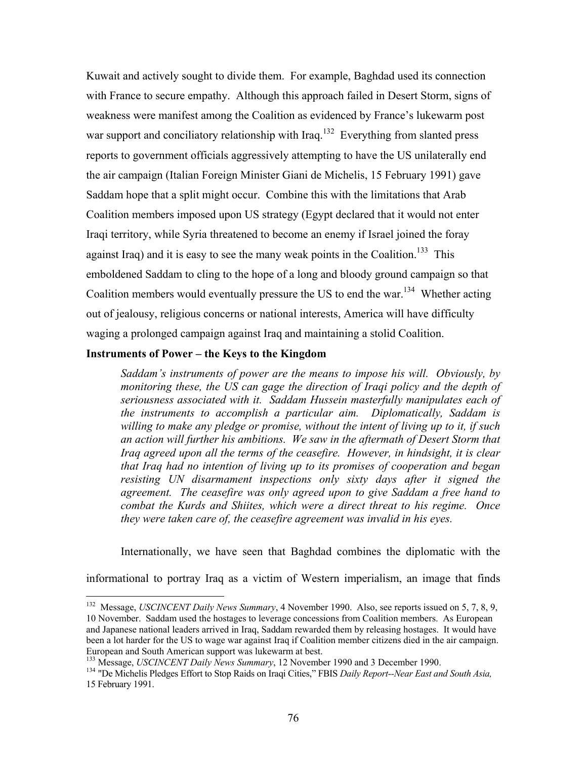Kuwait and actively sought to divide them. For example, Baghdad used its connection with France to secure empathy. Although this approach failed in Desert Storm, signs of weakness were manifest among the Coalition as evidenced by France's lukewarm post war support and conciliatory relationship with Iraq.<sup>132</sup> Everything from slanted press reports to government officials aggressively attempting to have the US unilaterally end the air campaign (Italian Foreign Minister Giani de Michelis, 15 February 1991) gave Saddam hope that a split might occur. Combine this with the limitations that Arab Coalition members imposed upon US strategy (Egypt declared that it would not enter Iraqi territory, while Syria threatened to become an enemy if Israel joined the foray against Iraq) and it is easy to see the many weak points in the Coalition.<sup>133</sup> This emboldened Saddam to cling to the hope of a long and bloody ground campaign so that Coalition members would eventually pressure the US to end the war.<sup>134</sup> Whether acting out of jealousy, religious concerns or national interests, America will have difficulty waging a prolonged campaign against Iraq and maintaining a stolid Coalition.

# **Instruments of Power – the Keys to the Kingdom**

1

*Saddam's instruments of power are the means to impose his will. Obviously, by monitoring these, the US can gage the direction of Iraqi policy and the depth of seriousness associated with it. Saddam Hussein masterfully manipulates each of the instruments to accomplish a particular aim. Diplomatically, Saddam is willing to make any pledge or promise, without the intent of living up to it, if such an action will further his ambitions. We saw in the aftermath of Desert Storm that Iraq agreed upon all the terms of the ceasefire. However, in hindsight, it is clear that Iraq had no intention of living up to its promises of cooperation and began resisting UN disarmament inspections only sixty days after it signed the agreement. The ceasefire was only agreed upon to give Saddam a free hand to combat the Kurds and Shiites, which were a direct threat to his regime. Once they were taken care of, the ceasefire agreement was invalid in his eyes.* 

Internationally, we have seen that Baghdad combines the diplomatic with the

informational to portray Iraq as a victim of Western imperialism, an image that finds

<sup>132</sup> Message, *USCINCENT Daily News Summary*, 4 November 1990. Also, see reports issued on 5, 7, 8, 9, 10 November. Saddam used the hostages to leverage concessions from Coalition members. As European and Japanese national leaders arrived in Iraq, Saddam rewarded them by releasing hostages. It would have been a lot harder for the US to wage war against Iraq if Coalition member citizens died in the air campaign.<br>European and South American support was lukewarm at best.

<sup>&</sup>lt;sup>133</sup> Message, *USCINCENT Daily News Summary*, 12 November 1990 and 3 December 1990.<br><sup>134</sup> "De Michelis Pledges Effort to Stop Raids on Iraqi Cities," FBIS *Daily Report--Near East and South Asia*, 15 February 1991.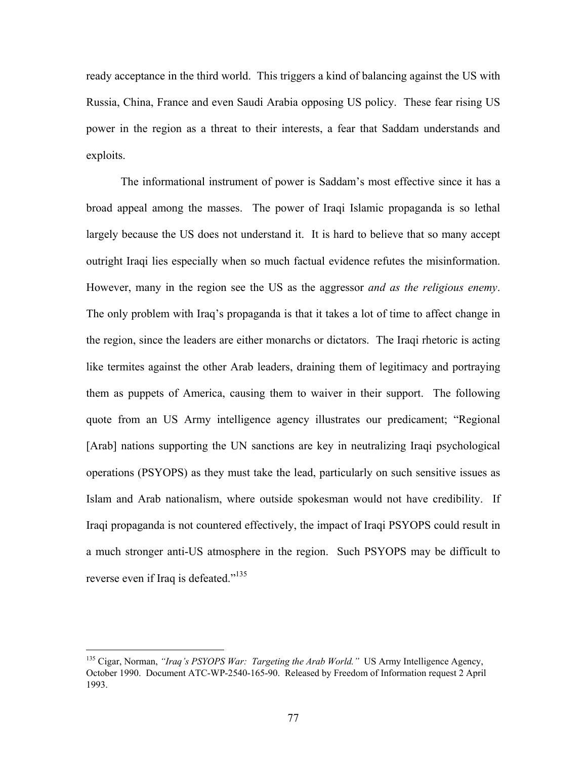ready acceptance in the third world. This triggers a kind of balancing against the US with Russia, China, France and even Saudi Arabia opposing US policy. These fear rising US power in the region as a threat to their interests, a fear that Saddam understands and exploits.

The informational instrument of power is Saddam's most effective since it has a broad appeal among the masses. The power of Iraqi Islamic propaganda is so lethal largely because the US does not understand it. It is hard to believe that so many accept outright Iraqi lies especially when so much factual evidence refutes the misinformation. However, many in the region see the US as the aggressor *and as the religious enemy*. The only problem with Iraq's propaganda is that it takes a lot of time to affect change in the region, since the leaders are either monarchs or dictators. The Iraqi rhetoric is acting like termites against the other Arab leaders, draining them of legitimacy and portraying them as puppets of America, causing them to waiver in their support. The following quote from an US Army intelligence agency illustrates our predicament; "Regional [Arab] nations supporting the UN sanctions are key in neutralizing Iraqi psychological operations (PSYOPS) as they must take the lead, particularly on such sensitive issues as Islam and Arab nationalism, where outside spokesman would not have credibility. If Iraqi propaganda is not countered effectively, the impact of Iraqi PSYOPS could result in a much stronger anti-US atmosphere in the region. Such PSYOPS may be difficult to reverse even if Iraq is defeated."<sup>135</sup>

<sup>135</sup> Cigar, Norman, *"Iraq's PSYOPS War: Targeting the Arab World."* US Army Intelligence Agency, October 1990. Document ATC-WP-2540-165-90. Released by Freedom of Information request 2 April 1993.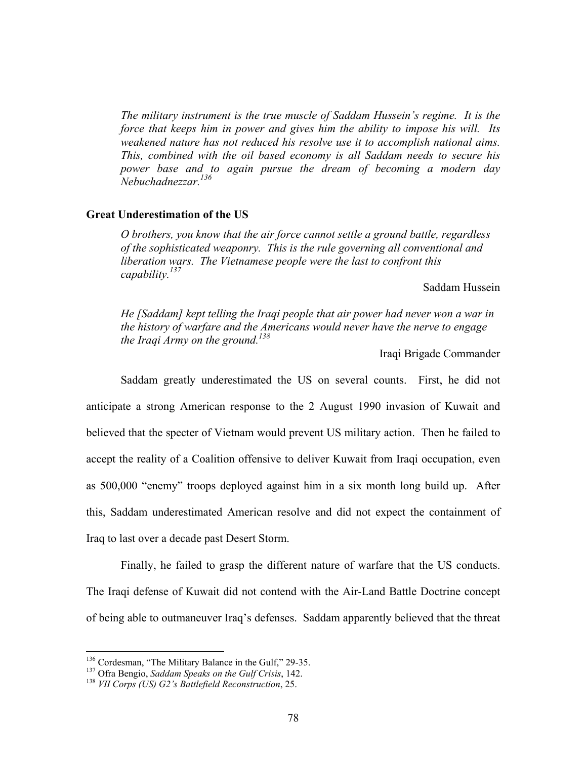*The military instrument is the true muscle of Saddam Hussein's regime. It is the force that keeps him in power and gives him the ability to impose his will. Its weakened nature has not reduced his resolve use it to accomplish national aims. This, combined with the oil based economy is all Saddam needs to secure his power base and to again pursue the dream of becoming a modern day Nebuchadnezzar.136* 

### **Great Underestimation of the US**

*O brothers, you know that the air force cannot settle a ground battle, regardless of the sophisticated weaponry. This is the rule governing all conventional and liberation wars. The Vietnamese people were the last to confront this capability.137* 

Saddam Hussein

*He [Saddam] kept telling the Iraqi people that air power had never won a war in the history of warfare and the Americans would never have the nerve to engage the Iraqi Army on the ground.138*

Iraqi Brigade Commander

Saddam greatly underestimated the US on several counts. First, he did not anticipate a strong American response to the 2 August 1990 invasion of Kuwait and believed that the specter of Vietnam would prevent US military action. Then he failed to accept the reality of a Coalition offensive to deliver Kuwait from Iraqi occupation, even as 500,000 "enemy" troops deployed against him in a six month long build up. After this, Saddam underestimated American resolve and did not expect the containment of Iraq to last over a decade past Desert Storm.

Finally, he failed to grasp the different nature of warfare that the US conducts. The Iraqi defense of Kuwait did not contend with the Air-Land Battle Doctrine concept of being able to outmaneuver Iraq's defenses. Saddam apparently believed that the threat

<sup>136</sup> Cordesman, "The Military Balance in the Gulf," 29-35. 137 Ofra Bengio, *Saddam Speaks on the Gulf Crisis*, 142. 138 *VII Corps (US) G2's Battlefield Reconstruction*, 25.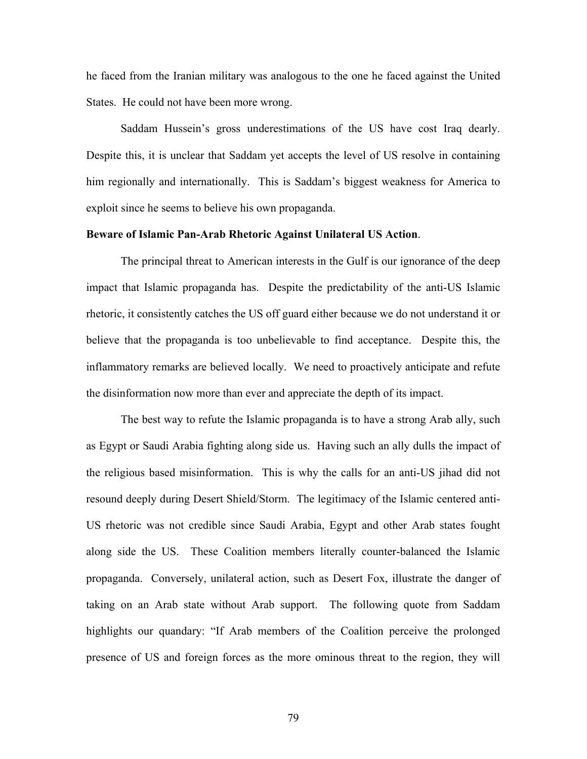he faced from the Iranian military was analogous to the one he faced against the United States. He could not have been more wrong.

Saddam Hussein's gross underestimations of the US have cost Iraq dearly. Despite this, it is unclear that Saddam yet accepts the level of US resolve in containing him regionally and internationally. This is Saddam's biggest weakness for America to exploit since he seems to believe his own propaganda.

### **Beware of Islamic Pan-Arab Rhetoric Against Unilateral US Action**.

The principal threat to American interests in the Gulf is our ignorance of the deep impact that Islamic propaganda has. Despite the predictability of the anti-US Islamic rhetoric, it consistently catches the US off guard either because we do not understand it or believe that the propaganda is too unbelievable to find acceptance. Despite this, the inflammatory remarks are believed locally. We need to proactively anticipate and refute the disinformation now more than ever and appreciate the depth of its impact.

The best way to refute the Islamic propaganda is to have a strong Arab ally, such as Egypt or Saudi Arabia fighting along side us. Having such an ally dulls the impact of the religious based misinformation. This is why the calls for an anti-US jihad did not resound deeply during Desert Shield/Storm. The legitimacy of the Islamic centered anti-US rhetoric was not credible since Saudi Arabia, Egypt and other Arab states fought along side the US. These Coalition members literally counter-balanced the Islamic propaganda. Conversely, unilateral action, such as Desert Fox, illustrate the danger of taking on an Arab state without Arab support. The following quote from Saddam highlights our quandary: "If Arab members of the Coalition perceive the prolonged presence of US and foreign forces as the more ominous threat to the region, they will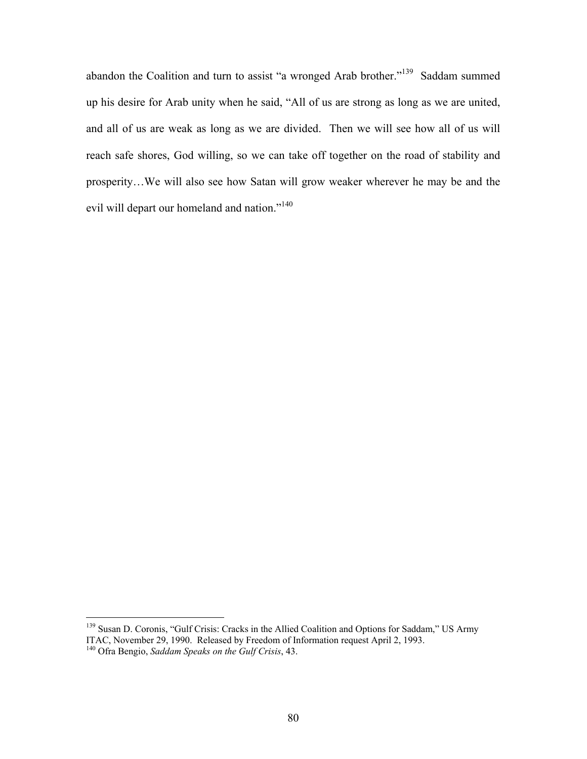abandon the Coalition and turn to assist "a wronged Arab brother."139 Saddam summed up his desire for Arab unity when he said, "All of us are strong as long as we are united, and all of us are weak as long as we are divided. Then we will see how all of us will reach safe shores, God willing, so we can take off together on the road of stability and prosperity…We will also see how Satan will grow weaker wherever he may be and the evil will depart our homeland and nation."<sup>140</sup>

<sup>&</sup>lt;sup>139</sup> Susan D. Coronis, "Gulf Crisis: Cracks in the Allied Coalition and Options for Saddam," US Army ITAC, November 29, 1990. Released by Freedom of Information request April 2, 1993. 140 Ofra Bengio, *Saddam Speaks on the Gulf Crisis*, 43.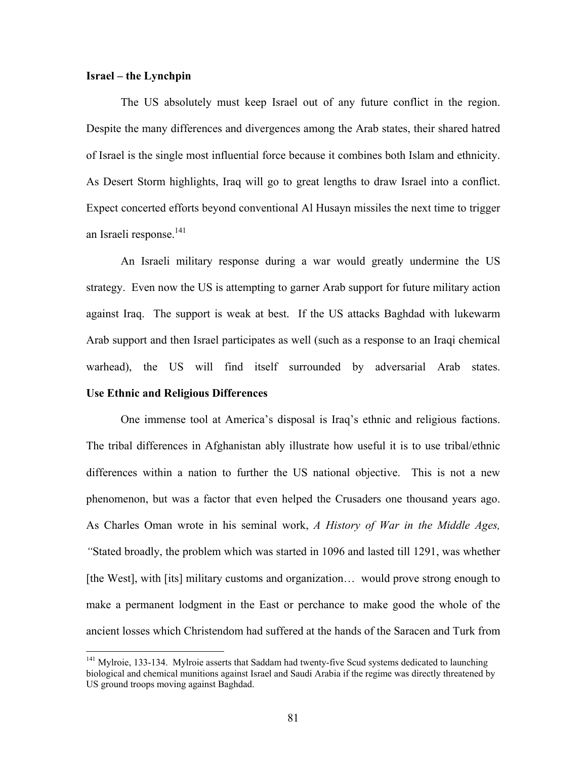## **Israel – the Lynchpin**

The US absolutely must keep Israel out of any future conflict in the region. Despite the many differences and divergences among the Arab states, their shared hatred of Israel is the single most influential force because it combines both Islam and ethnicity. As Desert Storm highlights, Iraq will go to great lengths to draw Israel into a conflict. Expect concerted efforts beyond conventional Al Husayn missiles the next time to trigger an Israeli response.<sup>141</sup>

An Israeli military response during a war would greatly undermine the US strategy. Even now the US is attempting to garner Arab support for future military action against Iraq. The support is weak at best. If the US attacks Baghdad with lukewarm Arab support and then Israel participates as well (such as a response to an Iraqi chemical warhead), the US will find itself surrounded by adversarial Arab states.

# **Use Ethnic and Religious Differences**

1

One immense tool at America's disposal is Iraq's ethnic and religious factions. The tribal differences in Afghanistan ably illustrate how useful it is to use tribal/ethnic differences within a nation to further the US national objective. This is not a new phenomenon, but was a factor that even helped the Crusaders one thousand years ago. As Charles Oman wrote in his seminal work, *A History of War in the Middle Ages, "*Stated broadly, the problem which was started in 1096 and lasted till 1291, was whether [the West], with [its] military customs and organization… would prove strong enough to make a permanent lodgment in the East or perchance to make good the whole of the ancient losses which Christendom had suffered at the hands of the Saracen and Turk from

<sup>&</sup>lt;sup>141</sup> Mylroie, 133-134. Mylroie asserts that Saddam had twenty-five Scud systems dedicated to launching biological and chemical munitions against Israel and Saudi Arabia if the regime was directly threatened by US ground troops moving against Baghdad.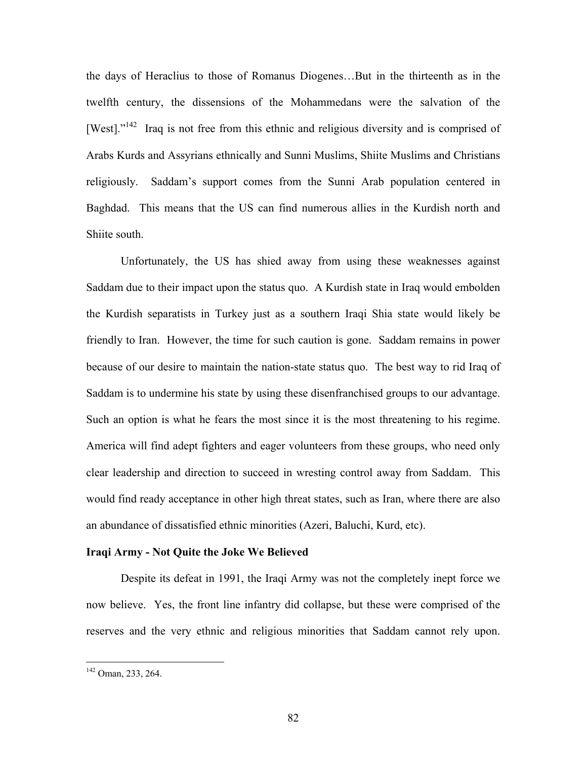the days of Heraclius to those of Romanus Diogenes…But in the thirteenth as in the twelfth century, the dissensions of the Mohammedans were the salvation of the [West]. $1^{142}$  Iraq is not free from this ethnic and religious diversity and is comprised of Arabs Kurds and Assyrians ethnically and Sunni Muslims, Shiite Muslims and Christians religiously. Saddam's support comes from the Sunni Arab population centered in Baghdad. This means that the US can find numerous allies in the Kurdish north and Shiite south.

Unfortunately, the US has shied away from using these weaknesses against Saddam due to their impact upon the status quo. A Kurdish state in Iraq would embolden the Kurdish separatists in Turkey just as a southern Iraqi Shia state would likely be friendly to Iran. However, the time for such caution is gone. Saddam remains in power because of our desire to maintain the nation-state status quo. The best way to rid Iraq of Saddam is to undermine his state by using these disenfranchised groups to our advantage. Such an option is what he fears the most since it is the most threatening to his regime. America will find adept fighters and eager volunteers from these groups, who need only clear leadership and direction to succeed in wresting control away from Saddam. This would find ready acceptance in other high threat states, such as Iran, where there are also an abundance of dissatisfied ethnic minorities (Azeri, Baluchi, Kurd, etc).

### **Iraqi Army - Not Quite the Joke We Believed**

Despite its defeat in 1991, the Iraqi Army was not the completely inept force we now believe. Yes, the front line infantry did collapse, but these were comprised of the reserves and the very ethnic and religious minorities that Saddam cannot rely upon.

<sup>142</sup> Oman, 233, 264.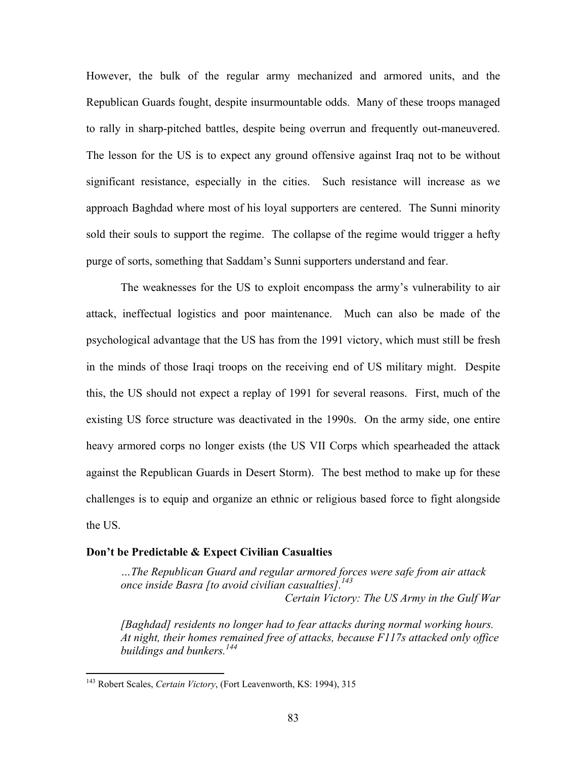However, the bulk of the regular army mechanized and armored units, and the Republican Guards fought, despite insurmountable odds. Many of these troops managed to rally in sharp-pitched battles, despite being overrun and frequently out-maneuvered. The lesson for the US is to expect any ground offensive against Iraq not to be without significant resistance, especially in the cities. Such resistance will increase as we approach Baghdad where most of his loyal supporters are centered. The Sunni minority sold their souls to support the regime. The collapse of the regime would trigger a hefty purge of sorts, something that Saddam's Sunni supporters understand and fear.

The weaknesses for the US to exploit encompass the army's vulnerability to air attack, ineffectual logistics and poor maintenance. Much can also be made of the psychological advantage that the US has from the 1991 victory, which must still be fresh in the minds of those Iraqi troops on the receiving end of US military might. Despite this, the US should not expect a replay of 1991 for several reasons. First, much of the existing US force structure was deactivated in the 1990s. On the army side, one entire heavy armored corps no longer exists (the US VII Corps which spearheaded the attack against the Republican Guards in Desert Storm). The best method to make up for these challenges is to equip and organize an ethnic or religious based force to fight alongside the US.

### **Don't be Predictable & Expect Civilian Casualties**

*…The Republican Guard and regular armored forces were safe from air attack once inside Basra [to avoid civilian casualties]. 143 Certain Victory: The US Army in the Gulf War* 

*[Baghdad] residents no longer had to fear attacks during normal working hours. At night, their homes remained free of attacks, because F117s attacked only office buildings and bunkers.144*

<sup>143</sup> Robert Scales, *Certain Victory*, (Fort Leavenworth, KS: 1994), 315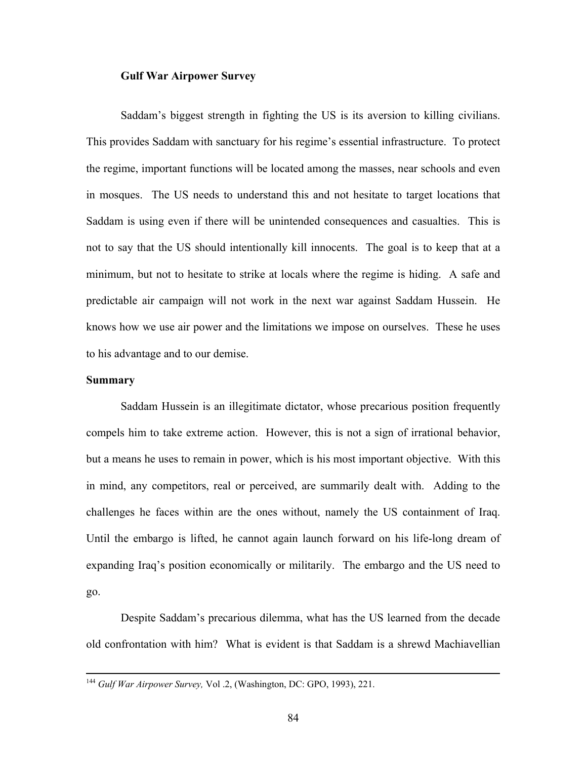### **Gulf War Airpower Survey**

Saddam's biggest strength in fighting the US is its aversion to killing civilians. This provides Saddam with sanctuary for his regime's essential infrastructure. To protect the regime, important functions will be located among the masses, near schools and even in mosques. The US needs to understand this and not hesitate to target locations that Saddam is using even if there will be unintended consequences and casualties. This is not to say that the US should intentionally kill innocents. The goal is to keep that at a minimum, but not to hesitate to strike at locals where the regime is hiding. A safe and predictable air campaign will not work in the next war against Saddam Hussein. He knows how we use air power and the limitations we impose on ourselves. These he uses to his advantage and to our demise.

### **Summary**

Saddam Hussein is an illegitimate dictator, whose precarious position frequently compels him to take extreme action. However, this is not a sign of irrational behavior, but a means he uses to remain in power, which is his most important objective. With this in mind, any competitors, real or perceived, are summarily dealt with. Adding to the challenges he faces within are the ones without, namely the US containment of Iraq. Until the embargo is lifted, he cannot again launch forward on his life-long dream of expanding Iraq's position economically or militarily. The embargo and the US need to go.

Despite Saddam's precarious dilemma, what has the US learned from the decade old confrontation with him? What is evident is that Saddam is a shrewd Machiavellian

 <sup>144</sup> *Gulf War Airpower Survey,* Vol .2, (Washington, DC: GPO, 1993), 221.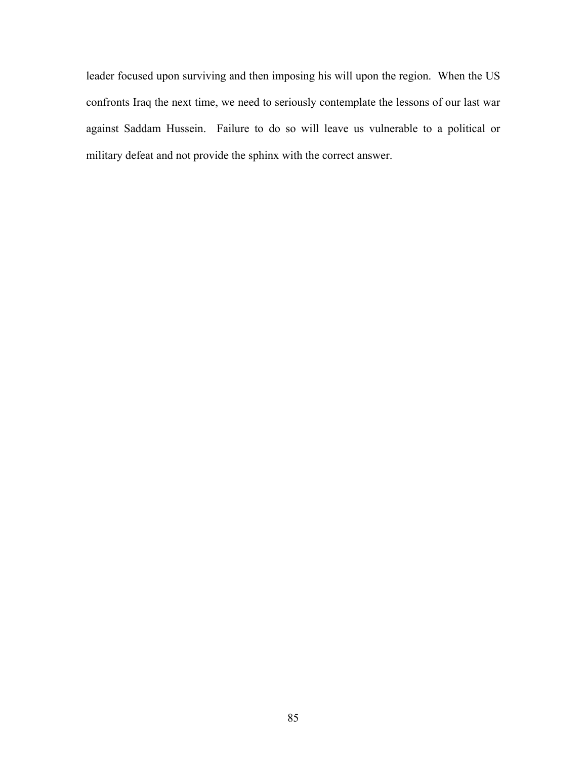leader focused upon surviving and then imposing his will upon the region. When the US confronts Iraq the next time, we need to seriously contemplate the lessons of our last war against Saddam Hussein. Failure to do so will leave us vulnerable to a political or military defeat and not provide the sphinx with the correct answer.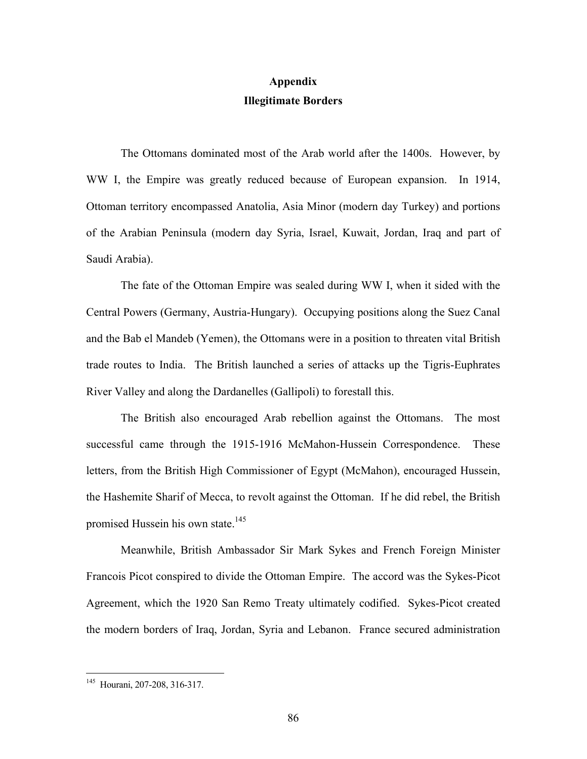# **Appendix Illegitimate Borders**

The Ottomans dominated most of the Arab world after the 1400s. However, by WW I, the Empire was greatly reduced because of European expansion. In 1914, Ottoman territory encompassed Anatolia, Asia Minor (modern day Turkey) and portions of the Arabian Peninsula (modern day Syria, Israel, Kuwait, Jordan, Iraq and part of Saudi Arabia).

The fate of the Ottoman Empire was sealed during WW I, when it sided with the Central Powers (Germany, Austria-Hungary). Occupying positions along the Suez Canal and the Bab el Mandeb (Yemen), the Ottomans were in a position to threaten vital British trade routes to India. The British launched a series of attacks up the Tigris-Euphrates River Valley and along the Dardanelles (Gallipoli) to forestall this.

The British also encouraged Arab rebellion against the Ottomans. The most successful came through the 1915-1916 McMahon-Hussein Correspondence. These letters, from the British High Commissioner of Egypt (McMahon), encouraged Hussein, the Hashemite Sharif of Mecca, to revolt against the Ottoman. If he did rebel, the British promised Hussein his own state.<sup>145</sup>

Meanwhile, British Ambassador Sir Mark Sykes and French Foreign Minister Francois Picot conspired to divide the Ottoman Empire. The accord was the Sykes-Picot Agreement, which the 1920 San Remo Treaty ultimately codified. Sykes-Picot created the modern borders of Iraq, Jordan, Syria and Lebanon. France secured administration

<sup>145</sup> Hourani, 207-208, 316-317.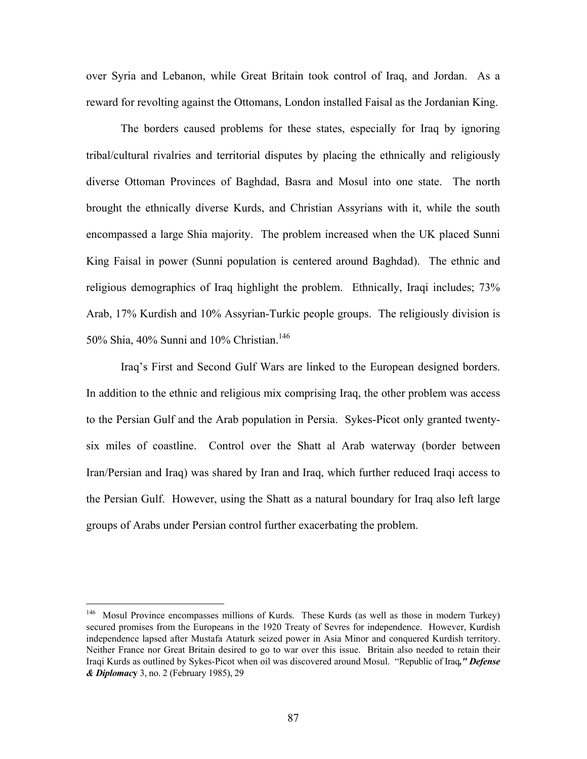over Syria and Lebanon, while Great Britain took control of Iraq, and Jordan. As a reward for revolting against the Ottomans, London installed Faisal as the Jordanian King.

The borders caused problems for these states, especially for Iraq by ignoring tribal/cultural rivalries and territorial disputes by placing the ethnically and religiously diverse Ottoman Provinces of Baghdad, Basra and Mosul into one state. The north brought the ethnically diverse Kurds, and Christian Assyrians with it, while the south encompassed a large Shia majority. The problem increased when the UK placed Sunni King Faisal in power (Sunni population is centered around Baghdad). The ethnic and religious demographics of Iraq highlight the problem. Ethnically, Iraqi includes; 73% Arab, 17% Kurdish and 10% Assyrian-Turkic people groups. The religiously division is 50% Shia, 40% Sunni and 10% Christian.<sup>146</sup>

Iraq's First and Second Gulf Wars are linked to the European designed borders. In addition to the ethnic and religious mix comprising Iraq, the other problem was access to the Persian Gulf and the Arab population in Persia. Sykes-Picot only granted twentysix miles of coastline. Control over the Shatt al Arab waterway (border between Iran/Persian and Iraq) was shared by Iran and Iraq, which further reduced Iraqi access to the Persian Gulf. However, using the Shatt as a natural boundary for Iraq also left large groups of Arabs under Persian control further exacerbating the problem.

<sup>&</sup>lt;sup>146</sup> Mosul Province encompasses millions of Kurds. These Kurds (as well as those in modern Turkey) secured promises from the Europeans in the 1920 Treaty of Sevres for independence. However, Kurdish independence lapsed after Mustafa Ataturk seized power in Asia Minor and conquered Kurdish territory. Neither France nor Great Britain desired to go to war over this issue. Britain also needed to retain their Iraqi Kurds as outlined by Sykes-Picot when oil was discovered around Mosul. "Republic of Iraq*," Defense & Diplomac***y** 3, no. 2 (February 1985), 29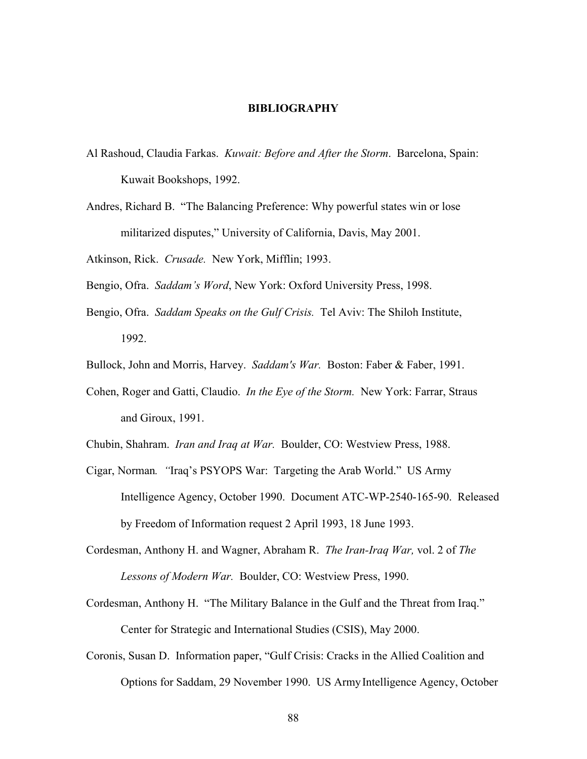### **BIBLIOGRAPHY**

- Al Rashoud, Claudia Farkas. *Kuwait: Before and After the Storm*. Barcelona, Spain: Kuwait Bookshops, 1992.
- Andres, Richard B. "The Balancing Preference: Why powerful states win or lose militarized disputes," University of California, Davis, May 2001.
- Atkinson, Rick. *Crusade.* New York, Mifflin; 1993.
- Bengio, Ofra. *Saddam's Word*, New York: Oxford University Press, 1998.
- Bengio, Ofra. *Saddam Speaks on the Gulf Crisis.* Tel Aviv: The Shiloh Institute, 1992.
- Bullock, John and Morris, Harvey. *Saddam's War.* Boston: Faber & Faber, 1991.
- Cohen, Roger and Gatti, Claudio. *In the Eye of the Storm.* New York: Farrar, Straus and Giroux, 1991.
- Chubin, Shahram. *Iran and Iraq at War.* Boulder, CO: Westview Press, 1988.
- Cigar, Norman*. "*Iraq's PSYOPS War: Targeting the Arab World." US Army Intelligence Agency, October 1990. Document ATC-WP-2540-165-90. Released by Freedom of Information request 2 April 1993, 18 June 1993.
- Cordesman, Anthony H. and Wagner, Abraham R. *The Iran-Iraq War,* vol. 2 of *The Lessons of Modern War.* Boulder, CO: Westview Press, 1990.
- Cordesman, Anthony H. "The Military Balance in the Gulf and the Threat from Iraq." Center for Strategic and International Studies (CSIS), May 2000.
- Coronis, Susan D. Information paper, "Gulf Crisis: Cracks in the Allied Coalition and Options for Saddam, 29 November 1990. US Army Intelligence Agency, October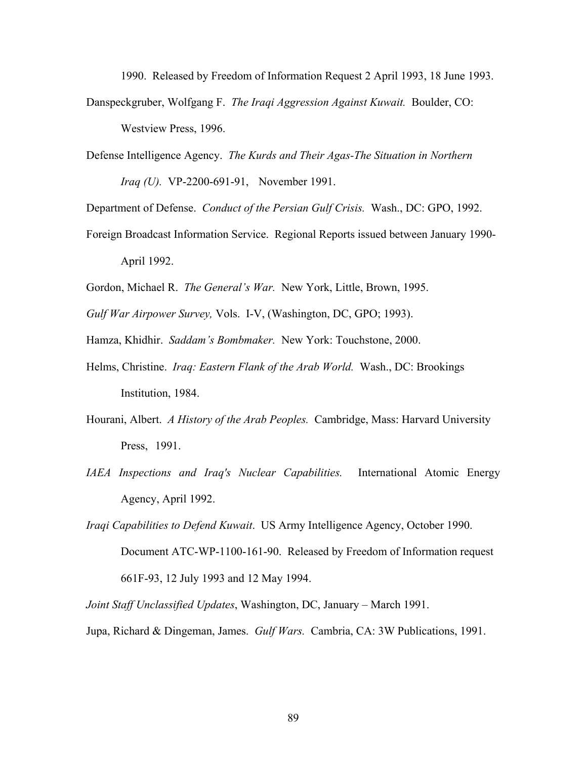1990. Released by Freedom of Information Request 2 April 1993, 18 June 1993.

- Danspeckgruber, Wolfgang F. *The Iraqi Aggression Against Kuwait.* Boulder, CO: Westview Press, 1996.
- Defense Intelligence Agency. *The Kurds and Their Agas-The Situation in Northern Iraq (U).* VP-2200-691-91, November 1991.

Department of Defense. *Conduct of the Persian Gulf Crisis.* Wash., DC: GPO, 1992.

Foreign Broadcast Information Service. Regional Reports issued between January 1990- April 1992.

Gordon, Michael R. *The General's War.* New York, Little, Brown, 1995.

*Gulf War Airpower Survey,* Vols. I-V, (Washington, DC, GPO; 1993).

Hamza, Khidhir. *Saddam's Bombmaker.* New York: Touchstone, 2000.

- Helms, Christine. *Iraq: Eastern Flank of the Arab World.* Wash., DC: Brookings Institution, 1984.
- Hourani, Albert. *A History of the Arab Peoples.* Cambridge, Mass: Harvard University Press, 1991.
- *IAEA Inspections and Iraq's Nuclear Capabilities.* International Atomic Energy Agency, April 1992.
- *Iraqi Capabilities to Defend Kuwait*. US Army Intelligence Agency, October 1990. Document ATC-WP-1100-161-90. Released by Freedom of Information request 661F-93, 12 July 1993 and 12 May 1994.
- *Joint Staff Unclassified Updates*, Washington, DC, January March 1991.

Jupa, Richard & Dingeman, James. *Gulf Wars.* Cambria, CA: 3W Publications, 1991.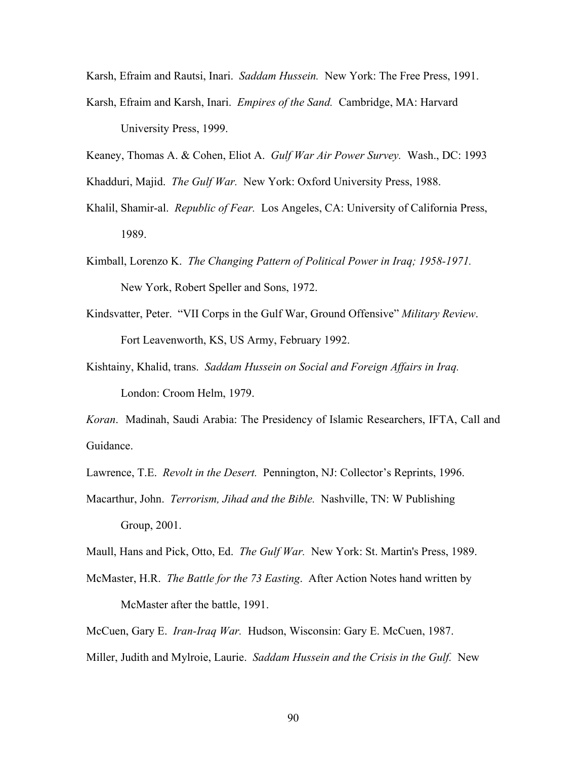Karsh, Efraim and Rautsi, Inari. *Saddam Hussein.* New York: The Free Press, 1991. Karsh, Efraim and Karsh, Inari. *Empires of the Sand.* Cambridge, MA: Harvard University Press, 1999.

Keaney, Thomas A. & Cohen, Eliot A. *Gulf War Air Power Survey.* Wash., DC: 1993

Khadduri, Majid. *The Gulf War.* New York: Oxford University Press, 1988.

- Khalil, Shamir-al. *Republic of Fear.* Los Angeles, CA: University of California Press, 1989.
- Kimball, Lorenzo K. *The Changing Pattern of Political Power in Iraq; 1958-1971.* New York, Robert Speller and Sons, 1972.
- Kindsvatter, Peter. "VII Corps in the Gulf War, Ground Offensive" *Military Review*. Fort Leavenworth, KS, US Army, February 1992.
- Kishtainy, Khalid, trans. *Saddam Hussein on Social and Foreign Affairs in Iraq.* London: Croom Helm, 1979.

*Koran*. Madinah, Saudi Arabia: The Presidency of Islamic Researchers, IFTA, Call and Guidance.

Lawrence, T.E. *Revolt in the Desert.* Pennington, NJ: Collector's Reprints, 1996.

Macarthur, John. *Terrorism, Jihad and the Bible.* Nashville, TN: W Publishing Group, 2001.

Maull, Hans and Pick, Otto, Ed. *The Gulf War.* New York: St. Martin's Press, 1989.

McMaster, H.R. *The Battle for the 73 Easting*. After Action Notes hand written by McMaster after the battle, 1991.

McCuen, Gary E. *Iran-Iraq War.* Hudson, Wisconsin: Gary E. McCuen, 1987.

Miller, Judith and Mylroie, Laurie. *Saddam Hussein and the Crisis in the Gulf.* New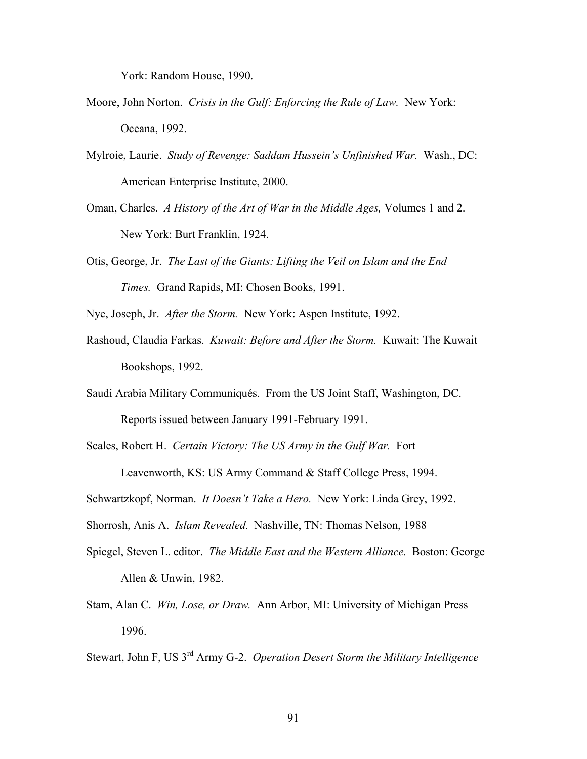York: Random House, 1990.

- Moore, John Norton. *Crisis in the Gulf: Enforcing the Rule of Law.* New York: Oceana, 1992.
- Mylroie, Laurie. *Study of Revenge: Saddam Hussein's Unfinished War.* Wash., DC: American Enterprise Institute, 2000.
- Oman, Charles. *A History of the Art of War in the Middle Ages,* Volumes 1 and 2. New York: Burt Franklin, 1924.
- Otis, George, Jr. *The Last of the Giants: Lifting the Veil on Islam and the End Times.* Grand Rapids, MI: Chosen Books, 1991.

Nye, Joseph, Jr. *After the Storm.* New York: Aspen Institute, 1992.

- Rashoud, Claudia Farkas. *Kuwait: Before and After the Storm.* Kuwait: The Kuwait Bookshops, 1992.
- Saudi Arabia Military Communiqués. From the US Joint Staff, Washington, DC. Reports issued between January 1991-February 1991.
- Scales, Robert H. *Certain Victory: The US Army in the Gulf War.* Fort

Leavenworth, KS: US Army Command & Staff College Press, 1994.

Schwartzkopf, Norman. *It Doesn't Take a Hero.* New York: Linda Grey, 1992.

Shorrosh, Anis A. *Islam Revealed.* Nashville, TN: Thomas Nelson, 1988

- Spiegel, Steven L. editor. *The Middle East and the Western Alliance.* Boston: George Allen & Unwin, 1982.
- Stam, Alan C. *Win, Lose, or Draw.* Ann Arbor, MI: University of Michigan Press 1996.

Stewart, John F, US 3rd Army G-2. *Operation Desert Storm the Military Intelligence*